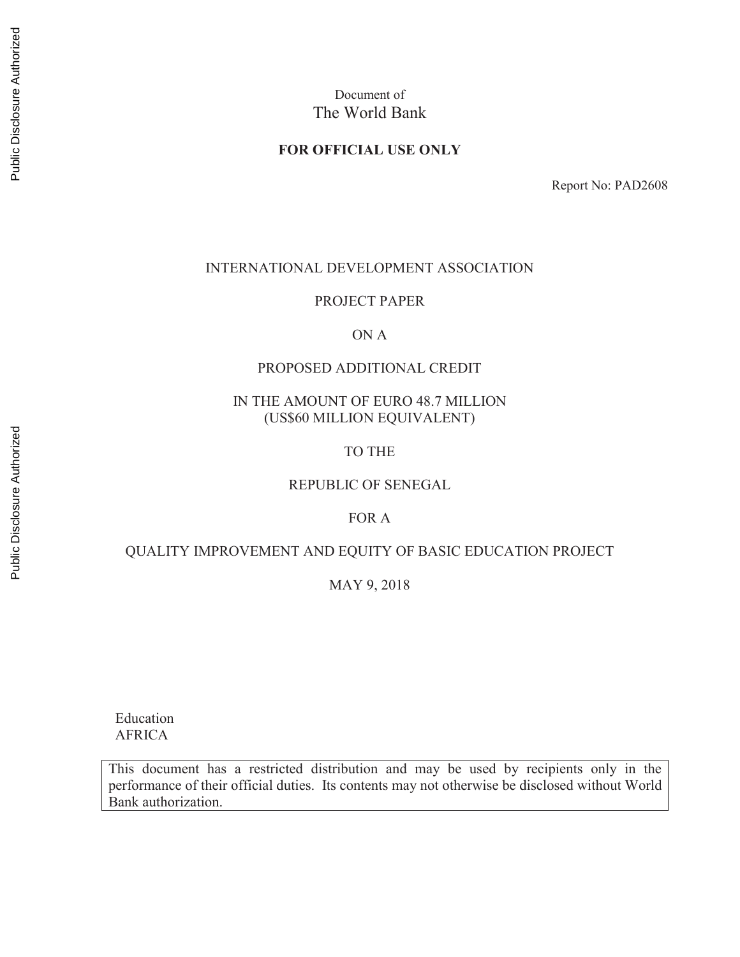## **FOR OFFICIAL USE ONLY**

Report No: PAD2608

#### INTERNATIONAL DEVELOPMENT ASSOCIATION

## PROJECT PAPER

## ON A

### PROPOSED ADDITIONAL CREDIT

## IN THE AMOUNT OF EURO 48.7 MILLION (US\$60 MILLION EQUIVALENT)

#### TO THE

## REPUBLIC OF SENEGAL

## FOR A

## QUALITY IMPROVEMENT AND EQUITY OF BASIC EDUCATION PROJECT

## MAY 9, 2018

 Education AFRICA

This document has a restricted distribution and may be used by recipients only in the performance of their official duties. Its contents may not otherwise be disclosed without World Bank authorization.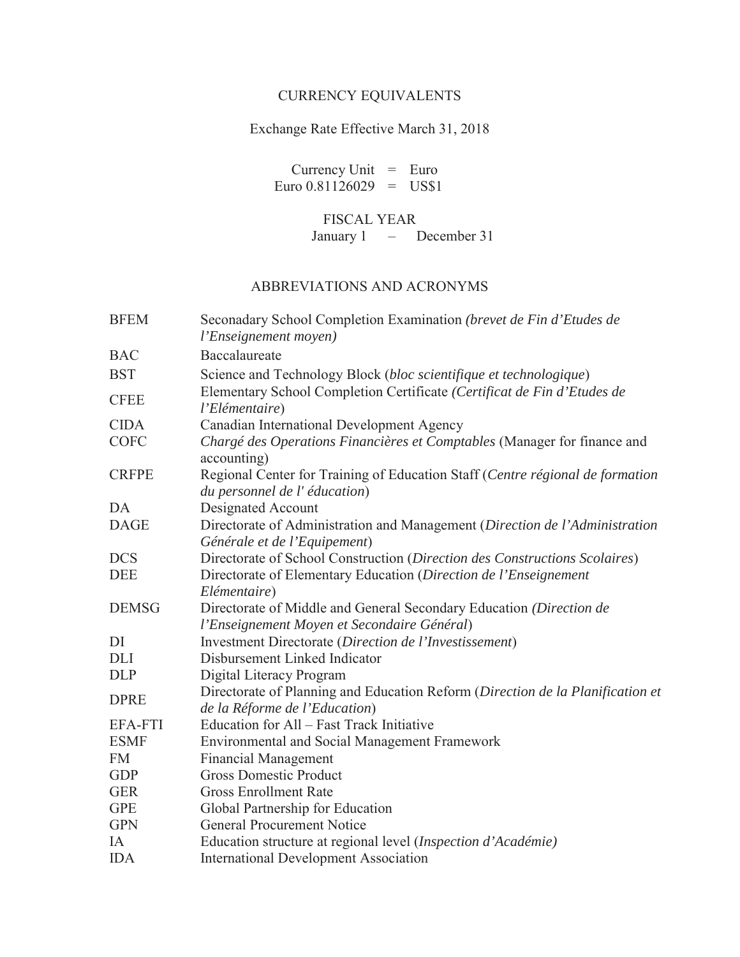# CURRENCY EQUIVALENTS

# Exchange Rate Effective March 31, 2018

Currency Unit  $=$  Euro Euro  $0.81126029$  = US\$1

# FISCAL YEAR

January 1 – December 31

# ABBREVIATIONS AND ACRONYMS

| <b>BFEM</b>    | Seconadary School Completion Examination (brevet de Fin d'Etudes de<br>l'Enseignement moyen)                    |
|----------------|-----------------------------------------------------------------------------------------------------------------|
| <b>BAC</b>     | Baccalaureate                                                                                                   |
| <b>BST</b>     | Science and Technology Block (bloc scientifique et technologique)                                               |
| <b>CFEE</b>    | Elementary School Completion Certificate (Certificat de Fin d'Etudes de<br>l'Elémentaire)                       |
| <b>CIDA</b>    | Canadian International Development Agency                                                                       |
| <b>COFC</b>    | Chargé des Operations Financières et Comptables (Manager for finance and<br>accounting)                         |
| <b>CRFPE</b>   | Regional Center for Training of Education Staff (Centre régional de formation<br>du personnel de l'éducation)   |
| DA             | Designated Account                                                                                              |
| <b>DAGE</b>    | Directorate of Administration and Management (Direction de l'Administration<br>Générale et de l'Equipement)     |
| <b>DCS</b>     | Directorate of School Construction (Direction des Constructions Scolaires)                                      |
| <b>DEE</b>     | Directorate of Elementary Education (Direction de l'Enseignement                                                |
|                | Elémentaire)                                                                                                    |
| <b>DEMSG</b>   | Directorate of Middle and General Secondary Education (Direction de                                             |
|                | l'Enseignement Moyen et Secondaire Général)                                                                     |
| DI             | Investment Directorate (Direction de l'Investissement)                                                          |
| <b>DLI</b>     | Disbursement Linked Indicator                                                                                   |
| <b>DLP</b>     | Digital Literacy Program                                                                                        |
| <b>DPRE</b>    | Directorate of Planning and Education Reform (Direction de la Planification et<br>de la Réforme de l'Education) |
| <b>EFA-FTI</b> | Education for All - Fast Track Initiative                                                                       |
| <b>ESMF</b>    | <b>Environmental and Social Management Framework</b>                                                            |
| <b>FM</b>      | <b>Financial Management</b>                                                                                     |
| <b>GDP</b>     | <b>Gross Domestic Product</b>                                                                                   |
| <b>GER</b>     | <b>Gross Enrollment Rate</b>                                                                                    |
| <b>GPE</b>     | Global Partnership for Education                                                                                |
| <b>GPN</b>     | <b>General Procurement Notice</b>                                                                               |
| IA             | Education structure at regional level (Inspection d'Académie)                                                   |
| <b>IDA</b>     | <b>International Development Association</b>                                                                    |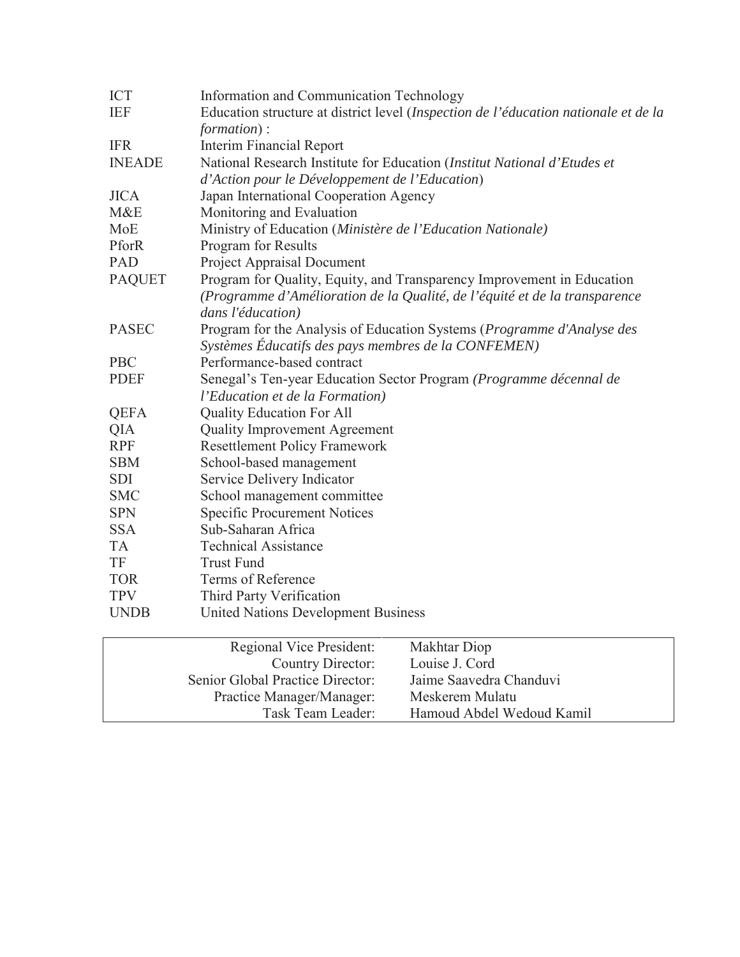| <b>ICT</b>    | Information and Communication Technology                                                                                                                                  |
|---------------|---------------------------------------------------------------------------------------------------------------------------------------------------------------------------|
| <b>IEF</b>    | Education structure at district level (Inspection de l'éducation nationale et de la<br>formation):                                                                        |
| <b>IFR</b>    | <b>Interim Financial Report</b>                                                                                                                                           |
| <b>INEADE</b> | National Research Institute for Education (Institut National d'Etudes et                                                                                                  |
|               | d'Action pour le Développement de l'Education)                                                                                                                            |
| <b>JICA</b>   | Japan International Cooperation Agency                                                                                                                                    |
| M&E           | Monitoring and Evaluation                                                                                                                                                 |
| MoE           | Ministry of Education (Ministère de l'Education Nationale)                                                                                                                |
| PforR         | <b>Program</b> for Results                                                                                                                                                |
| PAD           | <b>Project Appraisal Document</b>                                                                                                                                         |
| <b>PAQUET</b> | Program for Quality, Equity, and Transparency Improvement in Education<br>(Programme d'Amélioration de la Qualité, de l'équité et de la transparence<br>dans l'éducation) |
| <b>PASEC</b>  | Program for the Analysis of Education Systems (Programme d'Analyse des<br>Systèmes Éducatifs des pays membres de la CONFEMEN)                                             |
| <b>PBC</b>    | Performance-based contract                                                                                                                                                |
| <b>PDEF</b>   | Senegal's Ten-year Education Sector Program (Programme décennal de                                                                                                        |
|               | l'Education et de la Formation)                                                                                                                                           |
| <b>QEFA</b>   | <b>Quality Education For All</b>                                                                                                                                          |
| QIA           | <b>Quality Improvement Agreement</b>                                                                                                                                      |
| <b>RPF</b>    | <b>Resettlement Policy Framework</b>                                                                                                                                      |
| <b>SBM</b>    | School-based management                                                                                                                                                   |
| <b>SDI</b>    | Service Delivery Indicator                                                                                                                                                |
| <b>SMC</b>    | School management committee                                                                                                                                               |
| <b>SPN</b>    | <b>Specific Procurement Notices</b>                                                                                                                                       |
| <b>SSA</b>    | Sub-Saharan Africa                                                                                                                                                        |
| <b>TA</b>     | <b>Technical Assistance</b>                                                                                                                                               |
| TF            | <b>Trust Fund</b>                                                                                                                                                         |
| <b>TOR</b>    | Terms of Reference                                                                                                                                                        |
| <b>TPV</b>    | Third Party Verification                                                                                                                                                  |
| <b>UNDB</b>   | <b>United Nations Development Business</b>                                                                                                                                |

| Regional Vice President:<br>Country Director: | Makhtar Diop<br>Louise J. Cord |
|-----------------------------------------------|--------------------------------|
| Senior Global Practice Director:              | Jaime Saavedra Chanduvi        |
| Practice Manager/Manager:                     | Meskerem Mulatu                |
| Task Team Leader:                             | Hamoud Abdel Wedoud Kamil      |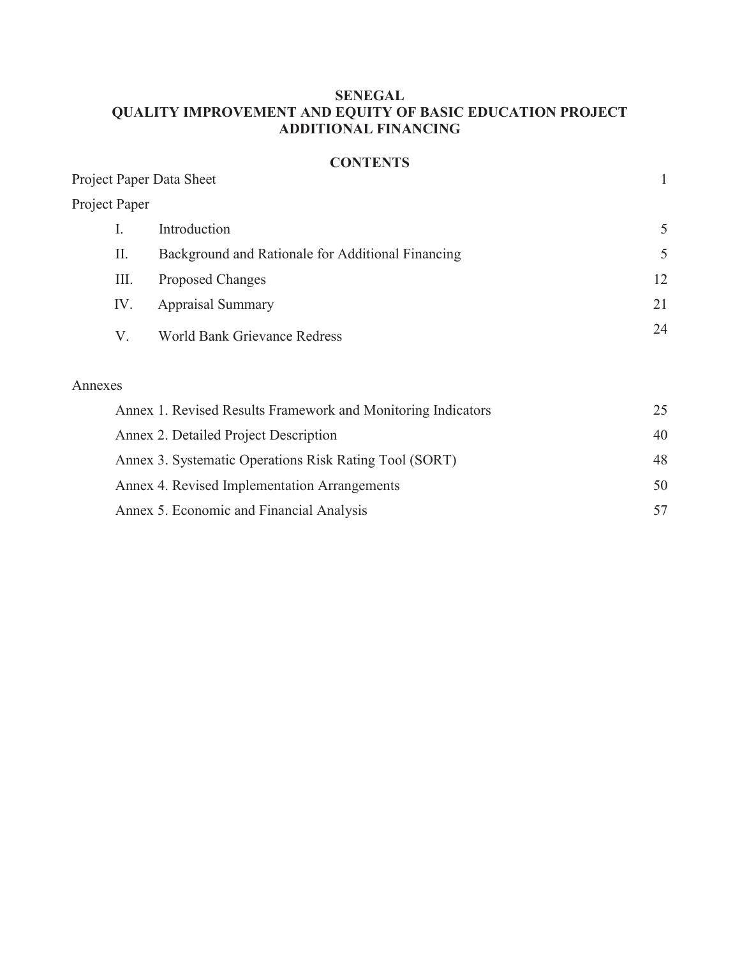# **SENEGAL QUALITY IMPROVEMENT AND EQUITY OF BASIC EDUCATION PROJECT ADDITIONAL FINANCING**

# **CONTENTS**

|                          | <b>CONTENTS</b>                                   |              |
|--------------------------|---------------------------------------------------|--------------|
| Project Paper Data Sheet |                                                   | $\mathbf{1}$ |
| Project Paper            |                                                   |              |
| I.                       | Introduction                                      | 5            |
| П.                       | Background and Rationale for Additional Financing | 5            |
| Ш.                       | <b>Proposed Changes</b>                           | 12           |
| IV.                      | <b>Appraisal Summary</b>                          | 21           |
| V.                       | <b>World Bank Grievance Redress</b>               | 24           |
| Annexes                  |                                                   |              |

| Annex 1. Revised Results Framework and Monitoring Indicators |    |
|--------------------------------------------------------------|----|
| Annex 2. Detailed Project Description                        | 40 |
| Annex 3. Systematic Operations Risk Rating Tool (SORT)       | 48 |
| Annex 4. Revised Implementation Arrangements                 | 50 |
| Annex 5. Economic and Financial Analysis                     |    |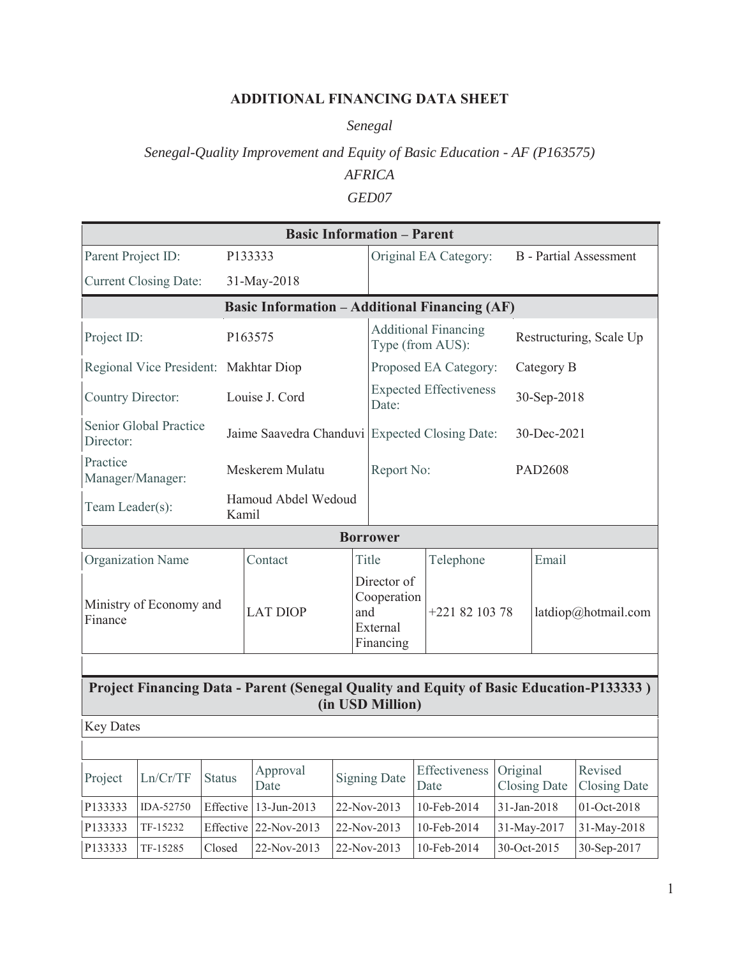# **ADDITIONAL FINANCING DATA SHEET**

*Senegal*

# *Senegal-Quality Improvement and Equity of Basic Education - AF (P163575) AFRICA GED07*

|                                                                                                             |                                       |               |                                                      |       | <b>Basic Information - Parent</b>                          |                                                 |                               |             |                         |                                |  |
|-------------------------------------------------------------------------------------------------------------|---------------------------------------|---------------|------------------------------------------------------|-------|------------------------------------------------------------|-------------------------------------------------|-------------------------------|-------------|-------------------------|--------------------------------|--|
| Parent Project ID:                                                                                          |                                       |               | P133333                                              |       |                                                            |                                                 | Original EA Category:         |             |                         | <b>B</b> - Partial Assessment  |  |
|                                                                                                             | <b>Current Closing Date:</b>          |               | 31-May-2018                                          |       |                                                            |                                                 |                               |             |                         |                                |  |
|                                                                                                             |                                       |               | <b>Basic Information - Additional Financing (AF)</b> |       |                                                            |                                                 |                               |             |                         |                                |  |
| Project ID:                                                                                                 |                                       |               | P163575                                              |       |                                                            | <b>Additional Financing</b><br>Type (from AUS): |                               |             | Restructuring, Scale Up |                                |  |
|                                                                                                             | Regional Vice President: Makhtar Diop |               |                                                      |       |                                                            |                                                 | Proposed EA Category:         |             | Category B              |                                |  |
| Country Director:                                                                                           |                                       |               | Louise J. Cord                                       |       | Date:                                                      |                                                 | <b>Expected Effectiveness</b> |             | 30-Sep-2018             |                                |  |
| Director:                                                                                                   | Senior Global Practice                |               | Jaime Saavedra Chanduvi Expected Closing Date:       |       |                                                            |                                                 |                               |             | 30-Dec-2021             |                                |  |
| Practice                                                                                                    | Manager/Manager:                      |               | Meskerem Mulatu                                      |       | Report No:                                                 |                                                 |                               |             | PAD2608                 |                                |  |
| Team Leader(s):                                                                                             |                                       |               | Hamoud Abdel Wedoud<br>Kamil                         |       |                                                            |                                                 |                               |             |                         |                                |  |
|                                                                                                             |                                       |               |                                                      |       | <b>Borrower</b>                                            |                                                 |                               |             |                         |                                |  |
|                                                                                                             | <b>Organization Name</b>              |               | Contact                                              | Title |                                                            | Telephone                                       |                               | Email       |                         |                                |  |
| Ministry of Economy and<br>Finance                                                                          |                                       |               | <b>LAT DIOP</b>                                      |       | Director of<br>Cooperation<br>and<br>External<br>Financing |                                                 | +221 82 103 78                |             | latdiop@hotmail.com     |                                |  |
|                                                                                                             |                                       |               |                                                      |       |                                                            |                                                 |                               |             |                         |                                |  |
| Project Financing Data - Parent (Senegal Quality and Equity of Basic Education-P133333)<br>(in USD Million) |                                       |               |                                                      |       |                                                            |                                                 |                               |             |                         |                                |  |
| <b>Key Dates</b>                                                                                            |                                       |               |                                                      |       |                                                            |                                                 |                               |             |                         |                                |  |
|                                                                                                             |                                       |               |                                                      |       |                                                            |                                                 |                               |             |                         |                                |  |
| Project                                                                                                     | Ln/Cr/TF                              | <b>Status</b> | Approval<br>Date                                     |       | <b>Signing Date</b>                                        |                                                 | Effectiveness<br>Date         | Original    | <b>Closing Date</b>     | Revised<br><b>Closing Date</b> |  |
| P133333                                                                                                     | IDA-52750                             | Effective     | 13-Jun-2013                                          |       | 22-Nov-2013                                                |                                                 | 10-Feb-2014                   | 31-Jan-2018 |                         | 01-Oct-2018                    |  |
| P133333                                                                                                     | TF-15232                              | Effective     | 22-Nov-2013                                          |       | 22-Nov-2013                                                |                                                 | 10-Feb-2014                   |             | 31-May-2017             | 31-May-2018                    |  |
| P133333                                                                                                     | TF-15285                              | Closed        | 22-Nov-2013                                          |       | 22-Nov-2013                                                |                                                 | 10-Feb-2014                   | 30-Oct-2015 |                         | 30-Sep-2017                    |  |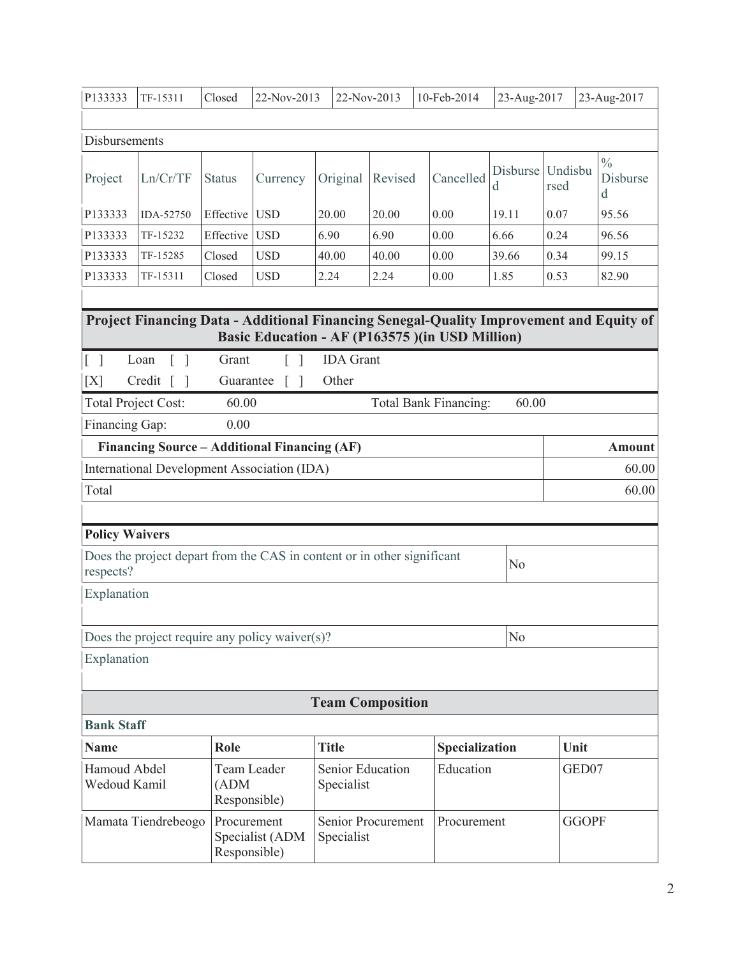| P133333                                                                                                                                  | TF-15311                                                                | Closed                               | 22-Nov-2013<br>22-Nov-2013           |                  | 10-Feb-2014 |                                                                                         | 23-Aug-2017<br>23-Aug-2017 |                 |                                |
|------------------------------------------------------------------------------------------------------------------------------------------|-------------------------------------------------------------------------|--------------------------------------|--------------------------------------|------------------|-------------|-----------------------------------------------------------------------------------------|----------------------------|-----------------|--------------------------------|
|                                                                                                                                          |                                                                         |                                      |                                      |                  |             |                                                                                         |                            |                 |                                |
| Disbursements                                                                                                                            |                                                                         |                                      |                                      |                  |             |                                                                                         |                            |                 |                                |
| Project                                                                                                                                  | Ln/Cr/TF                                                                | <b>Status</b>                        | Currency                             | Original         | Revised     | Cancelled                                                                               | Disburse<br>d              | Undisbu<br>rsed | $\frac{0}{0}$<br>Disburse<br>d |
| P133333                                                                                                                                  | IDA-52750                                                               | Effective                            | <b>USD</b>                           | 20.00            | 20.00       | 0.00                                                                                    | 19.11                      | 0.07            | 95.56                          |
| P133333                                                                                                                                  | TF-15232                                                                | Effective                            | <b>USD</b>                           | 6.90             | 6.90        | 0.00                                                                                    | 6.66                       | 0.24            | 96.56                          |
| P133333                                                                                                                                  | TF-15285                                                                | Closed                               | <b>USD</b>                           | 40.00            | 40.00       | 0.00                                                                                    | 39.66                      | 0.34            | 99.15                          |
| P133333                                                                                                                                  | TF-15311                                                                | Closed                               | <b>USD</b>                           | 2.24             | 2.24        | 0.00                                                                                    | 1.85                       | 0.53            | 82.90                          |
|                                                                                                                                          |                                                                         |                                      |                                      |                  |             |                                                                                         |                            |                 |                                |
|                                                                                                                                          |                                                                         |                                      |                                      |                  |             | Project Financing Data - Additional Financing Senegal-Quality Improvement and Equity of |                            |                 |                                |
|                                                                                                                                          |                                                                         |                                      |                                      |                  |             | Basic Education - AF (P163575) (in USD Million)                                         |                            |                 |                                |
| $\lceil \rceil$                                                                                                                          | Loan<br>$\lceil$ $\rceil$                                               | Grant                                | $\overline{1}$                       | <b>IDA</b> Grant |             |                                                                                         |                            |                 |                                |
| [X]                                                                                                                                      | $Credit$ $\lceil$<br>$\Box$                                             | Guarantee                            | $\lceil$<br>$\overline{\phantom{a}}$ | Other            |             |                                                                                         |                            |                 |                                |
|                                                                                                                                          | <b>Total Project Cost:</b>                                              | 60.00                                |                                      |                  |             | Total Bank Financing:                                                                   | 60.00                      |                 |                                |
| Financing Gap:                                                                                                                           |                                                                         | 0.00                                 |                                      |                  |             |                                                                                         |                            |                 |                                |
|                                                                                                                                          | Financing Source - Additional Financing (AF)                            |                                      |                                      |                  |             |                                                                                         |                            |                 | <b>Amount</b>                  |
|                                                                                                                                          | International Development Association (IDA)                             |                                      |                                      |                  |             |                                                                                         |                            |                 | 60.00                          |
| Total                                                                                                                                    |                                                                         |                                      |                                      |                  |             |                                                                                         |                            |                 | 60.00                          |
|                                                                                                                                          |                                                                         |                                      |                                      |                  |             |                                                                                         |                            |                 |                                |
| <b>Policy Waivers</b>                                                                                                                    |                                                                         |                                      |                                      |                  |             |                                                                                         |                            |                 |                                |
|                                                                                                                                          | Does the project depart from the CAS in content or in other significant |                                      |                                      |                  |             |                                                                                         |                            |                 |                                |
| respects?                                                                                                                                |                                                                         |                                      |                                      |                  |             |                                                                                         | No                         |                 |                                |
| Explanation                                                                                                                              |                                                                         |                                      |                                      |                  |             |                                                                                         |                            |                 |                                |
|                                                                                                                                          |                                                                         |                                      |                                      |                  |             |                                                                                         |                            |                 |                                |
|                                                                                                                                          | Does the project require any policy waiver $(s)$ ?                      |                                      |                                      |                  |             |                                                                                         | No                         |                 |                                |
| Explanation                                                                                                                              |                                                                         |                                      |                                      |                  |             |                                                                                         |                            |                 |                                |
|                                                                                                                                          |                                                                         |                                      |                                      |                  |             |                                                                                         |                            |                 |                                |
| <b>Team Composition</b>                                                                                                                  |                                                                         |                                      |                                      |                  |             |                                                                                         |                            |                 |                                |
| <b>Bank Staff</b>                                                                                                                        |                                                                         |                                      |                                      |                  |             |                                                                                         |                            |                 |                                |
|                                                                                                                                          |                                                                         |                                      |                                      |                  |             |                                                                                         |                            |                 |                                |
| <b>Name</b>                                                                                                                              |                                                                         | Role                                 |                                      | <b>Title</b>     |             | Specialization                                                                          |                            | Unit            |                                |
| Hamoud Abdel<br>Wedoud Kamil                                                                                                             |                                                                         | Team Leader<br>(ADM)<br>Responsible) |                                      | Specialist       |             | Education<br>Senior Education                                                           |                            | GED07           |                                |
| <b>GGOPF</b><br>Mamata Tiendrebeogo<br>Procurement<br>Senior Procurement<br>Procurement<br>Specialist (ADM<br>Specialist<br>Responsible) |                                                                         |                                      |                                      |                  |             |                                                                                         |                            |                 |                                |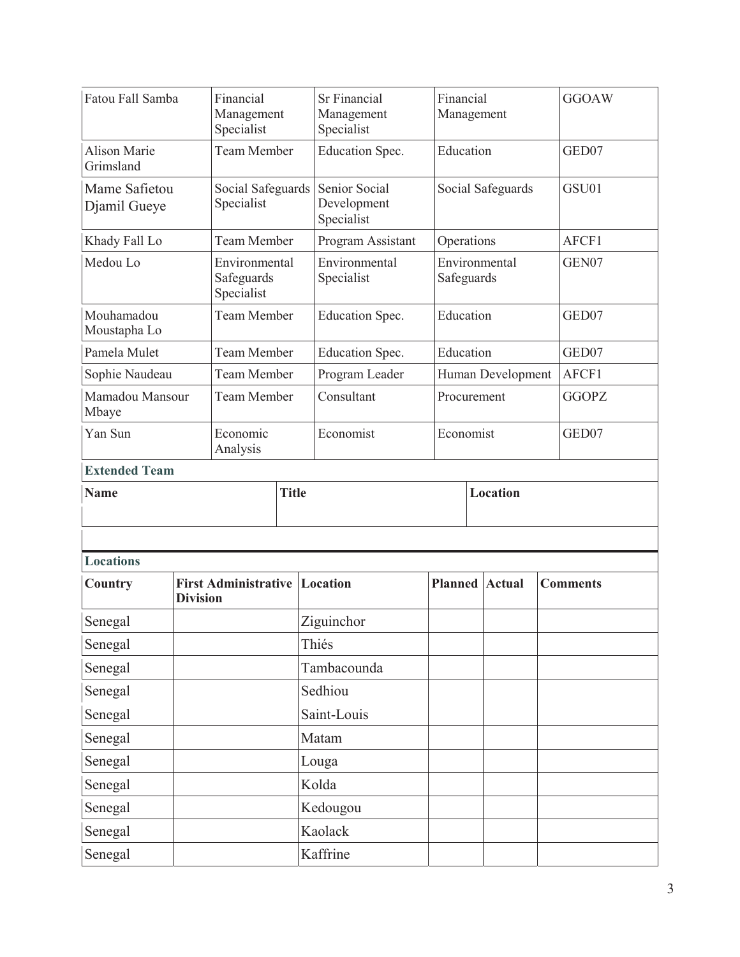| Fatou Fall Samba                 |                 | Financial<br>Management<br>Specialist     |                   | <b>Sr Financial</b><br>Management<br>Specialist |                | Financial<br>Management |                   |  | <b>GGOAW</b>    |  |
|----------------------------------|-----------------|-------------------------------------------|-------------------|-------------------------------------------------|----------------|-------------------------|-------------------|--|-----------------|--|
| <b>Alison Marie</b><br>Grimsland |                 | <b>Team Member</b>                        |                   | Education<br>Education Spec.                    |                |                         |                   |  | GED07           |  |
| Djamil Gueye                     | Mame Safietou   |                                           | Social Safeguards | Senior Social<br>Development<br>Specialist      |                | Social Safeguards       |                   |  | GSU01           |  |
| Khady Fall Lo                    |                 | <b>Team Member</b>                        |                   | Program Assistant                               | Operations     |                         |                   |  | AFCF1           |  |
| Medou Lo                         |                 | Environmental<br>Safeguards<br>Specialist |                   | Environmental<br>Specialist                     | Safeguards     |                         | Environmental     |  | GEN07           |  |
| Mouhamadou<br>Moustapha Lo       |                 | <b>Team Member</b>                        |                   | Education Spec.                                 | Education      |                         |                   |  | GED07           |  |
| Pamela Mulet                     |                 | <b>Team Member</b>                        |                   | Education Spec.                                 | Education      |                         |                   |  | GED07           |  |
| Sophie Naudeau                   |                 | <b>Team Member</b>                        |                   | Program Leader                                  |                |                         | Human Development |  | AFCF1           |  |
| Mamadou Mansour<br>Mbaye         |                 | Team Member                               |                   | Consultant                                      | Procurement    |                         |                   |  | <b>GGOPZ</b>    |  |
| Yan Sun                          |                 | Economic<br>Analysis                      |                   | Economist                                       |                |                         | Economist         |  | GED07           |  |
| <b>Extended Team</b>             |                 |                                           |                   |                                                 |                |                         |                   |  |                 |  |
| <b>Name</b>                      |                 |                                           | <b>Title</b>      |                                                 |                |                         | <b>Location</b>   |  |                 |  |
|                                  |                 |                                           |                   |                                                 |                |                         |                   |  |                 |  |
|                                  |                 |                                           |                   |                                                 |                |                         |                   |  |                 |  |
| <b>Locations</b>                 |                 |                                           |                   |                                                 |                |                         |                   |  |                 |  |
| Country                          | <b>Division</b> | <b>First Administrative Location</b>      |                   |                                                 | <b>Planned</b> |                         | <b>Actual</b>     |  | <b>Comments</b> |  |
| Senegal                          |                 |                                           |                   | Ziguinchor                                      |                |                         |                   |  |                 |  |
| Senegal                          |                 |                                           |                   | Thiés                                           |                |                         |                   |  |                 |  |
| Senegal                          |                 |                                           |                   | Tambacounda                                     |                |                         |                   |  |                 |  |
| Senegal                          |                 |                                           |                   | Sedhiou                                         |                |                         |                   |  |                 |  |
| Senegal                          |                 |                                           |                   | Saint-Louis                                     |                |                         |                   |  |                 |  |
| Senegal                          |                 |                                           |                   | Matam                                           |                |                         |                   |  |                 |  |
| Senegal                          |                 |                                           |                   | Louga                                           |                |                         |                   |  |                 |  |
| Senegal                          |                 |                                           |                   | Kolda                                           |                |                         |                   |  |                 |  |
| Senegal                          |                 |                                           |                   | Kedougou                                        |                |                         |                   |  |                 |  |
| Senegal                          |                 |                                           |                   | Kaolack                                         |                |                         |                   |  |                 |  |
| Senegal                          |                 |                                           |                   | Kaffrine                                        |                |                         |                   |  |                 |  |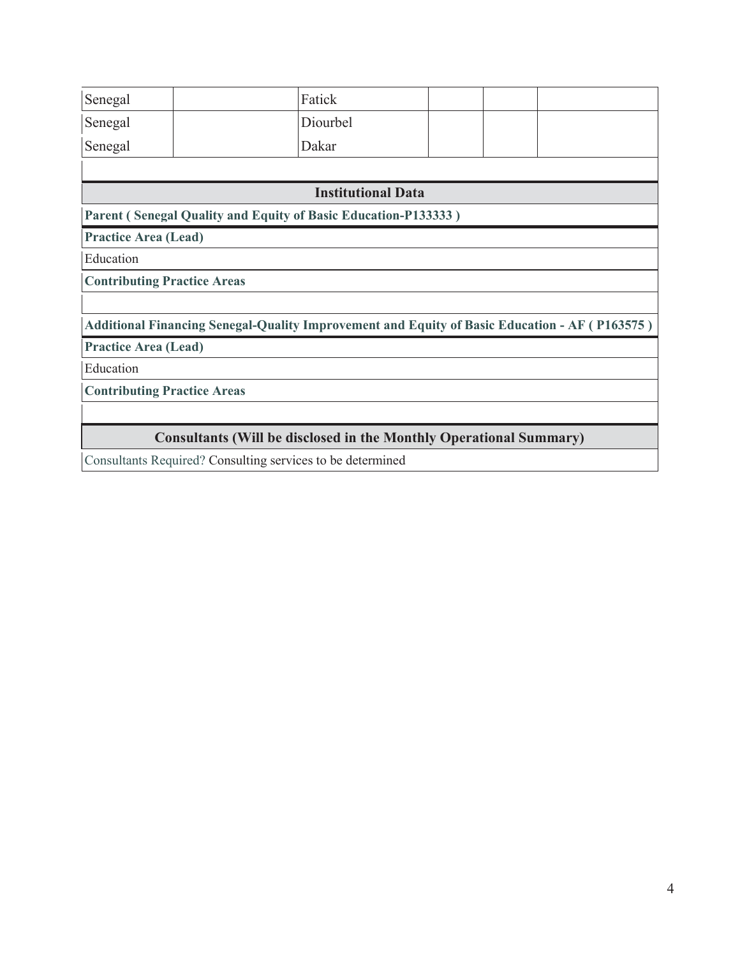| Senegal                                                                   | Fatick                                                                                        |  |  |  |  |  |  |  |
|---------------------------------------------------------------------------|-----------------------------------------------------------------------------------------------|--|--|--|--|--|--|--|
| Senegal                                                                   | Diourbel                                                                                      |  |  |  |  |  |  |  |
| Senegal                                                                   | Dakar                                                                                         |  |  |  |  |  |  |  |
|                                                                           |                                                                                               |  |  |  |  |  |  |  |
| <b>Institutional Data</b>                                                 |                                                                                               |  |  |  |  |  |  |  |
|                                                                           | Parent (Senegal Quality and Equity of Basic Education-P133333)                                |  |  |  |  |  |  |  |
| <b>Practice Area (Lead)</b>                                               |                                                                                               |  |  |  |  |  |  |  |
| Education                                                                 |                                                                                               |  |  |  |  |  |  |  |
|                                                                           | <b>Contributing Practice Areas</b>                                                            |  |  |  |  |  |  |  |
|                                                                           |                                                                                               |  |  |  |  |  |  |  |
|                                                                           | Additional Financing Senegal-Quality Improvement and Equity of Basic Education - AF (P163575) |  |  |  |  |  |  |  |
| <b>Practice Area (Lead)</b>                                               |                                                                                               |  |  |  |  |  |  |  |
| Education                                                                 |                                                                                               |  |  |  |  |  |  |  |
| <b>Contributing Practice Areas</b>                                        |                                                                                               |  |  |  |  |  |  |  |
|                                                                           |                                                                                               |  |  |  |  |  |  |  |
| <b>Consultants (Will be disclosed in the Monthly Operational Summary)</b> |                                                                                               |  |  |  |  |  |  |  |
|                                                                           | Consultants Required? Consulting services to be determined                                    |  |  |  |  |  |  |  |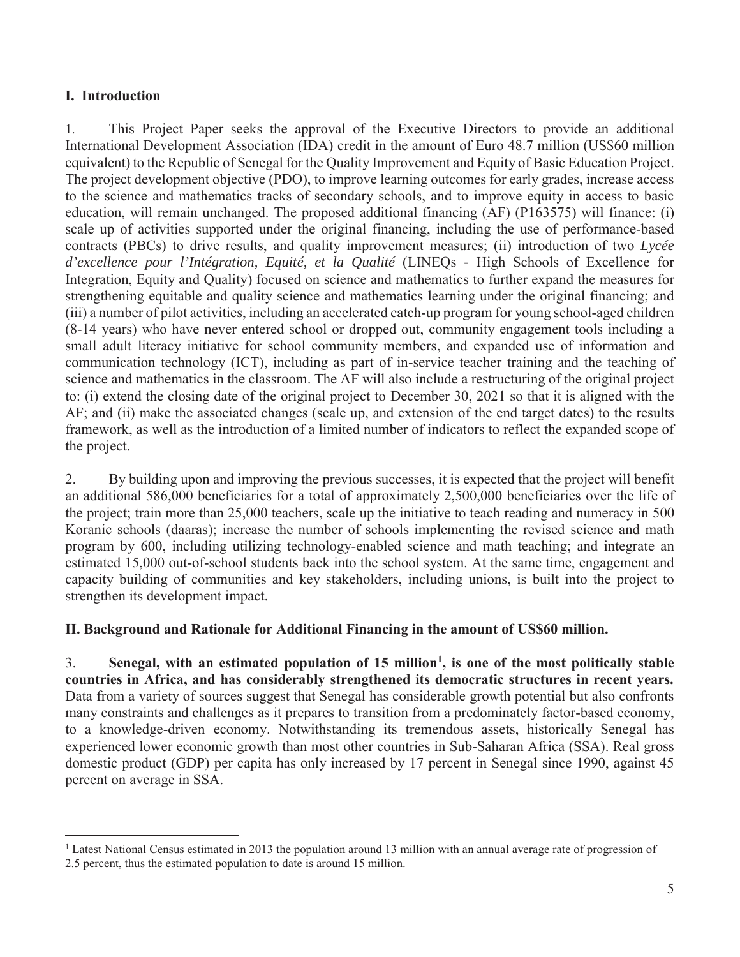## **I. Introduction**

 $\overline{a}$ 

1. This Project Paper seeks the approval of the Executive Directors to provide an additional International Development Association (IDA) credit in the amount of Euro 48.7 million (US\$60 million equivalent) to the Republic of Senegal for the Quality Improvement and Equity of Basic Education Project. The project development objective (PDO), to improve learning outcomes for early grades, increase access to the science and mathematics tracks of secondary schools, and to improve equity in access to basic education, will remain unchanged. The proposed additional financing (AF) (P163575) will finance: (i) scale up of activities supported under the original financing, including the use of performance-based contracts (PBCs) to drive results, and quality improvement measures; (ii) introduction of two *Lycée d'excellence pour l'Intégration, Equité, et la Qualité* (LINEQs *-* High Schools of Excellence for Integration, Equity and Quality) focused on science and mathematics to further expand the measures for strengthening equitable and quality science and mathematics learning under the original financing; and (iii) a number of pilot activities, including an accelerated catch-up program for young school-aged children (8-14 years) who have never entered school or dropped out, community engagement tools including a small adult literacy initiative for school community members, and expanded use of information and communication technology (ICT), including as part of in-service teacher training and the teaching of science and mathematics in the classroom. The AF will also include a restructuring of the original project to: (i) extend the closing date of the original project to December 30, 2021 so that it is aligned with the AF; and (ii) make the associated changes (scale up, and extension of the end target dates) to the results framework, as well as the introduction of a limited number of indicators to reflect the expanded scope of the project.

2. By building upon and improving the previous successes, it is expected that the project will benefit an additional 586,000 beneficiaries for a total of approximately 2,500,000 beneficiaries over the life of the project; train more than 25,000 teachers, scale up the initiative to teach reading and numeracy in 500 Koranic schools (daaras); increase the number of schools implementing the revised science and math program by 600, including utilizing technology-enabled science and math teaching; and integrate an estimated 15,000 out-of-school students back into the school system. At the same time, engagement and capacity building of communities and key stakeholders, including unions, is built into the project to strengthen its development impact.

## **II. Background and Rationale for Additional Financing in the amount of US\$60 million.**

3. **Senegal, with an estimated population of 15 million1, is one of the most politically stable countries in Africa, and has considerably strengthened its democratic structures in recent years.** Data from a variety of sources suggest that Senegal has considerable growth potential but also confronts many constraints and challenges as it prepares to transition from a predominately factor-based economy, to a knowledge-driven economy. Notwithstanding its tremendous assets, historically Senegal has experienced lower economic growth than most other countries in Sub-Saharan Africa (SSA). Real gross domestic product (GDP) per capita has only increased by 17 percent in Senegal since 1990, against 45 percent on average in SSA.

<sup>&</sup>lt;sup>1</sup> Latest National Census estimated in 2013 the population around 13 million with an annual average rate of progression of 2.5 percent, thus the estimated population to date is around 15 million.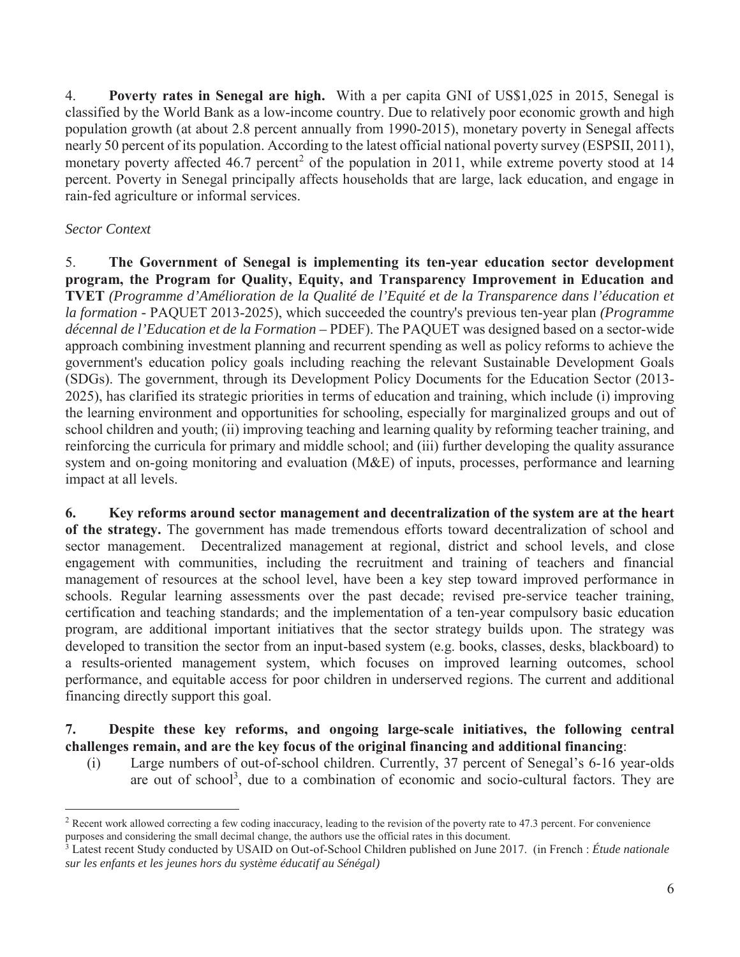4. **Poverty rates in Senegal are high.** With a per capita GNI of US\$1,025 in 2015, Senegal is classified by the World Bank as a low-income country. Due to relatively poor economic growth and high population growth (at about 2.8 percent annually from 1990-2015), monetary poverty in Senegal affects nearly 50 percent of its population. According to the latest official national poverty survey (ESPSII, 2011), monetary poverty affected 46.7 percent<sup>2</sup> of the population in 2011, while extreme poverty stood at 14 percent. Poverty in Senegal principally affects households that are large, lack education, and engage in rain-fed agriculture or informal services.

# *Sector Context*

 $\overline{a}$ 

5. **The Government of Senegal is implementing its ten-year education sector development program, the Program for Quality, Equity, and Transparency Improvement in Education and TVET** *(Programme d'Amélioration de la Qualité de l'Equité et de la Transparence dans l'éducation et la formation -* PAQUET 2013-2025), which succeeded the country's previous ten-year plan *(Programme décennal de l'Education et de la Formation –* PDEF). The PAQUET was designed based on a sector-wide approach combining investment planning and recurrent spending as well as policy reforms to achieve the government's education policy goals including reaching the relevant Sustainable Development Goals (SDGs). The government, through its Development Policy Documents for the Education Sector (2013- 2025), has clarified its strategic priorities in terms of education and training, which include (i) improving the learning environment and opportunities for schooling, especially for marginalized groups and out of school children and youth; (ii) improving teaching and learning quality by reforming teacher training, and reinforcing the curricula for primary and middle school; and (iii) further developing the quality assurance system and on-going monitoring and evaluation (M&E) of inputs, processes, performance and learning impact at all levels.

**6. Key reforms around sector management and decentralization of the system are at the heart of the strategy.** The government has made tremendous efforts toward decentralization of school and sector management. Decentralized management at regional, district and school levels, and close engagement with communities, including the recruitment and training of teachers and financial management of resources at the school level, have been a key step toward improved performance in schools. Regular learning assessments over the past decade; revised pre-service teacher training, certification and teaching standards; and the implementation of a ten-year compulsory basic education program, are additional important initiatives that the sector strategy builds upon. The strategy was developed to transition the sector from an input-based system (e.g. books, classes, desks, blackboard) to a results-oriented management system, which focuses on improved learning outcomes, school performance, and equitable access for poor children in underserved regions. The current and additional financing directly support this goal.

## **7. Despite these key reforms, and ongoing large-scale initiatives, the following central challenges remain, and are the key focus of the original financing and additional financing**:

(i) Large numbers of out-of-school children. Currently, 37 percent of Senegal's 6-16 year-olds are out of school<sup>3</sup>, due to a combination of economic and socio-cultural factors. They are

<sup>&</sup>lt;sup>2</sup> Recent work allowed correcting a few coding inaccuracy, leading to the revision of the poverty rate to 47.3 percent. For convenience purposes and considering the small decimal change, the authors use the official rates in this document.

<sup>3</sup> Latest recent Study conducted by USAID on Out-of-School Children published on June 2017. (in French : *Étude nationale sur les enfants et les jeunes hors du système éducatif au Sénégal)*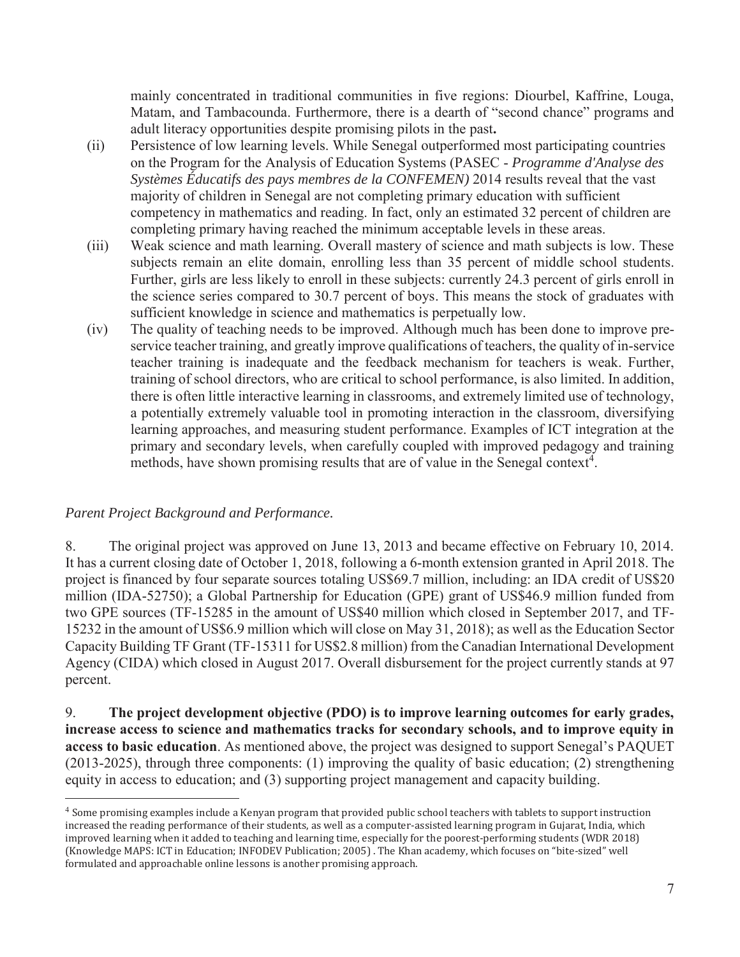mainly concentrated in traditional communities in five regions: Diourbel, Kaffrine, Louga, Matam, and Tambacounda. Furthermore, there is a dearth of "second chance" programs and adult literacy opportunities despite promising pilots in the past**.** 

- (ii) Persistence of low learning levels. While Senegal outperformed most participating countries on the Program for the Analysis of Education Systems (PASEC - *Programme d'Analyse des Systèmes Éducatifs des pays membres de la CONFEMEN)* 2014 results reveal that the vast majority of children in Senegal are not completing primary education with sufficient competency in mathematics and reading. In fact, only an estimated 32 percent of children are completing primary having reached the minimum acceptable levels in these areas.
- (iii) Weak science and math learning. Overall mastery of science and math subjects is low. These subjects remain an elite domain, enrolling less than 35 percent of middle school students. Further, girls are less likely to enroll in these subjects: currently 24.3 percent of girls enroll in the science series compared to 30.7 percent of boys. This means the stock of graduates with sufficient knowledge in science and mathematics is perpetually low.
- (iv) The quality of teaching needs to be improved. Although much has been done to improve preservice teacher training, and greatly improve qualifications of teachers, the quality of in-service teacher training is inadequate and the feedback mechanism for teachers is weak. Further, training of school directors, who are critical to school performance, is also limited. In addition, there is often little interactive learning in classrooms, and extremely limited use of technology, a potentially extremely valuable tool in promoting interaction in the classroom, diversifying learning approaches, and measuring student performance. Examples of ICT integration at the primary and secondary levels, when carefully coupled with improved pedagogy and training methods, have shown promising results that are of value in the Senegal context<sup>4</sup>.

## *Parent Project Background and Performance.*

 $\overline{a}$ 

8. The original project was approved on June 13, 2013 and became effective on February 10, 2014. It has a current closing date of October 1, 2018, following a 6-month extension granted in April 2018. The project is financed by four separate sources totaling US\$69.7 million, including: an IDA credit of US\$20 million (IDA-52750); a Global Partnership for Education (GPE) grant of US\$46.9 million funded from two GPE sources (TF-15285 in the amount of US\$40 million which closed in September 2017, and TF-15232 in the amount of US\$6.9 million which will close on May 31, 2018); as well as the Education Sector Capacity Building TF Grant (TF-15311 for US\$2.8 million) from the Canadian International Development Agency (CIDA) which closed in August 2017. Overall disbursement for the project currently stands at 97 percent.

9. **The project development objective (PDO) is to improve learning outcomes for early grades, increase access to science and mathematics tracks for secondary schools, and to improve equity in access to basic education**. As mentioned above, the project was designed to support Senegal's PAQUET (2013-2025), through three components: (1) improving the quality of basic education; (2) strengthening equity in access to education; and (3) supporting project management and capacity building.

<sup>4</sup> Some promising examples include a Kenyan program that provided public school teachers with tablets to support instruction increased the reading performance of their students, as well as a computer-assisted learning program in Gujarat, India, which improved learning when it added to teaching and learning time, especially for the poorest-performing students (WDR 2018) (Knowledge MAPS: ICT in Education; INFODEV Publication; 2005) . The Khan academy, which focuses on "bite-sized" well formulated and approachable online lessons is another promising approach.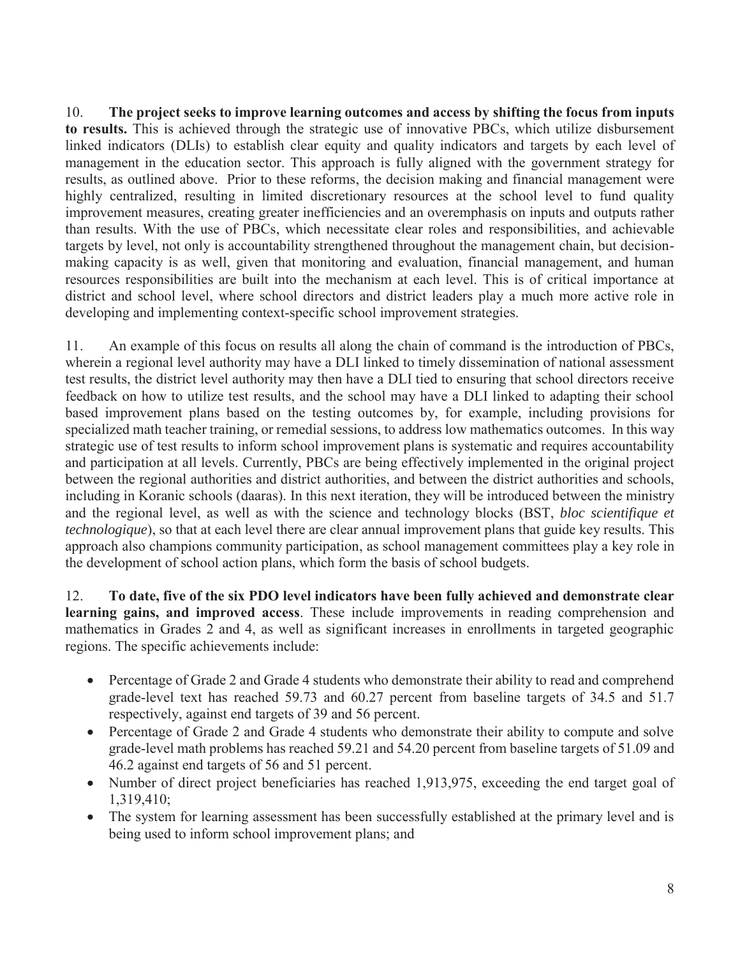10. **The project seeks to improve learning outcomes and access by shifting the focus from inputs to results.** This is achieved through the strategic use of innovative PBCs, which utilize disbursement linked indicators (DLIs) to establish clear equity and quality indicators and targets by each level of management in the education sector. This approach is fully aligned with the government strategy for results, as outlined above. Prior to these reforms, the decision making and financial management were highly centralized, resulting in limited discretionary resources at the school level to fund quality improvement measures, creating greater inefficiencies and an overemphasis on inputs and outputs rather than results. With the use of PBCs, which necessitate clear roles and responsibilities, and achievable targets by level, not only is accountability strengthened throughout the management chain, but decisionmaking capacity is as well, given that monitoring and evaluation, financial management, and human resources responsibilities are built into the mechanism at each level. This is of critical importance at district and school level, where school directors and district leaders play a much more active role in developing and implementing context-specific school improvement strategies.

11. An example of this focus on results all along the chain of command is the introduction of PBCs, wherein a regional level authority may have a DLI linked to timely dissemination of national assessment test results, the district level authority may then have a DLI tied to ensuring that school directors receive feedback on how to utilize test results, and the school may have a DLI linked to adapting their school based improvement plans based on the testing outcomes by, for example, including provisions for specialized math teacher training, or remedial sessions, to address low mathematics outcomes. In this way strategic use of test results to inform school improvement plans is systematic and requires accountability and participation at all levels. Currently, PBCs are being effectively implemented in the original project between the regional authorities and district authorities, and between the district authorities and schools, including in Koranic schools (daaras). In this next iteration, they will be introduced between the ministry and the regional level, as well as with the science and technology blocks (BST, *bloc scientifique et technologique*), so that at each level there are clear annual improvement plans that guide key results. This approach also champions community participation, as school management committees play a key role in the development of school action plans, which form the basis of school budgets.

12. **To date, five of the six PDO level indicators have been fully achieved and demonstrate clear learning gains, and improved access**. These include improvements in reading comprehension and mathematics in Grades 2 and 4, as well as significant increases in enrollments in targeted geographic regions. The specific achievements include:

- Percentage of Grade 2 and Grade 4 students who demonstrate their ability to read and comprehend grade-level text has reached 59.73 and 60.27 percent from baseline targets of 34.5 and 51.7 respectively, against end targets of 39 and 56 percent.
- Percentage of Grade 2 and Grade 4 students who demonstrate their ability to compute and solve grade-level math problems has reached 59.21 and 54.20 percent from baseline targets of 51.09 and 46.2 against end targets of 56 and 51 percent.
- Number of direct project beneficiaries has reached 1,913,975, exceeding the end target goal of 1,319,410;
- The system for learning assessment has been successfully established at the primary level and is being used to inform school improvement plans; and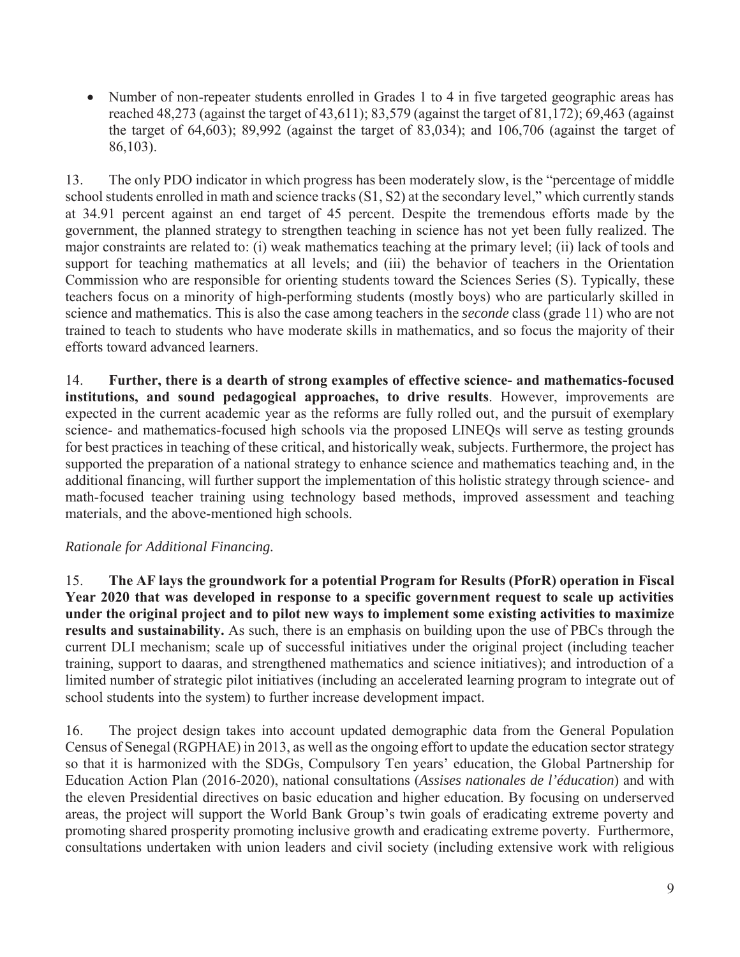• Number of non-repeater students enrolled in Grades 1 to 4 in five targeted geographic areas has reached 48,273 (against the target of 43,611); 83,579 (against the target of 81,172); 69,463 (against the target of 64,603); 89,992 (against the target of 83,034); and 106,706 (against the target of 86,103).

13. The only PDO indicator in which progress has been moderately slow, is the "percentage of middle school students enrolled in math and science tracks (S1, S2) at the secondary level," which currently stands at 34.91 percent against an end target of 45 percent. Despite the tremendous efforts made by the government, the planned strategy to strengthen teaching in science has not yet been fully realized. The major constraints are related to: (i) weak mathematics teaching at the primary level; (ii) lack of tools and support for teaching mathematics at all levels; and (iii) the behavior of teachers in the Orientation Commission who are responsible for orienting students toward the Sciences Series (S). Typically, these teachers focus on a minority of high-performing students (mostly boys) who are particularly skilled in science and mathematics. This is also the case among teachers in the *seconde* class (grade 11) who are not trained to teach to students who have moderate skills in mathematics, and so focus the majority of their efforts toward advanced learners.

14. **Further, there is a dearth of strong examples of effective science- and mathematics-focused institutions, and sound pedagogical approaches, to drive results**. However, improvements are expected in the current academic year as the reforms are fully rolled out, and the pursuit of exemplary science- and mathematics-focused high schools via the proposed LINEQs will serve as testing grounds for best practices in teaching of these critical, and historically weak, subjects. Furthermore, the project has supported the preparation of a national strategy to enhance science and mathematics teaching and, in the additional financing, will further support the implementation of this holistic strategy through science- and math-focused teacher training using technology based methods, improved assessment and teaching materials, and the above-mentioned high schools.

# *Rationale for Additional Financing.*

15. **The AF lays the groundwork for a potential Program for Results (PforR) operation in Fiscal Year 2020 that was developed in response to a specific government request to scale up activities under the original project and to pilot new ways to implement some existing activities to maximize results and sustainability.** As such, there is an emphasis on building upon the use of PBCs through the current DLI mechanism; scale up of successful initiatives under the original project (including teacher training, support to daaras, and strengthened mathematics and science initiatives); and introduction of a limited number of strategic pilot initiatives (including an accelerated learning program to integrate out of school students into the system) to further increase development impact.

16. The project design takes into account updated demographic data from the General Population Census of Senegal (RGPHAE) in 2013, as well as the ongoing effort to update the education sector strategy so that it is harmonized with the SDGs, Compulsory Ten years' education, the Global Partnership for Education Action Plan (2016-2020), national consultations (*Assises nationales de l'éducation*) and with the eleven Presidential directives on basic education and higher education. By focusing on underserved areas, the project will support the World Bank Group's twin goals of eradicating extreme poverty and promoting shared prosperity promoting inclusive growth and eradicating extreme poverty. Furthermore, consultations undertaken with union leaders and civil society (including extensive work with religious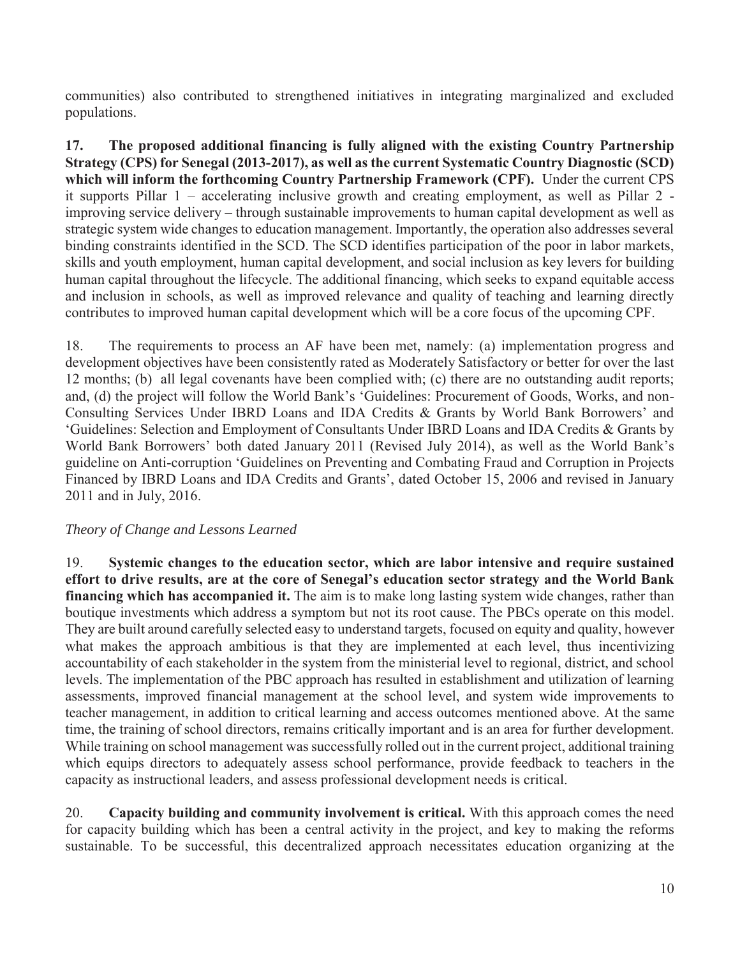communities) also contributed to strengthened initiatives in integrating marginalized and excluded populations.

**17. The proposed additional financing is fully aligned with the existing Country Partnership Strategy (CPS) for Senegal (2013-2017), as well as the current Systematic Country Diagnostic (SCD) which will inform the forthcoming Country Partnership Framework (CPF).** Under the current CPS it supports Pillar 1 – accelerating inclusive growth and creating employment, as well as Pillar 2 improving service delivery – through sustainable improvements to human capital development as well as strategic system wide changes to education management. Importantly, the operation also addresses several binding constraints identified in the SCD. The SCD identifies participation of the poor in labor markets, skills and youth employment, human capital development, and social inclusion as key levers for building human capital throughout the lifecycle. The additional financing, which seeks to expand equitable access and inclusion in schools, as well as improved relevance and quality of teaching and learning directly contributes to improved human capital development which will be a core focus of the upcoming CPF.

18. The requirements to process an AF have been met, namely: (a) implementation progress and development objectives have been consistently rated as Moderately Satisfactory or better for over the last 12 months; (b) all legal covenants have been complied with; (c) there are no outstanding audit reports; and, (d) the project will follow the World Bank's 'Guidelines: Procurement of Goods, Works, and non-Consulting Services Under IBRD Loans and IDA Credits & Grants by World Bank Borrowers' and 'Guidelines: Selection and Employment of Consultants Under IBRD Loans and IDA Credits & Grants by World Bank Borrowers' both dated January 2011 (Revised July 2014), as well as the World Bank's guideline on Anti-corruption 'Guidelines on Preventing and Combating Fraud and Corruption in Projects Financed by IBRD Loans and IDA Credits and Grants', dated October 15, 2006 and revised in January 2011 and in July, 2016.

## *Theory of Change and Lessons Learned*

19. **Systemic changes to the education sector, which are labor intensive and require sustained effort to drive results, are at the core of Senegal's education sector strategy and the World Bank financing which has accompanied it.** The aim is to make long lasting system wide changes, rather than boutique investments which address a symptom but not its root cause. The PBCs operate on this model. They are built around carefully selected easy to understand targets, focused on equity and quality, however what makes the approach ambitious is that they are implemented at each level, thus incentivizing accountability of each stakeholder in the system from the ministerial level to regional, district, and school levels. The implementation of the PBC approach has resulted in establishment and utilization of learning assessments, improved financial management at the school level, and system wide improvements to teacher management, in addition to critical learning and access outcomes mentioned above. At the same time, the training of school directors, remains critically important and is an area for further development. While training on school management was successfully rolled out in the current project, additional training which equips directors to adequately assess school performance, provide feedback to teachers in the capacity as instructional leaders, and assess professional development needs is critical.

20. **Capacity building and community involvement is critical.** With this approach comes the need for capacity building which has been a central activity in the project, and key to making the reforms sustainable. To be successful, this decentralized approach necessitates education organizing at the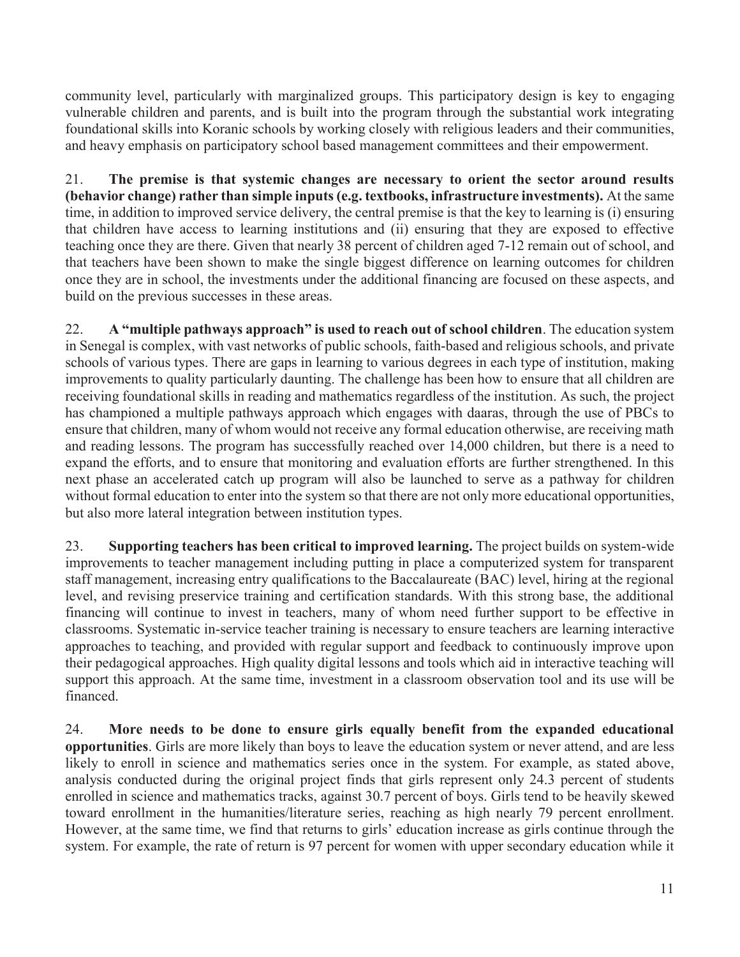community level, particularly with marginalized groups. This participatory design is key to engaging vulnerable children and parents, and is built into the program through the substantial work integrating foundational skills into Koranic schools by working closely with religious leaders and their communities, and heavy emphasis on participatory school based management committees and their empowerment.

21. **The premise is that systemic changes are necessary to orient the sector around results (behavior change) rather than simple inputs (e.g. textbooks, infrastructure investments).** At the same time, in addition to improved service delivery, the central premise is that the key to learning is (i) ensuring that children have access to learning institutions and (ii) ensuring that they are exposed to effective teaching once they are there. Given that nearly 38 percent of children aged 7-12 remain out of school, and that teachers have been shown to make the single biggest difference on learning outcomes for children once they are in school, the investments under the additional financing are focused on these aspects, and build on the previous successes in these areas.

22. **A "multiple pathways approach" is used to reach out of school children**. The education system in Senegal is complex, with vast networks of public schools, faith-based and religious schools, and private schools of various types. There are gaps in learning to various degrees in each type of institution, making improvements to quality particularly daunting. The challenge has been how to ensure that all children are receiving foundational skills in reading and mathematics regardless of the institution. As such, the project has championed a multiple pathways approach which engages with daaras, through the use of PBCs to ensure that children, many of whom would not receive any formal education otherwise, are receiving math and reading lessons. The program has successfully reached over 14,000 children, but there is a need to expand the efforts, and to ensure that monitoring and evaluation efforts are further strengthened. In this next phase an accelerated catch up program will also be launched to serve as a pathway for children without formal education to enter into the system so that there are not only more educational opportunities, but also more lateral integration between institution types.

23. **Supporting teachers has been critical to improved learning.** The project builds on system-wide improvements to teacher management including putting in place a computerized system for transparent staff management, increasing entry qualifications to the Baccalaureate (BAC) level, hiring at the regional level, and revising preservice training and certification standards. With this strong base, the additional financing will continue to invest in teachers, many of whom need further support to be effective in classrooms. Systematic in-service teacher training is necessary to ensure teachers are learning interactive approaches to teaching, and provided with regular support and feedback to continuously improve upon their pedagogical approaches. High quality digital lessons and tools which aid in interactive teaching will support this approach. At the same time, investment in a classroom observation tool and its use will be financed.

24. **More needs to be done to ensure girls equally benefit from the expanded educational opportunities**. Girls are more likely than boys to leave the education system or never attend, and are less likely to enroll in science and mathematics series once in the system. For example, as stated above, analysis conducted during the original project finds that girls represent only 24.3 percent of students enrolled in science and mathematics tracks, against 30.7 percent of boys. Girls tend to be heavily skewed toward enrollment in the humanities/literature series, reaching as high nearly 79 percent enrollment. However, at the same time, we find that returns to girls' education increase as girls continue through the system. For example, the rate of return is 97 percent for women with upper secondary education while it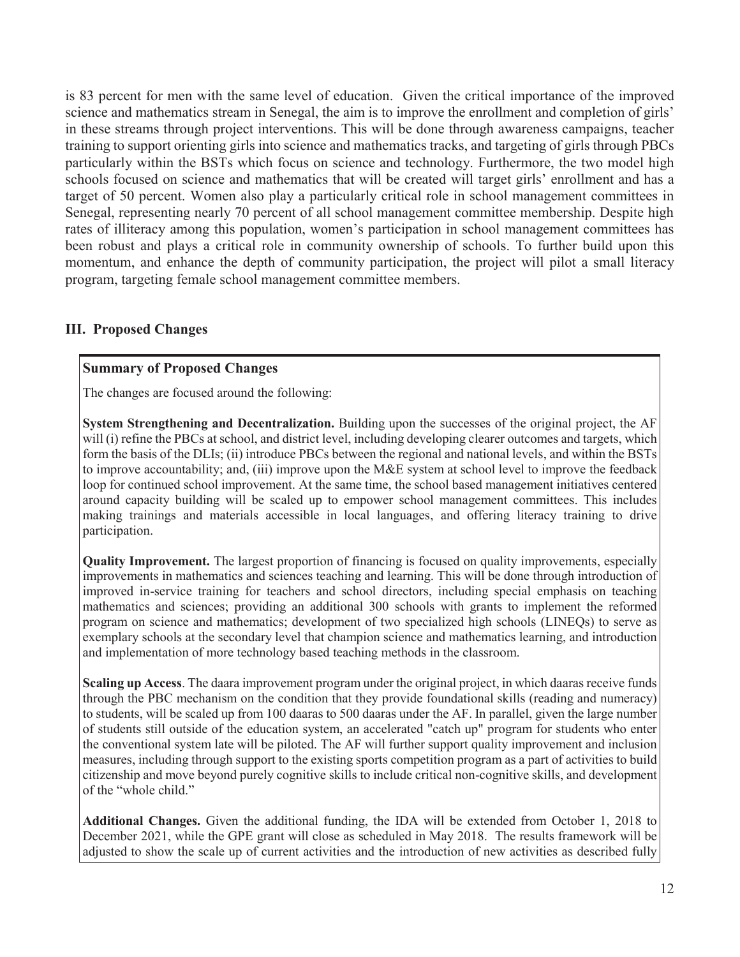is 83 percent for men with the same level of education. Given the critical importance of the improved science and mathematics stream in Senegal, the aim is to improve the enrollment and completion of girls' in these streams through project interventions. This will be done through awareness campaigns, teacher training to support orienting girls into science and mathematics tracks, and targeting of girls through PBCs particularly within the BSTs which focus on science and technology. Furthermore, the two model high schools focused on science and mathematics that will be created will target girls' enrollment and has a target of 50 percent. Women also play a particularly critical role in school management committees in Senegal, representing nearly 70 percent of all school management committee membership. Despite high rates of illiteracy among this population, women's participation in school management committees has been robust and plays a critical role in community ownership of schools. To further build upon this momentum, and enhance the depth of community participation, the project will pilot a small literacy program, targeting female school management committee members.

## **III. Proposed Changes**

## **Summary of Proposed Changes**

The changes are focused around the following:

**System Strengthening and Decentralization.** Building upon the successes of the original project, the AF will (i) refine the PBCs at school, and district level, including developing clearer outcomes and targets, which form the basis of the DLIs; (ii) introduce PBCs between the regional and national levels, and within the BSTs to improve accountability; and, (iii) improve upon the M&E system at school level to improve the feedback loop for continued school improvement. At the same time, the school based management initiatives centered around capacity building will be scaled up to empower school management committees. This includes making trainings and materials accessible in local languages, and offering literacy training to drive participation.

**Quality Improvement.** The largest proportion of financing is focused on quality improvements, especially improvements in mathematics and sciences teaching and learning. This will be done through introduction of improved in-service training for teachers and school directors, including special emphasis on teaching mathematics and sciences; providing an additional 300 schools with grants to implement the reformed program on science and mathematics; development of two specialized high schools (LINEQs) to serve as exemplary schools at the secondary level that champion science and mathematics learning, and introduction and implementation of more technology based teaching methods in the classroom.

**Scaling up Access**. The daara improvement program under the original project, in which daaras receive funds through the PBC mechanism on the condition that they provide foundational skills (reading and numeracy) to students, will be scaled up from 100 daaras to 500 daaras under the AF. In parallel, given the large number of students still outside of the education system, an accelerated "catch up" program for students who enter the conventional system late will be piloted. The AF will further support quality improvement and inclusion measures, including through support to the existing sports competition program as a part of activities to build citizenship and move beyond purely cognitive skills to include critical non-cognitive skills, and development of the "whole child."

**Additional Changes.** Given the additional funding, the IDA will be extended from October 1, 2018 to December 2021, while the GPE grant will close as scheduled in May 2018. The results framework will be adjusted to show the scale up of current activities and the introduction of new activities as described fully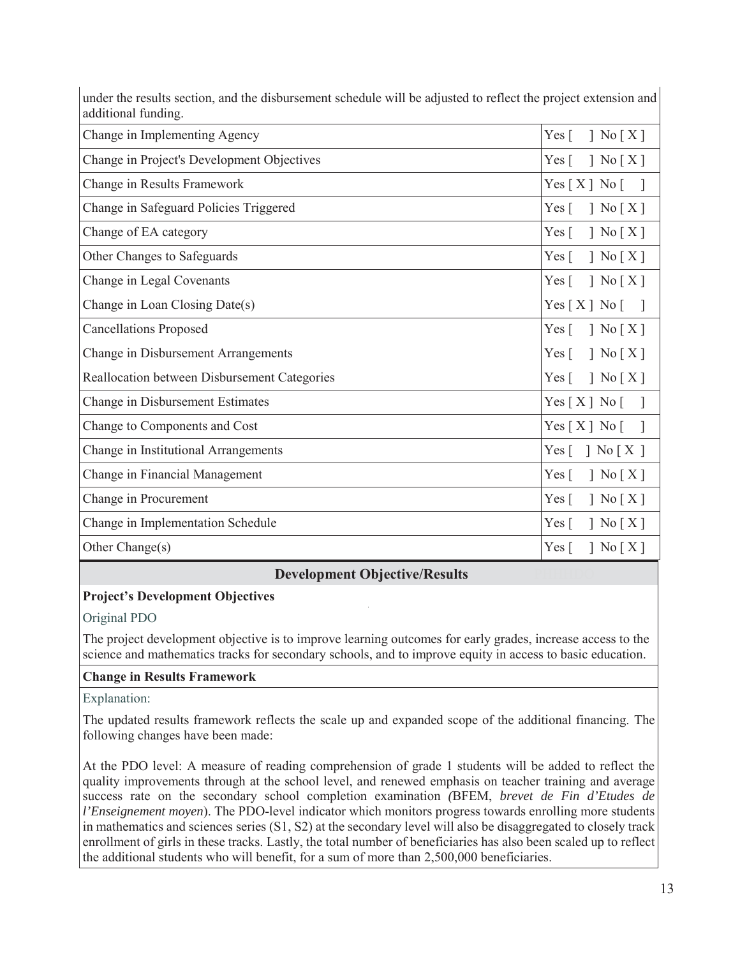| additional funding.                          |                                                                              |
|----------------------------------------------|------------------------------------------------------------------------------|
| Change in Implementing Agency                | Yes $\lceil$<br>$\vert$ No $\vert$ X $\vert$                                 |
| Change in Project's Development Objectives   | $\left[ X \right]$<br>$Yes \Gamma$                                           |
| Change in Results Framework                  | Yes [ X ] No [                                                               |
| Change in Safeguard Policies Triggered       | $\left[ X \right]$<br>Yes $\lceil$                                           |
| Change of EA category                        | $\left[ X \right]$ No $\left[ X \right]$<br>Yes $\lceil$                     |
| Other Changes to Safeguards                  | Yes $\lceil$<br>$\left[ X \right]$                                           |
| Change in Legal Covenants                    | Yes $\lceil$<br>$\left[\right]$ No $\left[X\right]$                          |
| Change in Loan Closing Date(s)               | Yes[X] No[]                                                                  |
| <b>Cancellations Proposed</b>                | $\left\lceil \right.$ No $\left[ \right.$ X $\left. \right]$<br>Yes $\lceil$ |
| Change in Disbursement Arrangements          | $\left[ X \right]$ No $\left[ X \right]$<br>$Yes \lceil$                     |
| Reallocation between Disbursement Categories | $\left\lceil \right.$ No $\left[ \right.$ X $\left. \right]$<br>$Yes \lceil$ |
| Change in Disbursement Estimates             | Yes [ X ] No [                                                               |
| Change to Components and Cost                | Yes [ X ] No [                                                               |
| Change in Institutional Arrangements         | $\left\lceil \right.$ No $\left[ \right.$ X $\left. \right]$<br>$Yes \lceil$ |
| Change in Financial Management               | $\left[\right]$ No $\left[\right]$ X $\left[\right]$<br>Yes $\lceil$         |
| Change in Procurement                        | Yes $\lceil$<br>$\left[ X \right]$                                           |
| Change in Implementation Schedule            | $\left[ X \right]$<br>Yes $\lceil$                                           |
| Other Change(s)                              | $\left[ X \right]$<br>$Yes \lceil$                                           |

under the results section, and the disbursement schedule will be adjusted to reflect the project extension and additional funding.

## **Development Objective/Results**

#### **Project's Development Objectives**

Original PDO

The project development objective is to improve learning outcomes for early grades, increase access to the science and mathematics tracks for secondary schools, and to improve equity in access to basic education.

#### **Change in Results Framework**

Explanation:

The updated results framework reflects the scale up and expanded scope of the additional financing. The following changes have been made:

At the PDO level: A measure of reading comprehension of grade 1 students will be added to reflect the quality improvements through at the school level, and renewed emphasis on teacher training and average success rate on the secondary school completion examination *(*BFEM, *brevet de Fin d'Etudes de l'Enseignement moyen*). The PDO-level indicator which monitors progress towards enrolling more students in mathematics and sciences series (S1, S2) at the secondary level will also be disaggregated to closely track enrollment of girls in these tracks. Lastly, the total number of beneficiaries has also been scaled up to reflect the additional students who will benefit, for a sum of more than 2,500,000 beneficiaries.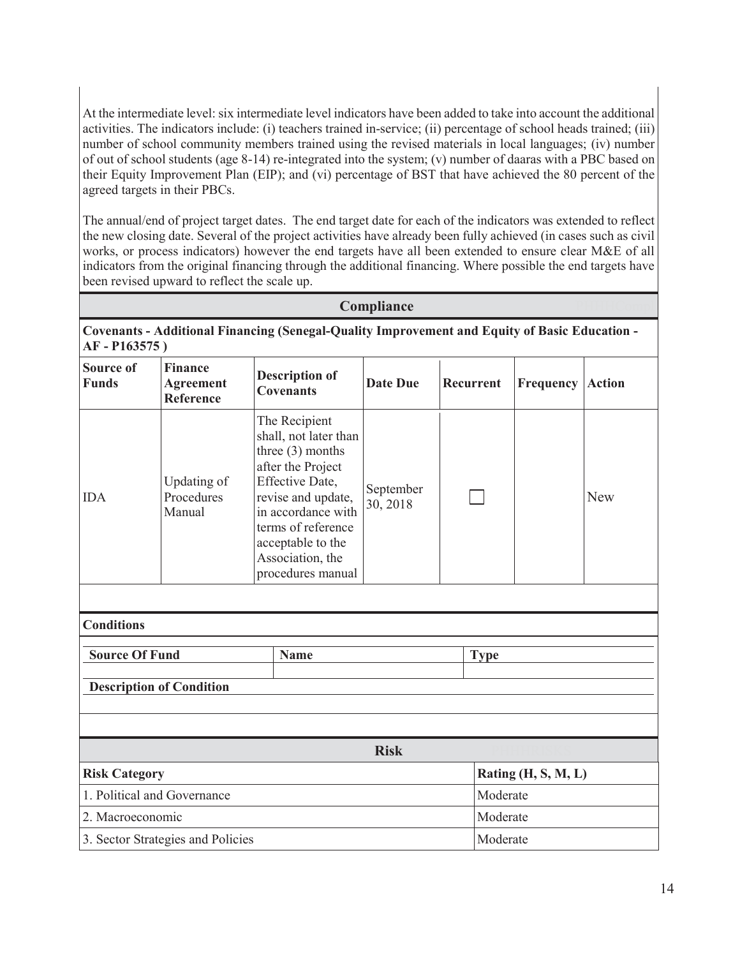At the intermediate level: six intermediate level indicators have been added to take into account the additional activities. The indicators include: (i) teachers trained in-service; (ii) percentage of school heads trained; (iii) number of school community members trained using the revised materials in local languages; (iv) number of out of school students (age 8-14) re-integrated into the system; (v) number of daaras with a PBC based on their Equity Improvement Plan (EIP); and (vi) percentage of BST that have achieved the 80 percent of the agreed targets in their PBCs.

The annual/end of project target dates. The end target date for each of the indicators was extended to reflect the new closing date. Several of the project activities have already been fully achieved (in cases such as civil works, or process indicators) however the end targets have all been extended to ensure clear M&E of all indicators from the original financing through the additional financing. Where possible the end targets have been revised upward to reflect the scale up.

## **Compliance**

**Covenants - Additional Financing (Senegal-Quality Improvement and Equity of Basic Education - AF - P163575 )**

| <b>Source of</b><br><b>Funds</b> | <b>Finance</b><br><b>Agreement</b><br>Reference | <b>Description of</b><br><b>Covenants</b>                                                                                                                                                                                            | <b>Date Due</b>       | <b>Recurrent</b> | <b>Frequency Action</b> |     |
|----------------------------------|-------------------------------------------------|--------------------------------------------------------------------------------------------------------------------------------------------------------------------------------------------------------------------------------------|-----------------------|------------------|-------------------------|-----|
| <b>IDA</b>                       | Updating of<br>Procedures<br>Manual             | The Recipient<br>shall, not later than<br>three $(3)$ months<br>after the Project<br>Effective Date,<br>revise and update,<br>in accordance with<br>terms of reference<br>acceptable to the<br>Association, the<br>procedures manual | September<br>30, 2018 |                  |                         | New |
|                                  |                                                 |                                                                                                                                                                                                                                      |                       |                  |                         |     |
| <b>Conditions</b>                |                                                 |                                                                                                                                                                                                                                      |                       |                  |                         |     |
| <b>Source Of Fund</b>            |                                                 | <b>Name</b>                                                                                                                                                                                                                          |                       | <b>Type</b>      |                         |     |
|                                  | <b>Description of Condition</b>                 |                                                                                                                                                                                                                                      |                       |                  |                         |     |
|                                  |                                                 |                                                                                                                                                                                                                                      | <b>Risk</b>           |                  |                         |     |
| <b>Risk Category</b>             |                                                 |                                                                                                                                                                                                                                      |                       |                  | Rating (H, S, M, L)     |     |
|                                  | 1. Political and Governance                     |                                                                                                                                                                                                                                      |                       | Moderate         |                         |     |
| 2. Macroeconomic                 |                                                 |                                                                                                                                                                                                                                      | Moderate              |                  |                         |     |
|                                  | 3. Sector Strategies and Policies               |                                                                                                                                                                                                                                      |                       | Moderate         |                         |     |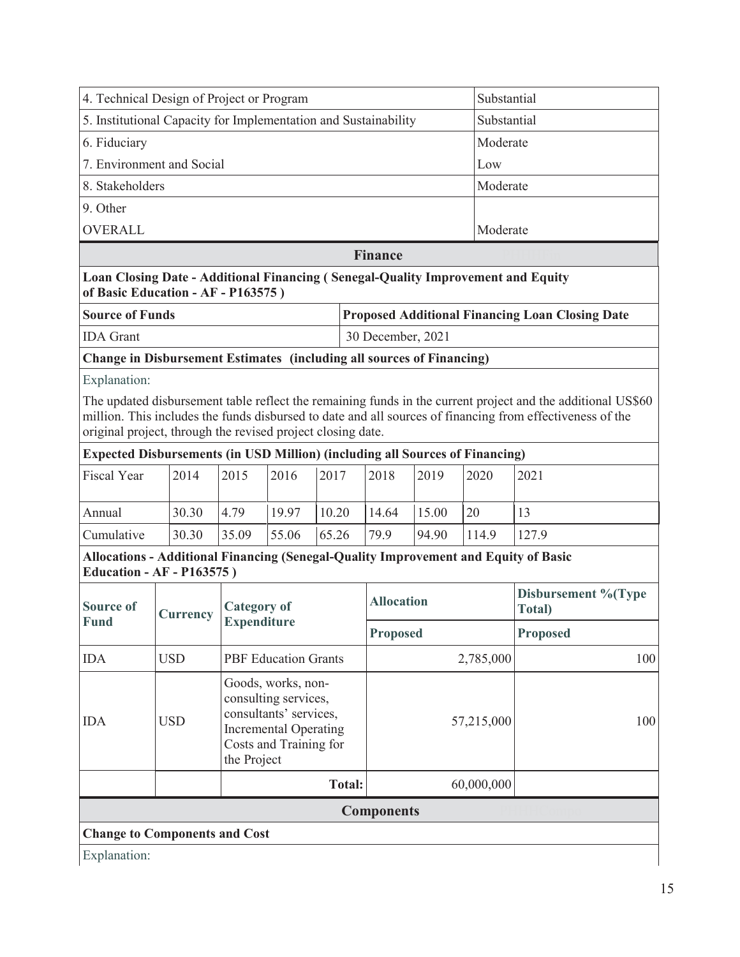|                           | 4. Technical Design of Project or Program                                                                               | Substantial                                                                                                                                   |                             |       |               |                   |                 |            |                                                                                                                                                                                                                          |
|---------------------------|-------------------------------------------------------------------------------------------------------------------------|-----------------------------------------------------------------------------------------------------------------------------------------------|-----------------------------|-------|---------------|-------------------|-----------------|------------|--------------------------------------------------------------------------------------------------------------------------------------------------------------------------------------------------------------------------|
|                           | 5. Institutional Capacity for Implementation and Sustainability                                                         |                                                                                                                                               | Substantial                 |       |               |                   |                 |            |                                                                                                                                                                                                                          |
| 6. Fiduciary              |                                                                                                                         |                                                                                                                                               | Moderate                    |       |               |                   |                 |            |                                                                                                                                                                                                                          |
| 7. Environment and Social |                                                                                                                         |                                                                                                                                               |                             |       |               |                   |                 |            |                                                                                                                                                                                                                          |
| 8. Stakeholders           |                                                                                                                         |                                                                                                                                               |                             |       |               |                   |                 | Moderate   |                                                                                                                                                                                                                          |
| 9. Other                  |                                                                                                                         |                                                                                                                                               |                             |       |               |                   |                 |            |                                                                                                                                                                                                                          |
| <b>OVERALL</b>            |                                                                                                                         |                                                                                                                                               |                             |       |               |                   |                 | Moderate   |                                                                                                                                                                                                                          |
|                           |                                                                                                                         |                                                                                                                                               |                             |       |               | <b>Finance</b>    |                 |            |                                                                                                                                                                                                                          |
|                           | Loan Closing Date - Additional Financing (Senegal-Quality Improvement and Equity<br>of Basic Education - AF - P163575)  |                                                                                                                                               |                             |       |               |                   |                 |            |                                                                                                                                                                                                                          |
| <b>Source of Funds</b>    |                                                                                                                         |                                                                                                                                               |                             |       |               |                   |                 |            | <b>Proposed Additional Financing Loan Closing Date</b>                                                                                                                                                                   |
| <b>IDA</b> Grant          |                                                                                                                         |                                                                                                                                               |                             |       |               | 30 December, 2021 |                 |            |                                                                                                                                                                                                                          |
|                           | <b>Change in Disbursement Estimates (including all sources of Financing)</b>                                            |                                                                                                                                               |                             |       |               |                   |                 |            |                                                                                                                                                                                                                          |
| Explanation:              |                                                                                                                         |                                                                                                                                               |                             |       |               |                   |                 |            |                                                                                                                                                                                                                          |
|                           | original project, through the revised project closing date.                                                             |                                                                                                                                               |                             |       |               |                   |                 |            | The updated disbursement table reflect the remaining funds in the current project and the additional US\$60<br>million. This includes the funds disbursed to date and all sources of financing from effectiveness of the |
|                           | <b>Expected Disbursements (in USD Million) (including all Sources of Financing)</b>                                     |                                                                                                                                               |                             |       |               |                   |                 |            |                                                                                                                                                                                                                          |
| <b>Fiscal Year</b>        | 2014                                                                                                                    | 2015                                                                                                                                          | 2016                        | 2017  |               | 2018              | 2019            | 2020       | 2021                                                                                                                                                                                                                     |
| Annual                    | 30.30                                                                                                                   | 4.79                                                                                                                                          | 19.97                       | 10.20 |               | 14.64             | 15.00           | 20         | 13                                                                                                                                                                                                                       |
| Cumulative                | 30.30                                                                                                                   | 35.09                                                                                                                                         | 55.06                       | 65.26 |               | 79.9              | 94.90           | 114.9      | 127.9                                                                                                                                                                                                                    |
|                           | Allocations - Additional Financing (Senegal-Quality Improvement and Equity of Basic<br><b>Education - AF - P163575)</b> |                                                                                                                                               |                             |       |               |                   |                 |            |                                                                                                                                                                                                                          |
| <b>Source of</b>          | <b>Currency</b>                                                                                                         | <b>Category of</b>                                                                                                                            |                             |       |               | <b>Allocation</b> |                 |            | Disbursement %(Type<br>Total)                                                                                                                                                                                            |
| <b>Fund</b>               |                                                                                                                         |                                                                                                                                               | <b>Expenditure</b>          |       |               |                   | <b>Proposed</b> |            | <b>Proposed</b>                                                                                                                                                                                                          |
| <b>IDA</b>                | <b>USD</b>                                                                                                              |                                                                                                                                               | <b>PBF</b> Education Grants |       |               |                   |                 | 2,785,000  | 100                                                                                                                                                                                                                      |
| <b>IDA</b>                | <b>USD</b>                                                                                                              | Goods, works, non-<br>consulting services,<br>consultants' services,<br><b>Incremental Operating</b><br>Costs and Training for<br>the Project |                             |       |               | 57,215,000        |                 |            | 100                                                                                                                                                                                                                      |
|                           |                                                                                                                         |                                                                                                                                               |                             |       | <b>Total:</b> |                   |                 | 60,000,000 |                                                                                                                                                                                                                          |
|                           |                                                                                                                         |                                                                                                                                               |                             |       |               | <b>Components</b> |                 |            |                                                                                                                                                                                                                          |
|                           | <b>Change to Components and Cost</b>                                                                                    |                                                                                                                                               |                             |       |               |                   |                 |            |                                                                                                                                                                                                                          |
| Explanation:              |                                                                                                                         |                                                                                                                                               |                             |       |               |                   |                 |            |                                                                                                                                                                                                                          |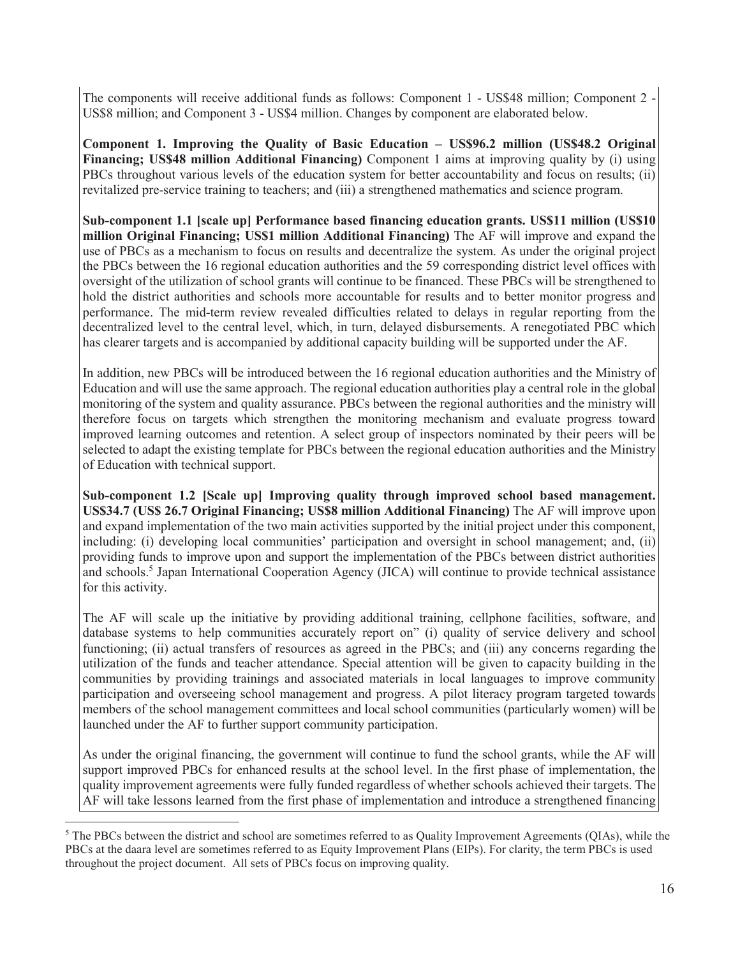The components will receive additional funds as follows: Component 1 - US\$48 million; Component 2 - US\$8 million; and Component 3 - US\$4 million. Changes by component are elaborated below.

**Component 1. Improving the Quality of Basic Education – US\$96.2 million (US\$48.2 Original Financing; US\$48 million Additional Financing)** Component 1 aims at improving quality by (i) using PBCs throughout various levels of the education system for better accountability and focus on results; (ii) revitalized pre-service training to teachers; and (iii) a strengthened mathematics and science program.

**Sub-component 1.1 [scale up] Performance based financing education grants. US\$11 million (US\$10 million Original Financing; US\$1 million Additional Financing)** The AF will improve and expand the use of PBCs as a mechanism to focus on results and decentralize the system. As under the original project the PBCs between the 16 regional education authorities and the 59 corresponding district level offices with oversight of the utilization of school grants will continue to be financed. These PBCs will be strengthened to hold the district authorities and schools more accountable for results and to better monitor progress and performance. The mid-term review revealed difficulties related to delays in regular reporting from the decentralized level to the central level, which, in turn, delayed disbursements. A renegotiated PBC which has clearer targets and is accompanied by additional capacity building will be supported under the AF.

In addition, new PBCs will be introduced between the 16 regional education authorities and the Ministry of Education and will use the same approach. The regional education authorities play a central role in the global monitoring of the system and quality assurance. PBCs between the regional authorities and the ministry will therefore focus on targets which strengthen the monitoring mechanism and evaluate progress toward improved learning outcomes and retention. A select group of inspectors nominated by their peers will be selected to adapt the existing template for PBCs between the regional education authorities and the Ministry of Education with technical support.

**Sub-component 1.2 [Scale up] Improving quality through improved school based management. US\$34.7 (US\$ 26.7 Original Financing; US\$8 million Additional Financing)** The AF will improve upon and expand implementation of the two main activities supported by the initial project under this component, including: (i) developing local communities' participation and oversight in school management; and, (ii) providing funds to improve upon and support the implementation of the PBCs between district authorities and schools.<sup>5</sup> Japan International Cooperation Agency (JICA) will continue to provide technical assistance for this activity.

The AF will scale up the initiative by providing additional training, cellphone facilities, software, and database systems to help communities accurately report on" (i) quality of service delivery and school functioning; (ii) actual transfers of resources as agreed in the PBCs; and (iii) any concerns regarding the utilization of the funds and teacher attendance. Special attention will be given to capacity building in the communities by providing trainings and associated materials in local languages to improve community participation and overseeing school management and progress. A pilot literacy program targeted towards members of the school management committees and local school communities (particularly women) will be launched under the AF to further support community participation.

As under the original financing, the government will continue to fund the school grants, while the AF will support improved PBCs for enhanced results at the school level. In the first phase of implementation, the quality improvement agreements were fully funded regardless of whether schools achieved their targets. The AF will take lessons learned from the first phase of implementation and introduce a strengthened financing

 $\overline{a}$ 

<sup>&</sup>lt;sup>5</sup> The PBCs between the district and school are sometimes referred to as Quality Improvement Agreements (QIAs), while the PBCs at the daara level are sometimes referred to as Equity Improvement Plans (EIPs). For clarity, the term PBCs is used throughout the project document. All sets of PBCs focus on improving quality.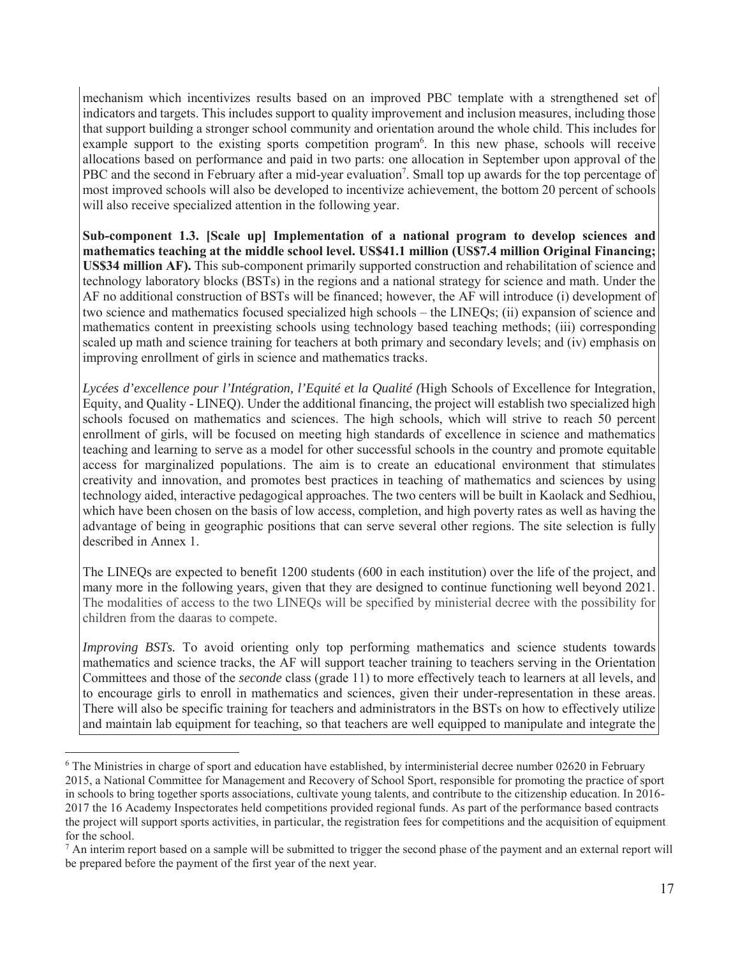mechanism which incentivizes results based on an improved PBC template with a strengthened set of indicators and targets. This includes support to quality improvement and inclusion measures, including those that support building a stronger school community and orientation around the whole child. This includes for example support to the existing sports competition program<sup>6</sup>. In this new phase, schools will receive allocations based on performance and paid in two parts: one allocation in September upon approval of the PBC and the second in February after a mid-year evaluation<sup>7</sup>. Small top up awards for the top percentage of most improved schools will also be developed to incentivize achievement, the bottom 20 percent of schools will also receive specialized attention in the following year.

**Sub-component 1.3. [Scale up] Implementation of a national program to develop sciences and mathematics teaching at the middle school level. US\$41.1 million (US\$7.4 million Original Financing; US\$34 million AF).** This sub-component primarily supported construction and rehabilitation of science and technology laboratory blocks (BSTs) in the regions and a national strategy for science and math. Under the AF no additional construction of BSTs will be financed; however, the AF will introduce (i) development of two science and mathematics focused specialized high schools – the LINEQs; (ii) expansion of science and mathematics content in preexisting schools using technology based teaching methods; (iii) corresponding scaled up math and science training for teachers at both primary and secondary levels; and (iv) emphasis on improving enrollment of girls in science and mathematics tracks.

*Lycées d'excellence pour l'Intégration, l'Equité et la Qualité (*High Schools of Excellence for Integration, Equity, and Quality - LINEQ). Under the additional financing, the project will establish two specialized high schools focused on mathematics and sciences. The high schools, which will strive to reach 50 percent enrollment of girls, will be focused on meeting high standards of excellence in science and mathematics teaching and learning to serve as a model for other successful schools in the country and promote equitable access for marginalized populations. The aim is to create an educational environment that stimulates creativity and innovation, and promotes best practices in teaching of mathematics and sciences by using technology aided, interactive pedagogical approaches. The two centers will be built in Kaolack and Sedhiou, which have been chosen on the basis of low access, completion, and high poverty rates as well as having the advantage of being in geographic positions that can serve several other regions. The site selection is fully described in Annex 1.

The LINEQs are expected to benefit 1200 students (600 in each institution) over the life of the project, and many more in the following years, given that they are designed to continue functioning well beyond 2021. The modalities of access to the two LINEQs will be specified by ministerial decree with the possibility for children from the daaras to compete.

*Improving BSTs.* To avoid orienting only top performing mathematics and science students towards mathematics and science tracks, the AF will support teacher training to teachers serving in the Orientation Committees and those of the *seconde* class (grade 11) to more effectively teach to learners at all levels, and to encourage girls to enroll in mathematics and sciences, given their under-representation in these areas. There will also be specific training for teachers and administrators in the BSTs on how to effectively utilize and maintain lab equipment for teaching, so that teachers are well equipped to manipulate and integrate the

 $\overline{a}$ 

<sup>&</sup>lt;sup>6</sup> The Ministries in charge of sport and education have established, by interministerial decree number 02620 in February 2015, a National Committee for Management and Recovery of School Sport, responsible for promoting the practice of sport in schools to bring together sports associations, cultivate young talents, and contribute to the citizenship education. In 2016- 2017 the 16 Academy Inspectorates held competitions provided regional funds. As part of the performance based contracts the project will support sports activities, in particular, the registration fees for competitions and the acquisition of equipment for the school.

 $^7$  An interim report based on a sample will be submitted to trigger the second phase of the payment and an external report will be prepared before the payment of the first year of the next year.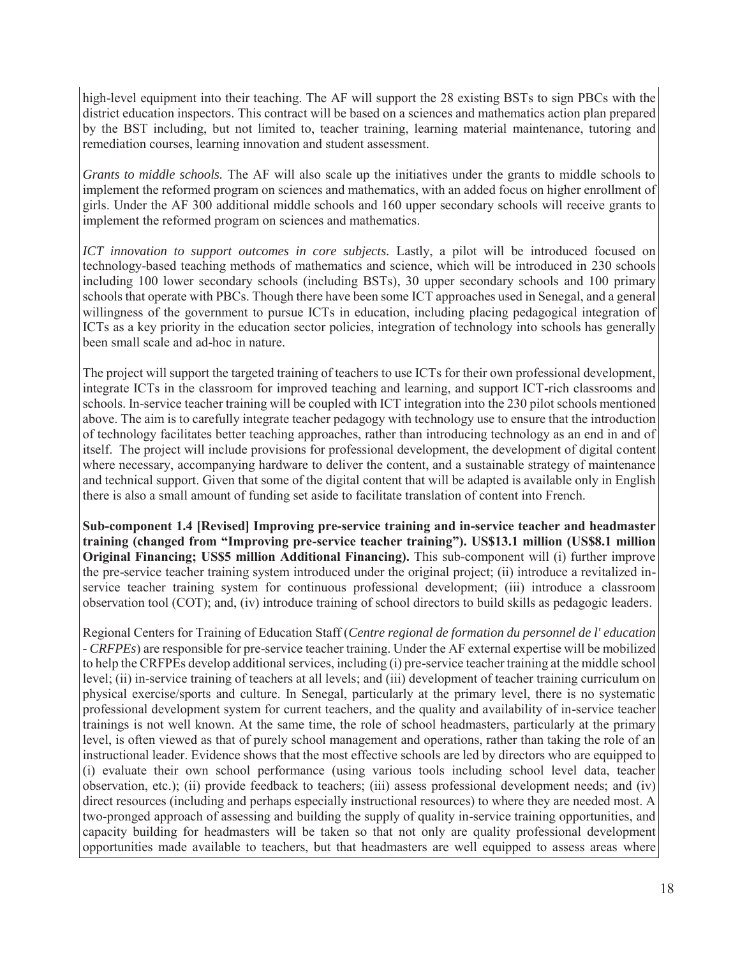high-level equipment into their teaching. The AF will support the 28 existing BSTs to sign PBCs with the district education inspectors. This contract will be based on a sciences and mathematics action plan prepared by the BST including, but not limited to, teacher training, learning material maintenance, tutoring and remediation courses, learning innovation and student assessment.

*Grants to middle schools.* The AF will also scale up the initiatives under the grants to middle schools to implement the reformed program on sciences and mathematics, with an added focus on higher enrollment of girls. Under the AF 300 additional middle schools and 160 upper secondary schools will receive grants to implement the reformed program on sciences and mathematics.

*ICT innovation to support outcomes in core subjects.* Lastly, a pilot will be introduced focused on technology-based teaching methods of mathematics and science, which will be introduced in 230 schools including 100 lower secondary schools (including BSTs), 30 upper secondary schools and 100 primary schools that operate with PBCs. Though there have been some ICT approaches used in Senegal, and a general willingness of the government to pursue ICTs in education, including placing pedagogical integration of ICTs as a key priority in the education sector policies, integration of technology into schools has generally been small scale and ad-hoc in nature.

The project will support the targeted training of teachers to use ICTs for their own professional development, integrate ICTs in the classroom for improved teaching and learning, and support ICT-rich classrooms and schools. In-service teacher training will be coupled with ICT integration into the 230 pilot schools mentioned above. The aim is to carefully integrate teacher pedagogy with technology use to ensure that the introduction of technology facilitates better teaching approaches, rather than introducing technology as an end in and of itself. The project will include provisions for professional development, the development of digital content where necessary, accompanying hardware to deliver the content, and a sustainable strategy of maintenance and technical support. Given that some of the digital content that will be adapted is available only in English there is also a small amount of funding set aside to facilitate translation of content into French.

**Sub-component 1.4 [Revised] Improving pre-service training and in-service teacher and headmaster training (changed from "Improving pre-service teacher training"). US\$13.1 million (US\$8.1 million Original Financing; US\$5 million Additional Financing).** This sub-component will (i) further improve the pre-service teacher training system introduced under the original project; (ii) introduce a revitalized inservice teacher training system for continuous professional development; (iii) introduce a classroom observation tool (COT); and, (iv) introduce training of school directors to build skills as pedagogic leaders.

Regional Centers for Training of Education Staff (*Centre regional de formation du personnel de l' education - CRFPEs*) are responsible for pre-service teacher training. Under the AF external expertise will be mobilized to help the CRFPEs develop additional services, including (i) pre-service teacher training at the middle school level; (ii) in-service training of teachers at all levels; and (iii) development of teacher training curriculum on physical exercise/sports and culture. In Senegal, particularly at the primary level, there is no systematic professional development system for current teachers, and the quality and availability of in-service teacher trainings is not well known. At the same time, the role of school headmasters, particularly at the primary level, is often viewed as that of purely school management and operations, rather than taking the role of an instructional leader. Evidence shows that the most effective schools are led by directors who are equipped to (i) evaluate their own school performance (using various tools including school level data, teacher observation, etc.); (ii) provide feedback to teachers; (iii) assess professional development needs; and (iv) direct resources (including and perhaps especially instructional resources) to where they are needed most. A two-pronged approach of assessing and building the supply of quality in-service training opportunities, and capacity building for headmasters will be taken so that not only are quality professional development opportunities made available to teachers, but that headmasters are well equipped to assess areas where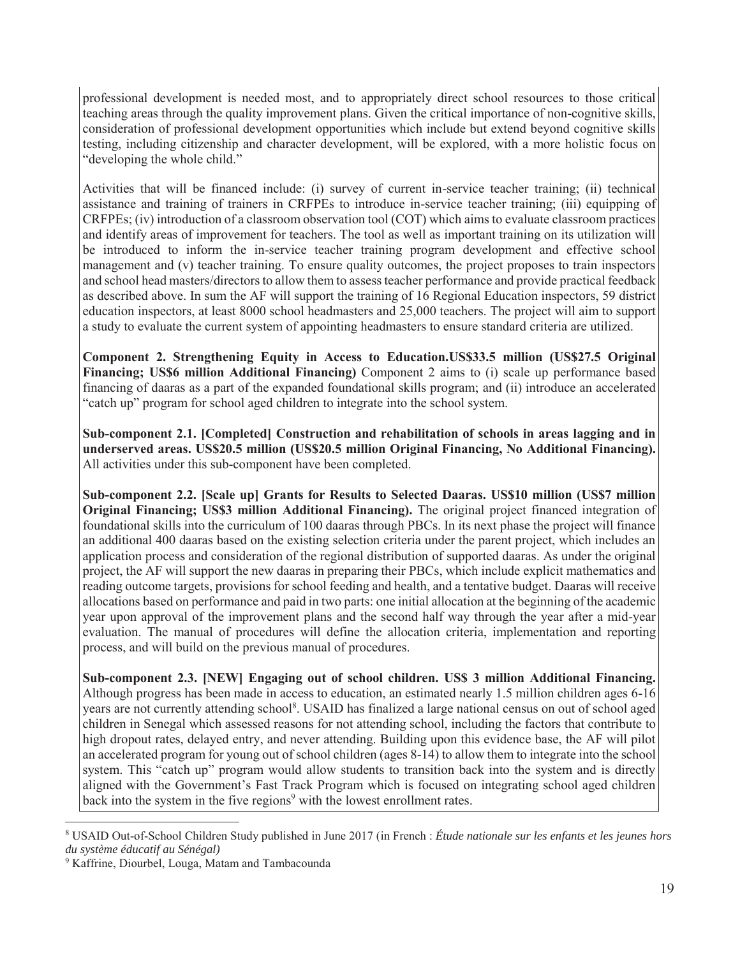professional development is needed most, and to appropriately direct school resources to those critical teaching areas through the quality improvement plans. Given the critical importance of non-cognitive skills, consideration of professional development opportunities which include but extend beyond cognitive skills testing, including citizenship and character development, will be explored, with a more holistic focus on "developing the whole child."

Activities that will be financed include: (i) survey of current in-service teacher training; (ii) technical assistance and training of trainers in CRFPEs to introduce in-service teacher training; (iii) equipping of CRFPEs; (iv) introduction of a classroom observation tool (COT) which aims to evaluate classroom practices and identify areas of improvement for teachers. The tool as well as important training on its utilization will be introduced to inform the in-service teacher training program development and effective school management and (v) teacher training. To ensure quality outcomes, the project proposes to train inspectors and school head masters/directors to allow them to assess teacher performance and provide practical feedback as described above. In sum the AF will support the training of 16 Regional Education inspectors, 59 district education inspectors, at least 8000 school headmasters and 25,000 teachers. The project will aim to support a study to evaluate the current system of appointing headmasters to ensure standard criteria are utilized.

**Component 2. Strengthening Equity in Access to Education.US\$33.5 million (US\$27.5 Original Financing; US\$6 million Additional Financing)** Component 2 aims to (i) scale up performance based financing of daaras as a part of the expanded foundational skills program; and (ii) introduce an accelerated "catch up" program for school aged children to integrate into the school system.

**Sub-component 2.1. [Completed] Construction and rehabilitation of schools in areas lagging and in underserved areas. US\$20.5 million (US\$20.5 million Original Financing, No Additional Financing).**  All activities under this sub-component have been completed.

**Sub-component 2.2. [Scale up] Grants for Results to Selected Daaras. US\$10 million (US\$7 million Original Financing; US\$3 million Additional Financing).** The original project financed integration of foundational skills into the curriculum of 100 daaras through PBCs. In its next phase the project will finance an additional 400 daaras based on the existing selection criteria under the parent project, which includes an application process and consideration of the regional distribution of supported daaras. As under the original project, the AF will support the new daaras in preparing their PBCs, which include explicit mathematics and reading outcome targets, provisions for school feeding and health, and a tentative budget. Daaras will receive allocations based on performance and paid in two parts: one initial allocation at the beginning of the academic year upon approval of the improvement plans and the second half way through the year after a mid-year evaluation. The manual of procedures will define the allocation criteria, implementation and reporting process, and will build on the previous manual of procedures.

**Sub-component 2.3. [NEW] Engaging out of school children. US\$ 3 million Additional Financing.**  Although progress has been made in access to education, an estimated nearly 1.5 million children ages 6-16 years are not currently attending school<sup>8</sup>. USAID has finalized a large national census on out of school aged children in Senegal which assessed reasons for not attending school, including the factors that contribute to high dropout rates, delayed entry, and never attending. Building upon this evidence base, the AF will pilot an accelerated program for young out of school children (ages 8-14) to allow them to integrate into the school system. This "catch up" program would allow students to transition back into the system and is directly aligned with the Government's Fast Track Program which is focused on integrating school aged children back into the system in the five regions<sup>9</sup> with the lowest enrollment rates.

 $\overline{a}$ 

<sup>8</sup> USAID Out-of-School Children Study published in June 2017 (in French : *Étude nationale sur les enfants et les jeunes hors du système éducatif au Sénégal)*

<sup>9</sup> Kaffrine, Diourbel, Louga, Matam and Tambacounda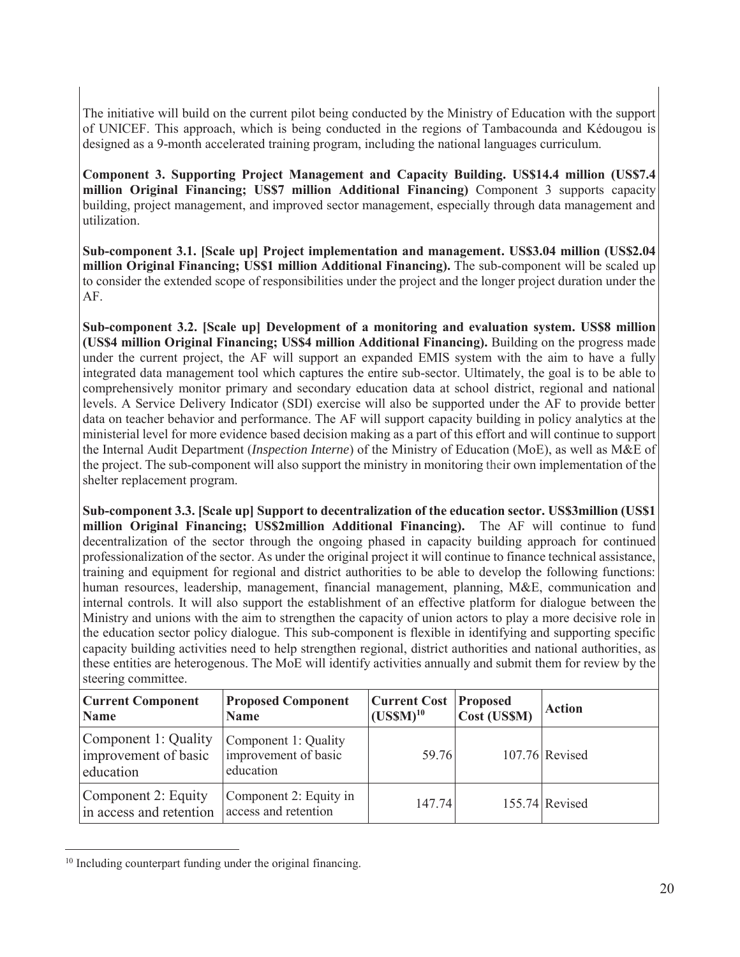The initiative will build on the current pilot being conducted by the Ministry of Education with the support of UNICEF. This approach, which is being conducted in the regions of Tambacounda and Kédougou is designed as a 9-month accelerated training program, including the national languages curriculum.

**Component 3. Supporting Project Management and Capacity Building. US\$14.4 million (US\$7.4 million Original Financing; US\$7 million Additional Financing)** Component 3 supports capacity building, project management, and improved sector management, especially through data management and utilization.

**Sub-component 3.1. [Scale up] Project implementation and management. US\$3.04 million (US\$2.04 million Original Financing; US\$1 million Additional Financing).** The sub-component will be scaled up to consider the extended scope of responsibilities under the project and the longer project duration under the AF.

**Sub-component 3.2. [Scale up] Development of a monitoring and evaluation system. US\$8 million (US\$4 million Original Financing; US\$4 million Additional Financing).** Building on the progress made under the current project, the AF will support an expanded EMIS system with the aim to have a fully integrated data management tool which captures the entire sub-sector. Ultimately, the goal is to be able to comprehensively monitor primary and secondary education data at school district, regional and national levels. A Service Delivery Indicator (SDI) exercise will also be supported under the AF to provide better data on teacher behavior and performance. The AF will support capacity building in policy analytics at the ministerial level for more evidence based decision making as a part of this effort and will continue to support the Internal Audit Department (*Inspection Interne*) of the Ministry of Education (MoE), as well as M&E of the project. The sub-component will also support the ministry in monitoring their own implementation of the shelter replacement program.

**Sub-component 3.3. [Scale up] Support to decentralization of the education sector. US\$3million (US\$1 million Original Financing; US\$2million Additional Financing).** The AF will continue to fund decentralization of the sector through the ongoing phased in capacity building approach for continued professionalization of the sector. As under the original project it will continue to finance technical assistance, training and equipment for regional and district authorities to be able to develop the following functions: human resources, leadership, management, financial management, planning, M&E, communication and internal controls. It will also support the establishment of an effective platform for dialogue between the Ministry and unions with the aim to strengthen the capacity of union actors to play a more decisive role in the education sector policy dialogue. This sub-component is flexible in identifying and supporting specific capacity building activities need to help strengthen regional, district authorities and national authorities, as these entities are heterogenous. The MoE will identify activities annually and submit them for review by the steering committee.

| <b>Current Component</b><br><b>Name</b>                   | <b>Proposed Component</b><br><b>Name</b>                  | Current Cost<br>$(USSM)^{10}$ | <b>Proposed</b><br>Cost (US\$M) | <b>Action</b>    |
|-----------------------------------------------------------|-----------------------------------------------------------|-------------------------------|---------------------------------|------------------|
| Component 1: Quality<br>improvement of basic<br>education | Component 1: Quality<br>improvement of basic<br>education | 59.76                         |                                 | $107.76$ Revised |
| Component 2: Equity<br>in access and retention            | Component 2: Equity in<br>access and retention            | 147.74                        |                                 | $155.74$ Revised |

<sup>&</sup>lt;sup>10</sup> Including counterpart funding under the original financing.

 $\overline{a}$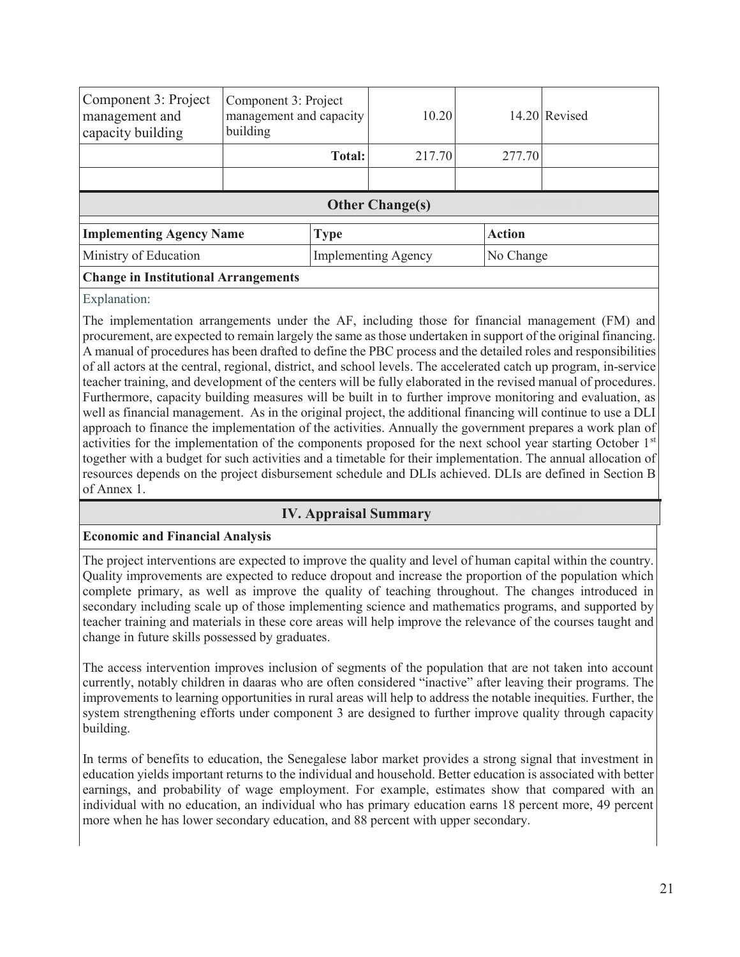| Component 3: Project<br>management and<br>capacity building | Component 3: Project<br>management and capacity<br>building | 10.20                      |               | 14.20 Revised |
|-------------------------------------------------------------|-------------------------------------------------------------|----------------------------|---------------|---------------|
|                                                             | Total:                                                      | 217.70                     | 277.70        |               |
|                                                             |                                                             |                            |               |               |
|                                                             |                                                             | <b>Other Change(s)</b>     |               |               |
| <b>Implementing Agency Name</b>                             | Type                                                        |                            | <b>Action</b> |               |
| Ministry of Education                                       |                                                             | <b>Implementing Agency</b> |               | No Change     |
| <b>Change in Institutional Arrangements</b>                 |                                                             |                            |               |               |

Explanation:

The implementation arrangements under the AF, including those for financial management (FM) and procurement, are expected to remain largely the same as those undertaken in support of the original financing. A manual of procedures has been drafted to define the PBC process and the detailed roles and responsibilities of all actors at the central, regional, district, and school levels. The accelerated catch up program, in-service teacher training, and development of the centers will be fully elaborated in the revised manual of procedures. Furthermore, capacity building measures will be built in to further improve monitoring and evaluation, as well as financial management. As in the original project, the additional financing will continue to use a DLI approach to finance the implementation of the activities. Annually the government prepares a work plan of activities for the implementation of the components proposed for the next school year starting October 1<sup>st</sup> together with a budget for such activities and a timetable for their implementation. The annual allocation of resources depends on the project disbursement schedule and DLIs achieved. DLIs are defined in Section B of Annex 1.

## **IV. Appraisal Summary**

## **Economic and Financial Analysis**

The project interventions are expected to improve the quality and level of human capital within the country. Quality improvements are expected to reduce dropout and increase the proportion of the population which complete primary, as well as improve the quality of teaching throughout. The changes introduced in secondary including scale up of those implementing science and mathematics programs, and supported by teacher training and materials in these core areas will help improve the relevance of the courses taught and change in future skills possessed by graduates.

The access intervention improves inclusion of segments of the population that are not taken into account currently, notably children in daaras who are often considered "inactive" after leaving their programs. The improvements to learning opportunities in rural areas will help to address the notable inequities. Further, the system strengthening efforts under component 3 are designed to further improve quality through capacity building.

In terms of benefits to education, the Senegalese labor market provides a strong signal that investment in education yields important returns to the individual and household. Better education is associated with better earnings, and probability of wage employment. For example, estimates show that compared with an individual with no education, an individual who has primary education earns 18 percent more, 49 percent more when he has lower secondary education, and 88 percent with upper secondary.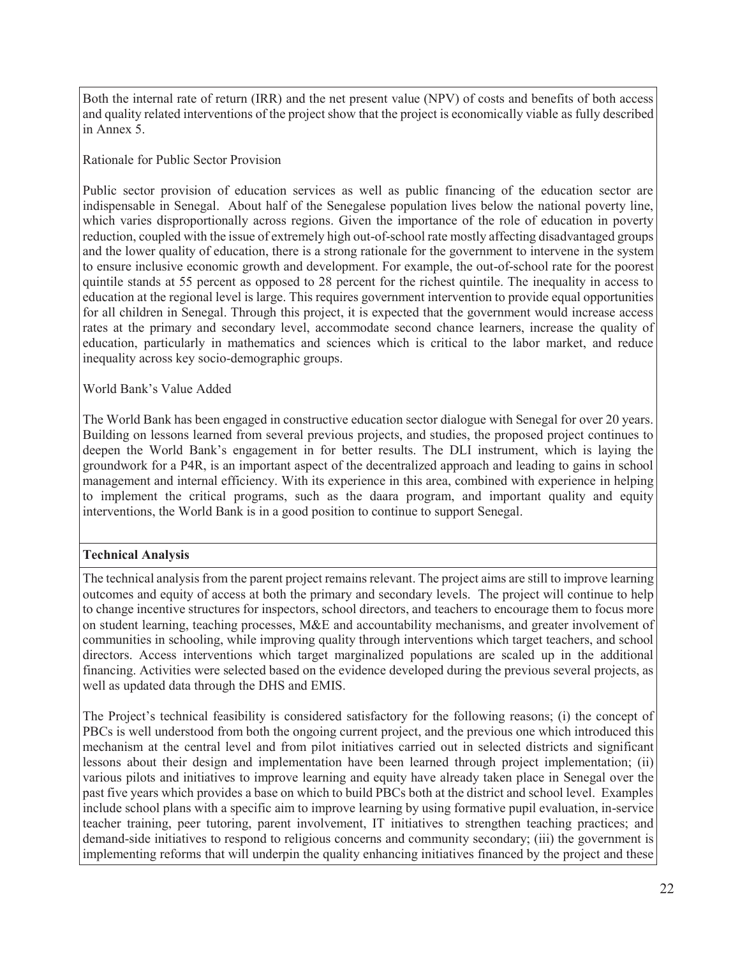Both the internal rate of return (IRR) and the net present value (NPV) of costs and benefits of both access and quality related interventions of the project show that the project is economically viable as fully described in Annex 5.

Rationale for Public Sector Provision

Public sector provision of education services as well as public financing of the education sector are indispensable in Senegal. About half of the Senegalese population lives below the national poverty line, which varies disproportionally across regions. Given the importance of the role of education in poverty reduction, coupled with the issue of extremely high out-of-school rate mostly affecting disadvantaged groups and the lower quality of education, there is a strong rationale for the government to intervene in the system to ensure inclusive economic growth and development. For example, the out-of-school rate for the poorest quintile stands at 55 percent as opposed to 28 percent for the richest quintile. The inequality in access to education at the regional level is large. This requires government intervention to provide equal opportunities for all children in Senegal. Through this project, it is expected that the government would increase access rates at the primary and secondary level, accommodate second chance learners, increase the quality of education, particularly in mathematics and sciences which is critical to the labor market, and reduce inequality across key socio-demographic groups.

World Bank's Value Added

The World Bank has been engaged in constructive education sector dialogue with Senegal for over 20 years. Building on lessons learned from several previous projects, and studies, the proposed project continues to deepen the World Bank's engagement in for better results. The DLI instrument, which is laying the groundwork for a P4R, is an important aspect of the decentralized approach and leading to gains in school management and internal efficiency. With its experience in this area, combined with experience in helping to implement the critical programs, such as the daara program, and important quality and equity interventions, the World Bank is in a good position to continue to support Senegal.

## **Technical Analysis**

The technical analysis from the parent project remains relevant. The project aims are still to improve learning outcomes and equity of access at both the primary and secondary levels. The project will continue to help to change incentive structures for inspectors, school directors, and teachers to encourage them to focus more on student learning, teaching processes, M&E and accountability mechanisms, and greater involvement of communities in schooling, while improving quality through interventions which target teachers, and school directors. Access interventions which target marginalized populations are scaled up in the additional financing. Activities were selected based on the evidence developed during the previous several projects, as well as updated data through the DHS and EMIS.

The Project's technical feasibility is considered satisfactory for the following reasons; (i) the concept of PBCs is well understood from both the ongoing current project, and the previous one which introduced this mechanism at the central level and from pilot initiatives carried out in selected districts and significant lessons about their design and implementation have been learned through project implementation; (ii) various pilots and initiatives to improve learning and equity have already taken place in Senegal over the past five years which provides a base on which to build PBCs both at the district and school level. Examples include school plans with a specific aim to improve learning by using formative pupil evaluation, in-service teacher training, peer tutoring, parent involvement, IT initiatives to strengthen teaching practices; and demand-side initiatives to respond to religious concerns and community secondary; (iii) the government is implementing reforms that will underpin the quality enhancing initiatives financed by the project and these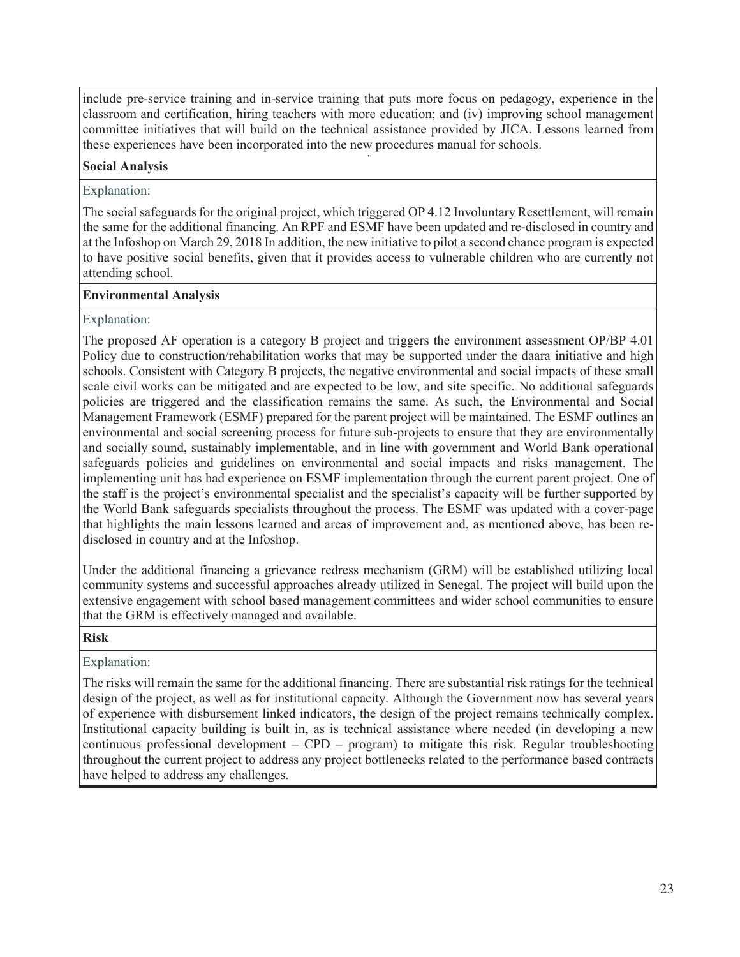include pre-service training and in-service training that puts more focus on pedagogy, experience in the classroom and certification, hiring teachers with more education; and (iv) improving school management committee initiatives that will build on the technical assistance provided by JICA. Lessons learned from these experiences have been incorporated into the new procedures manual for schools.

## **Social Analysis**

#### Explanation:

The social safeguards for the original project, which triggered OP 4.12 Involuntary Resettlement, will remain the same for the additional financing. An RPF and ESMF have been updated and re-disclosed in country and at the Infoshop on March 29, 2018 In addition, the new initiative to pilot a second chance program is expected to have positive social benefits, given that it provides access to vulnerable children who are currently not attending school.

#### **Environmental Analysis**

## Explanation:

The proposed AF operation is a category B project and triggers the environment assessment OP/BP 4.01 Policy due to construction/rehabilitation works that may be supported under the daara initiative and high schools. Consistent with Category B projects, the negative environmental and social impacts of these small scale civil works can be mitigated and are expected to be low, and site specific. No additional safeguards policies are triggered and the classification remains the same. As such, the Environmental and Social Management Framework (ESMF) prepared for the parent project will be maintained. The ESMF outlines an environmental and social screening process for future sub-projects to ensure that they are environmentally and socially sound, sustainably implementable, and in line with government and World Bank operational safeguards policies and guidelines on environmental and social impacts and risks management. The implementing unit has had experience on ESMF implementation through the current parent project. One of the staff is the project's environmental specialist and the specialist's capacity will be further supported by the World Bank safeguards specialists throughout the process. The ESMF was updated with a cover-page that highlights the main lessons learned and areas of improvement and, as mentioned above, has been redisclosed in country and at the Infoshop.

Under the additional financing a grievance redress mechanism (GRM) will be established utilizing local community systems and successful approaches already utilized in Senegal. The project will build upon the extensive engagement with school based management committees and wider school communities to ensure that the GRM is effectively managed and available.

#### **Risk** PHHASRISK **PHHASE**

## Explanation:

The risks will remain the same for the additional financing. There are substantial risk ratings for the technical design of the project, as well as for institutional capacity. Although the Government now has several years of experience with disbursement linked indicators, the design of the project remains technically complex. Institutional capacity building is built in, as is technical assistance where needed (in developing a new continuous professional development – CPD – program) to mitigate this risk. Regular troubleshooting throughout the current project to address any project bottlenecks related to the performance based contracts have helped to address any challenges.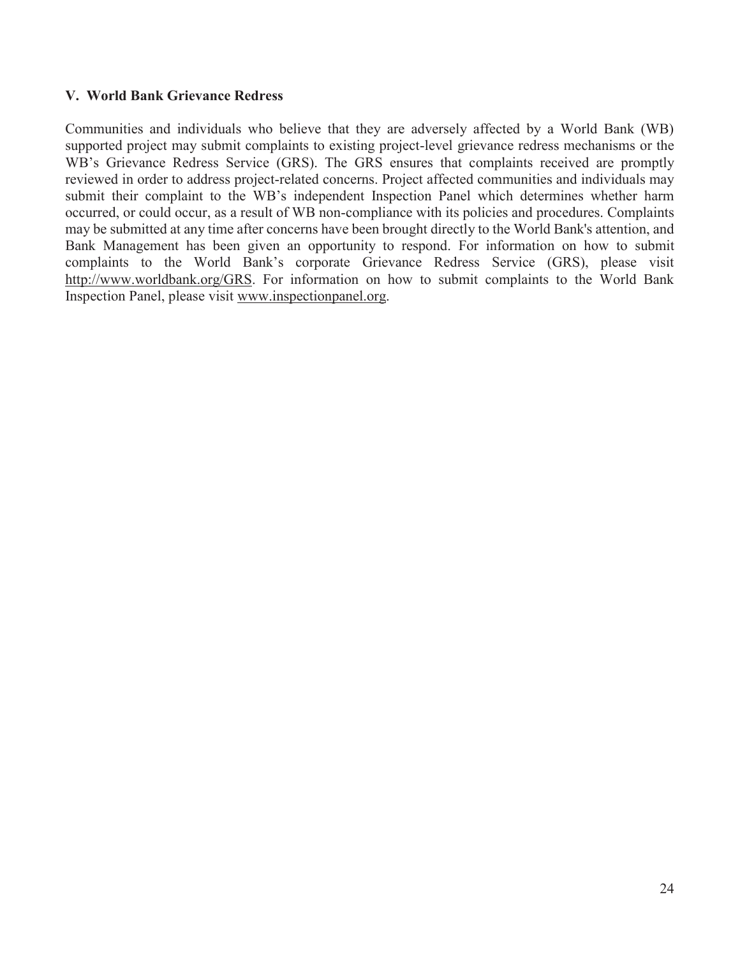## **V. World Bank Grievance Redress**

Communities and individuals who believe that they are adversely affected by a World Bank (WB) supported project may submit complaints to existing project-level grievance redress mechanisms or the WB's Grievance Redress Service (GRS). The GRS ensures that complaints received are promptly reviewed in order to address project-related concerns. Project affected communities and individuals may submit their complaint to the WB's independent Inspection Panel which determines whether harm occurred, or could occur, as a result of WB non-compliance with its policies and procedures. Complaints may be submitted at any time after concerns have been brought directly to the World Bank's attention, and Bank Management has been given an opportunity to respond. For information on how to submit complaints to the World Bank's corporate Grievance Redress Service (GRS), please visit http://www.worldbank.org/GRS. For information on how to submit complaints to the World Bank Inspection Panel, please visit www.inspectionpanel.org.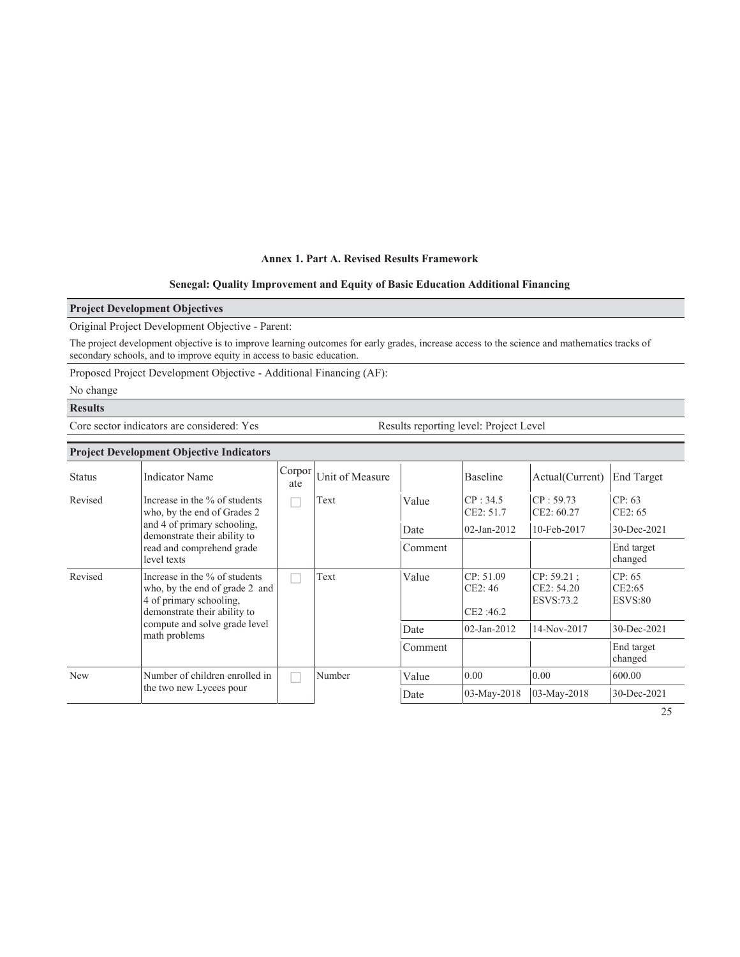#### **Annex 1. Part A. Revised Results Framework**

#### **Senegal: Quality Improvement and Equity of Basic Education Additional Financing**

#### **Project Development Objectives**

Original Project Development Objective - Parent:

The project development objective is to improve learning outcomes for early grades, increase access to the science and mathematics tracks of secondary schools, and to improve equity in access to basic education.

Proposed Project Development Objective - Additional Financing (AF):

No change

#### **Results**

Core sector indicators are considered: Yes Results reporting level: Project Level

| <b>Project Development Objective Indicators</b>                                                                                       |                                                              |               |                 |                                  |                                       |                             |                       |  |  |
|---------------------------------------------------------------------------------------------------------------------------------------|--------------------------------------------------------------|---------------|-----------------|----------------------------------|---------------------------------------|-----------------------------|-----------------------|--|--|
| <b>Status</b>                                                                                                                         | <b>Indicator Name</b>                                        | Corpor<br>ate | Unit of Measure |                                  | Baseline                              | Actual(Current)             | <b>End Target</b>     |  |  |
| Revised                                                                                                                               | Increase in the % of students<br>who, by the end of Grades 2 |               | Text            | Value                            | CP: 34.5<br>CE2: 51.7                 | CP: 59.73<br>CE2: 60.27     | CP: 63<br>CE2:65      |  |  |
|                                                                                                                                       | and 4 of primary schooling,<br>demonstrate their ability to  |               |                 | Date                             | $02$ -Jan-2012                        | 10-Feb-2017                 | 30-Dec-2021           |  |  |
| read and comprehend grade<br>level texts                                                                                              |                                                              |               | Comment         |                                  |                                       | End target<br>changed       |                       |  |  |
| Revised<br>Increase in the % of students<br>who, by the end of grade 2 and<br>4 of primary schooling,<br>demonstrate their ability to |                                                              | Text          | Value           | CP: 51.09<br>CE2: 46<br>CE2:46.2 | CP: 59.21:<br>CE2: 54.20<br>ESVS:73.2 | CP: 65<br>CE2:65<br>ESVS:80 |                       |  |  |
|                                                                                                                                       | compute and solve grade level<br>math problems               |               |                 | Date                             | $02$ -Jan-2012                        | 14-Nov-2017                 | 30-Dec-2021           |  |  |
|                                                                                                                                       |                                                              |               |                 | Comment                          |                                       |                             | End target<br>changed |  |  |
| <b>New</b>                                                                                                                            | Number of children enrolled in                               |               | Number          | Value                            | 0.00                                  | 0.00                        | 600.00                |  |  |
|                                                                                                                                       | the two new Lycees pour                                      |               |                 | Date                             | 03-May-2018                           | 03-May-2018                 | 30-Dec-2021           |  |  |

25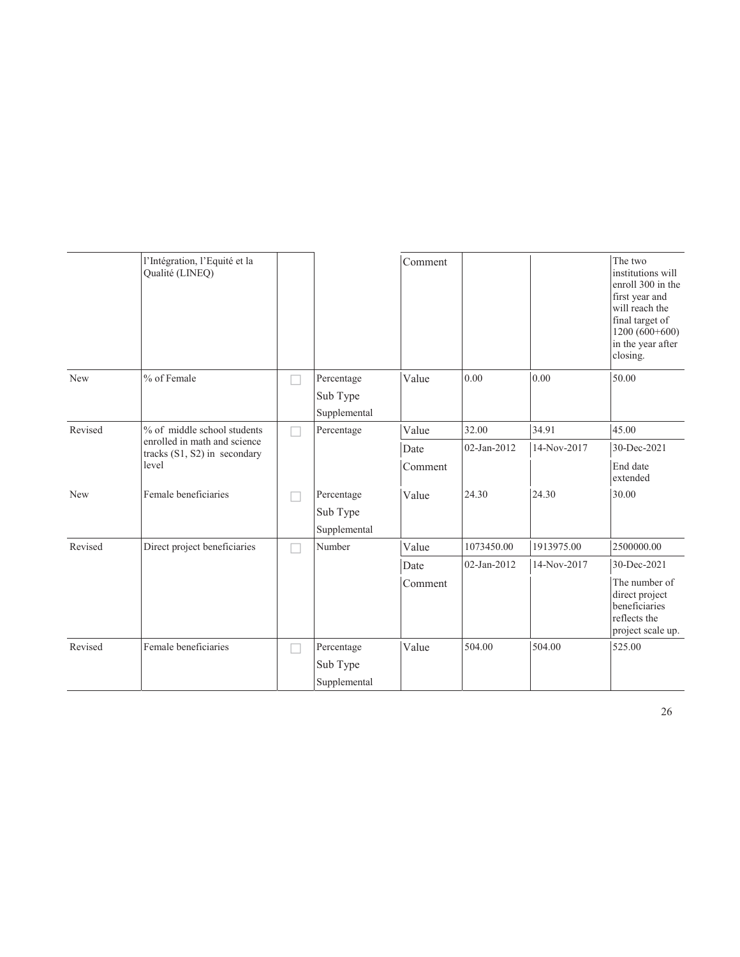|         | l'Intégration, l'Equité et la<br>Qualité (LINEQ)             |  |                                        | Comment |             |             | The two<br>institutions will<br>enroll 300 in the<br>first year and<br>will reach the<br>final target of<br>$1200(600+600)$<br>in the year after<br>closing. |
|---------|--------------------------------------------------------------|--|----------------------------------------|---------|-------------|-------------|--------------------------------------------------------------------------------------------------------------------------------------------------------------|
| New     | % of Female                                                  |  | Percentage<br>Sub Type<br>Supplemental | Value   | 0.00        | 0.00        | 50.00                                                                                                                                                        |
| Revised | % of middle school students                                  |  | Percentage                             | Value   | 32.00       | 34.91       | 45.00                                                                                                                                                        |
|         | enrolled in math and science<br>tracks (S1, S2) in secondary |  |                                        | Date    | 02-Jan-2012 | 14-Nov-2017 | 30-Dec-2021                                                                                                                                                  |
| level   |                                                              |  |                                        | Comment |             |             | End date<br>extended                                                                                                                                         |
| New     | Female beneficiaries                                         |  | Percentage<br>Sub Type<br>Supplemental | Value   | 24.30       | 24.30       | 30.00                                                                                                                                                        |
| Revised | Direct project beneficiaries                                 |  | Number                                 | Value   | 1073450.00  | 1913975.00  | 2500000.00                                                                                                                                                   |
|         |                                                              |  |                                        | Date    | 02-Jan-2012 | 14-Nov-2017 | 30-Dec-2021                                                                                                                                                  |
|         |                                                              |  |                                        | Comment |             |             | The number of<br>direct project<br>beneficiaries<br>reflects the<br>project scale up.                                                                        |
| Revised | Female beneficiaries                                         |  | Percentage<br>Sub Type                 | Value   | 504.00      | 504.00      | 525.00                                                                                                                                                       |
|         |                                                              |  | Supplemental                           |         |             |             |                                                                                                                                                              |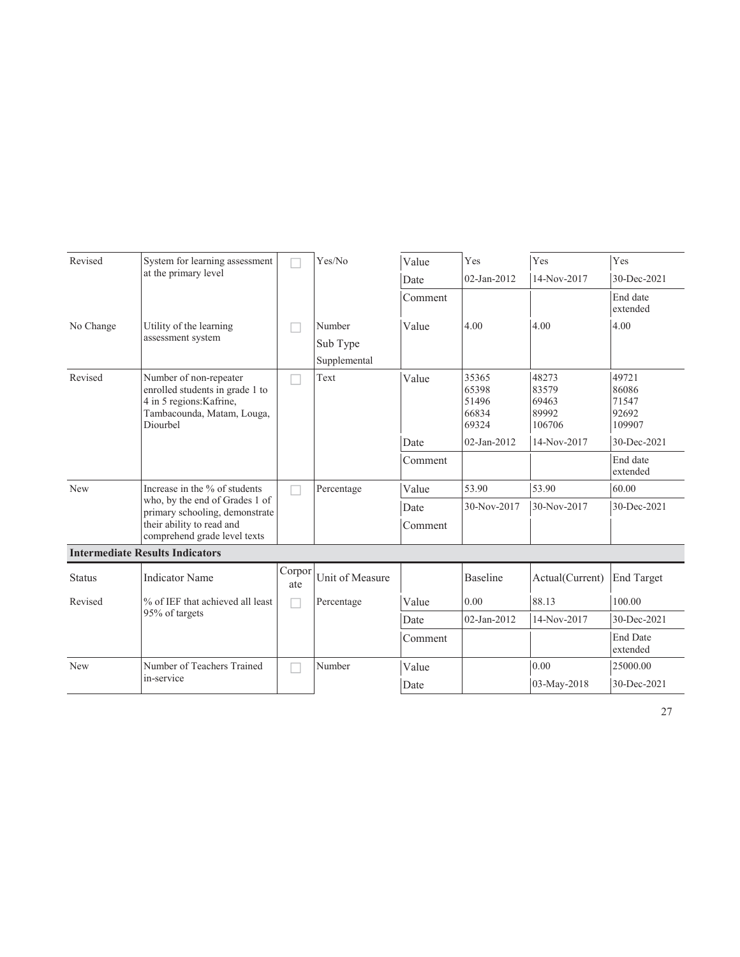| Revised       | System for learning assessment                                                                                                  |               | Yes/No          | Value   | Yes                                       | Yes                                        | Yes                                        |
|---------------|---------------------------------------------------------------------------------------------------------------------------------|---------------|-----------------|---------|-------------------------------------------|--------------------------------------------|--------------------------------------------|
|               | at the primary level                                                                                                            |               |                 | Date    | 02-Jan-2012                               | 14-Nov-2017                                | 30-Dec-2021                                |
|               |                                                                                                                                 |               |                 | Comment |                                           |                                            | End date<br>extended                       |
| No Change     | Utility of the learning                                                                                                         |               | Number          | Value   | 4.00                                      | 4.00                                       | 4.00                                       |
|               | assessment system                                                                                                               |               | Sub Type        |         |                                           |                                            |                                            |
|               |                                                                                                                                 |               | Supplemental    |         |                                           |                                            |                                            |
| Revised       | Number of non-repeater<br>enrolled students in grade 1 to<br>4 in 5 regions: Kafrine,<br>Tambacounda, Matam, Louga,<br>Diourbel |               | Text            | Value   | 35365<br>65398<br>51496<br>66834<br>69324 | 48273<br>83579<br>69463<br>89992<br>106706 | 49721<br>86086<br>71547<br>92692<br>109907 |
|               |                                                                                                                                 |               |                 | Date    | 02-Jan-2012                               | 14-Nov-2017                                | 30-Dec-2021                                |
|               |                                                                                                                                 |               |                 | Comment |                                           |                                            | End date<br>extended                       |
| New           | Increase in the % of students                                                                                                   |               | Percentage      | Value   | 53.90                                     | 53.90                                      | 60.00                                      |
|               | who, by the end of Grades 1 of<br>primary schooling, demonstrate                                                                |               |                 | Date    | 30-Nov-2017                               | 30-Nov-2017                                | 30-Dec-2021                                |
|               | their ability to read and<br>comprehend grade level texts                                                                       |               |                 | Comment |                                           |                                            |                                            |
|               | <b>Intermediate Results Indicators</b>                                                                                          |               |                 |         |                                           |                                            |                                            |
| <b>Status</b> | <b>Indicator Name</b>                                                                                                           | Corpor<br>ate | Unit of Measure |         | Baseline                                  | Actual(Current)                            | <b>End Target</b>                          |
| Revised       | % of IEF that achieved all least                                                                                                | П             | Percentage      | Value   | 0.00                                      | 88.13                                      | 100.00                                     |
|               | 95% of targets                                                                                                                  |               |                 | Date    | 02-Jan-2012                               | 14-Nov-2017                                | 30-Dec-2021                                |
|               |                                                                                                                                 |               |                 | Comment |                                           |                                            | <b>End Date</b><br>extended                |
| <b>New</b>    | Number of Teachers Trained                                                                                                      |               | Number          | Value   |                                           | 0.00                                       | 25000.00                                   |
|               | in-service                                                                                                                      |               |                 | Date    |                                           | 03-May-2018                                | 30-Dec-2021                                |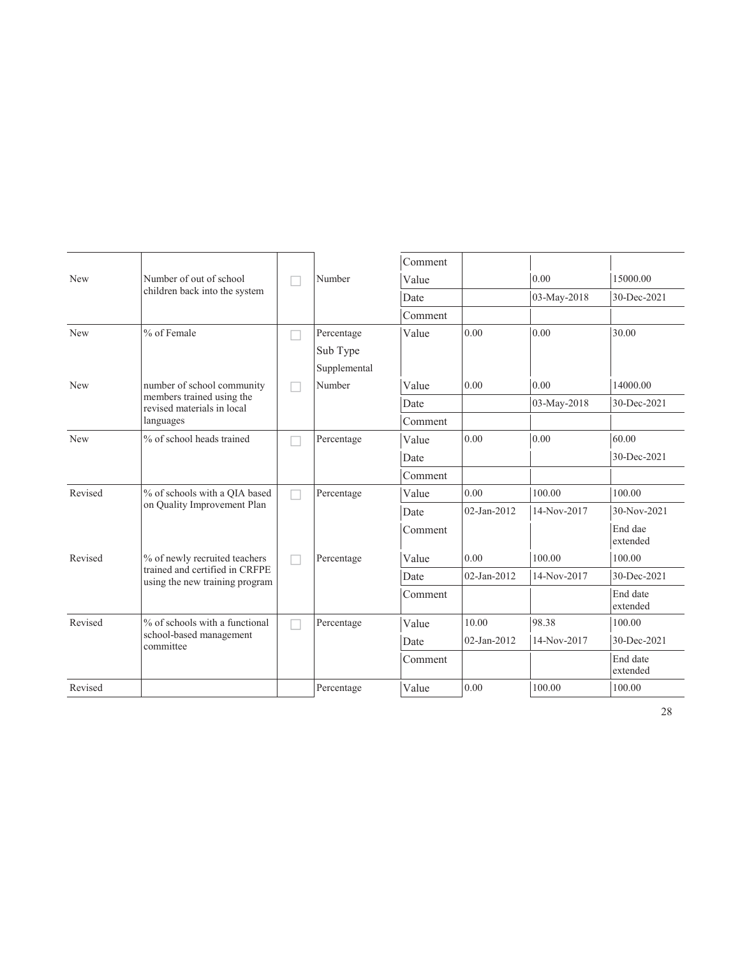|            |                                                                  |  |              | Comment |                |             |                      |
|------------|------------------------------------------------------------------|--|--------------|---------|----------------|-------------|----------------------|
| <b>New</b> | Number of out of school                                          |  | Number       | Value   |                | 0.00        | 15000.00             |
|            | children back into the system                                    |  |              | Date    |                | 03-May-2018 | 30-Dec-2021          |
|            |                                                                  |  |              | Comment |                |             |                      |
| New        | % of Female                                                      |  | Percentage   | Value   | 0.00           | 0.00        | 30.00                |
|            |                                                                  |  | Sub Type     |         |                |             |                      |
|            |                                                                  |  | Supplemental |         |                |             |                      |
| New        | number of school community                                       |  | Number       | Value   | 0.00           | 0.00        | 14000.00             |
|            | members trained using the<br>revised materials in local          |  |              | Date    |                | 03-May-2018 | 30-Dec-2021          |
|            | languages                                                        |  |              | Comment |                |             |                      |
| <b>New</b> | % of school heads trained                                        |  | Percentage   | Value   | 0.00           | 0.00        | 60.00                |
|            |                                                                  |  |              | Date    |                |             | 30-Dec-2021          |
|            |                                                                  |  |              | Comment |                |             |                      |
| Revised    | % of schools with a QIA based<br>on Quality Improvement Plan     |  | Percentage   | Value   | 0.00           | 100.00      | 100.00               |
|            |                                                                  |  |              | Date    | 02-Jan-2012    | 14-Nov-2017 | 30-Nov-2021          |
|            |                                                                  |  |              | Comment |                |             | End dae<br>extended  |
| Revised    | % of newly recruited teachers                                    |  | Percentage   | Value   | 0.00           | 100.00      | 100.00               |
|            | trained and certified in CRFPE<br>using the new training program |  |              | Date    | $02$ -Jan-2012 | 14-Nov-2017 | 30-Dec-2021          |
|            |                                                                  |  |              | Comment |                |             | End date<br>extended |
| Revised    | % of schools with a functional                                   |  | Percentage   | Value   | 10.00          | 98.38       | 100.00               |
|            | school-based management<br>committee                             |  |              | Date    | $02$ -Jan-2012 | 14-Nov-2017 | 30-Dec-2021          |
|            |                                                                  |  |              | Comment |                |             | End date<br>extended |
| Revised    |                                                                  |  | Percentage   | Value   | 0.00           | 100.00      | 100.00               |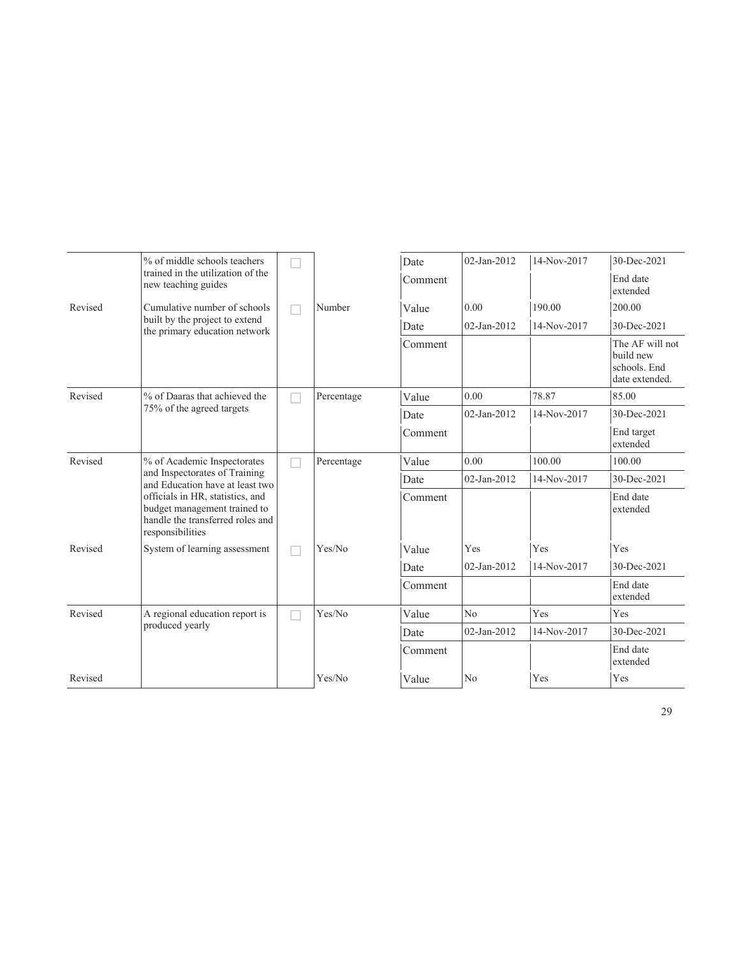|         | % of middle schools teachers                                                                                             |  |            | Date    | $02$ -Jan-2012 | 14-Nov-2017 | 30-Dec-2021                                                    |
|---------|--------------------------------------------------------------------------------------------------------------------------|--|------------|---------|----------------|-------------|----------------------------------------------------------------|
|         | trained in the utilization of the<br>new teaching guides                                                                 |  |            | Comment |                |             | End date<br>extended                                           |
| Revised | Cumulative number of schools                                                                                             |  | Number     | Value   | 0.00           | 190.00      | 200.00                                                         |
|         | built by the project to extend<br>the primary education network                                                          |  |            | Date    | 02-Jan-2012    | 14-Nov-2017 | 30-Dec-2021                                                    |
|         |                                                                                                                          |  |            | Comment |                |             | The AF will not<br>build new<br>schools. End<br>date extended. |
| Revised | % of Daaras that achieved the                                                                                            |  | Percentage | Value   | 0.00           | 78.87       | 85.00                                                          |
|         | 75% of the agreed targets                                                                                                |  |            | Date    | 02-Jan-2012    | 14-Nov-2017 | 30-Dec-2021                                                    |
|         |                                                                                                                          |  |            | Comment |                |             | End target<br>extended                                         |
| Revised | % of Academic Inspectorates                                                                                              |  | Percentage | Value   | 0.00           | 100.00      | 100.00                                                         |
|         | and Inspectorates of Training<br>and Education have at least two                                                         |  |            | Date    | $02$ -Jan-2012 | 14-Nov-2017 | 30-Dec-2021                                                    |
|         | officials in HR, statistics, and<br>budget management trained to<br>handle the transferred roles and<br>responsibilities |  |            | Comment |                |             | End date<br>extended                                           |
| Revised | System of learning assessment                                                                                            |  | Yes/No     | Value   | Yes            | Yes         | Yes                                                            |
|         |                                                                                                                          |  |            | Date    | $02$ -Jan-2012 | 14-Nov-2017 | 30-Dec-2021                                                    |
|         |                                                                                                                          |  |            | Comment |                |             | End date<br>extended                                           |
| Revised | A regional education report is                                                                                           |  | Yes/No     | Value   | No             | Yes         | Yes                                                            |
|         | produced yearly                                                                                                          |  |            | Date    | $02$ -Jan-2012 | 14-Nov-2017 | 30-Dec-2021                                                    |
|         |                                                                                                                          |  |            | Comment |                |             | End date<br>extended                                           |
| Revised |                                                                                                                          |  | Yes/No     | Value   | N <sub>o</sub> | Yes         | Yes                                                            |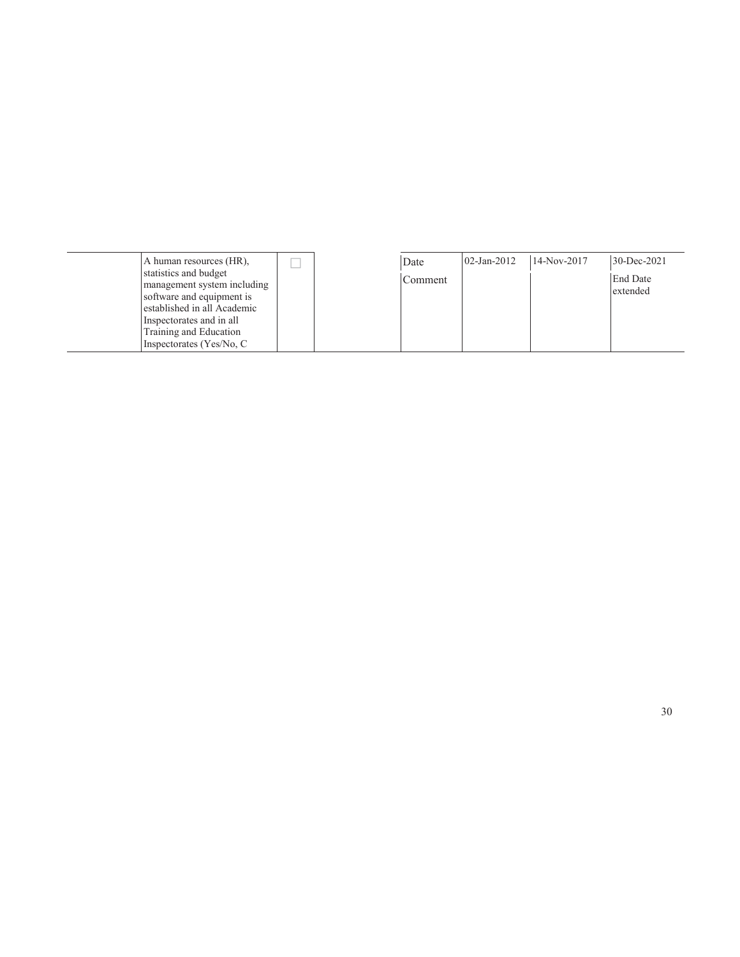A human resources (HR), statistics and budget management system including software and equipment is established in all Academic Inspectorates and in all Training and Education Inspectorates (Yes/No, C

 $\Box$ 

| Date    | 02-Jan-2012 | 14-Nov-2017 | 30-Dec-2021                 |
|---------|-------------|-------------|-----------------------------|
| Comment |             |             | <b>End Date</b><br>extended |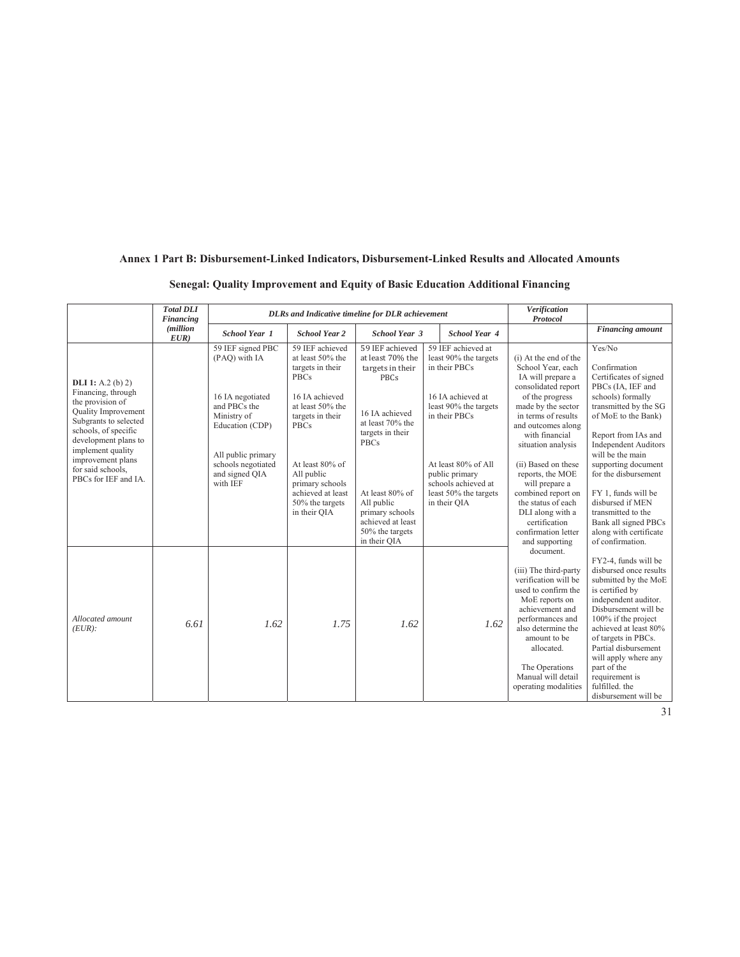#### **Annex 1 Part B: Disbursement-Linked Indicators, Disbursement-Linked Results and Allocated Amounts**

#### **Senegal: Quality Improvement and Equity of Basic Education Additional Financing**

|                                                                                                                                                                                                                                                           | <b>Total DLI</b><br>Financing | DLRs and Indicative timeline for DLR achievement                                                                                                                                   |                                                                                                                                                                                                                                                             |                                                                                                                                                                                                                                                             |                                                                                                                                                                                                                                      | Verification<br>Protocol                                                                                                                                                                                                                                                                                                                                                                                    |                                                                                                                                                                                                                                                                                                                                                                                                            |
|-----------------------------------------------------------------------------------------------------------------------------------------------------------------------------------------------------------------------------------------------------------|-------------------------------|------------------------------------------------------------------------------------------------------------------------------------------------------------------------------------|-------------------------------------------------------------------------------------------------------------------------------------------------------------------------------------------------------------------------------------------------------------|-------------------------------------------------------------------------------------------------------------------------------------------------------------------------------------------------------------------------------------------------------------|--------------------------------------------------------------------------------------------------------------------------------------------------------------------------------------------------------------------------------------|-------------------------------------------------------------------------------------------------------------------------------------------------------------------------------------------------------------------------------------------------------------------------------------------------------------------------------------------------------------------------------------------------------------|------------------------------------------------------------------------------------------------------------------------------------------------------------------------------------------------------------------------------------------------------------------------------------------------------------------------------------------------------------------------------------------------------------|
|                                                                                                                                                                                                                                                           | <i>(million</i> )<br>EUR)     | <b>School Year 1</b>                                                                                                                                                               | <b>School Year 2</b>                                                                                                                                                                                                                                        | <b>School Year 3</b>                                                                                                                                                                                                                                        | <b>School Year 4</b>                                                                                                                                                                                                                 |                                                                                                                                                                                                                                                                                                                                                                                                             | <b>Financing</b> amount                                                                                                                                                                                                                                                                                                                                                                                    |
| <b>DLI</b> 1: A.2 (b) 2)<br>Financing, through<br>the provision of<br>Quality Improvement<br>Subgrants to selected<br>schools, of specific<br>development plans to<br>implement quality<br>improvement plans<br>for said schools,<br>PBCs for IEF and IA. |                               | 59 IEF signed PBC<br>(PAQ) with IA<br>16 IA negotiated<br>and PBCs the<br>Ministry of<br>Education (CDP)<br>All public primary<br>schools negotiated<br>and signed QIA<br>with IEF | 59 IEF achieved<br>at least 50% the<br>targets in their<br><b>PBCs</b><br>16 IA achieved<br>at least 50% the<br>targets in their<br><b>PBCs</b><br>At least 80% of<br>All public<br>primary schools<br>achieved at least<br>50% the targets<br>in their QIA | 59 IEF achieved<br>at least 70% the<br>targets in their<br><b>PBCs</b><br>16 IA achieved<br>at least 70% the<br>targets in their<br><b>PBCs</b><br>At least 80% of<br>All public<br>primary schools<br>achieved at least<br>50% the targets<br>in their QIA | 59 IEF achieved at<br>least 90% the targets<br>in their PBCs<br>16 IA achieved at<br>least 90% the targets<br>in their PBCs<br>At least 80% of All<br>public primary<br>schools achieved at<br>least 50% the targets<br>in their QIA | (i) At the end of the<br>School Year, each<br>IA will prepare a<br>consolidated report<br>of the progress<br>made by the sector<br>in terms of results<br>and outcomes along<br>with financial<br>situation analysis<br>(ii) Based on these<br>reports, the MOE<br>will prepare a<br>combined report on<br>the status of each<br>DLI along with a<br>certification<br>confirmation letter<br>and supporting | Yes/No<br>Confirmation<br>Certificates of signed<br>PBCs (IA, IEF and<br>schools) formally<br>transmitted by the SG<br>of MoE to the Bank)<br>Report from IAs and<br><b>Independent Auditors</b><br>will be the main<br>supporting document<br>for the disbursement<br>FY 1, funds will be<br>disbursed if MEN<br>transmitted to the<br>Bank all signed PBCs<br>along with certificate<br>of confirmation. |
| Allocated amount<br>$(EUR)$ :                                                                                                                                                                                                                             | 6.61                          | 1.62                                                                                                                                                                               | 1.75                                                                                                                                                                                                                                                        | 1.62                                                                                                                                                                                                                                                        | 1.62                                                                                                                                                                                                                                 | document.<br>(iii) The third-party<br>verification will be<br>used to confirm the<br>MoE reports on<br>achievement and<br>performances and<br>also determine the<br>amount to be<br>allocated.<br>The Operations<br>Manual will detail<br>operating modalities                                                                                                                                              | FY2-4, funds will be<br>disbursed once results<br>submitted by the MoE<br>is certified by<br>independent auditor.<br>Disbursement will be<br>100% if the project<br>achieved at least 80%<br>of targets in PBCs.<br>Partial disbursement<br>will apply where any<br>part of the<br>requirement is<br>fulfilled, the<br>disbursement will be                                                                |

31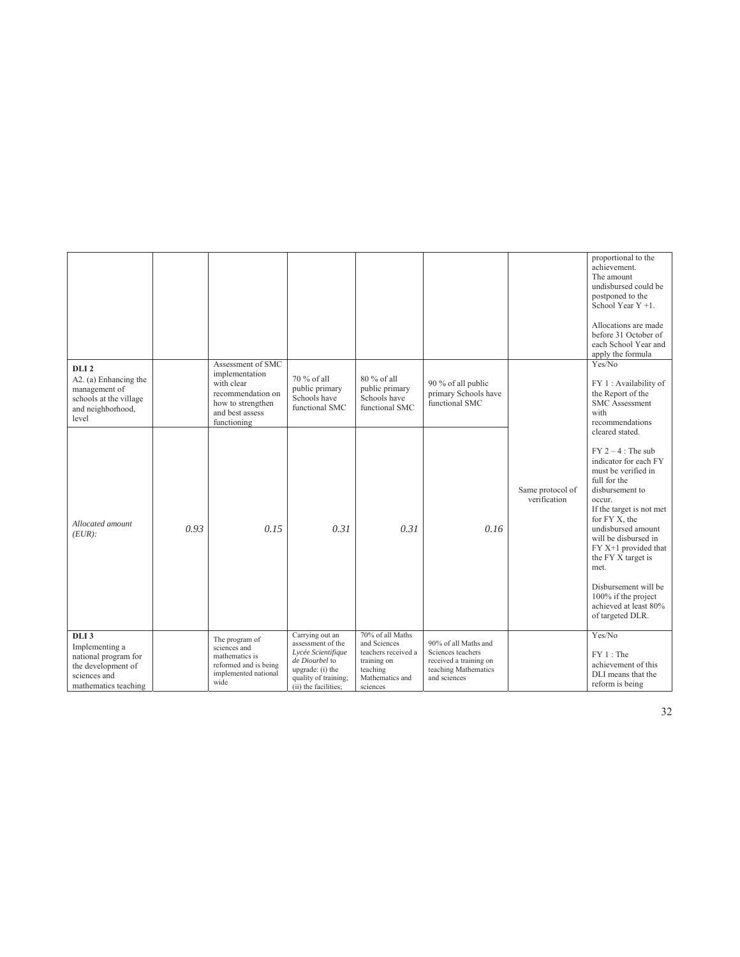|                                                                                                                          |      |                                                                                                                               |                                                                                                                                                  |                                                                                                                   |                                                                                                             |                                  | proportional to the<br>achievement.<br>The amount<br>undisbursed could be<br>postponed to the<br>School Year $Y + 1$ .<br>Allocations are made<br>before 31 October of<br>each School Year and                                                                                                                                                                                      |
|--------------------------------------------------------------------------------------------------------------------------|------|-------------------------------------------------------------------------------------------------------------------------------|--------------------------------------------------------------------------------------------------------------------------------------------------|-------------------------------------------------------------------------------------------------------------------|-------------------------------------------------------------------------------------------------------------|----------------------------------|-------------------------------------------------------------------------------------------------------------------------------------------------------------------------------------------------------------------------------------------------------------------------------------------------------------------------------------------------------------------------------------|
| DLI <sub>2</sub><br>A2. (a) Enhancing the<br>management of<br>schools at the village<br>and neighborhood,<br>level       |      | Assessment of SMC<br>implementation<br>with clear<br>recommendation on<br>how to strengthen<br>and best assess<br>functioning | 70 % of all<br>public primary<br>Schools have<br>functional SMC                                                                                  | 80 % of all<br>public primary<br>Schools have<br>functional SMC                                                   | 90 % of all public<br>primary Schools have<br>functional SMC                                                |                                  | apply the formula<br>Yes/No<br>FY 1 : Availability of<br>the Report of the<br><b>SMC</b> Assessment<br>with<br>recommendations                                                                                                                                                                                                                                                      |
| Allocated amount<br>$(EUR)$ :                                                                                            | 0.93 | 0.15                                                                                                                          | 0.31                                                                                                                                             | 0.31                                                                                                              | 0.16                                                                                                        | Same protocol of<br>verification | cleared stated.<br>$FY 2 - 4$ : The sub<br>indicator for each FY<br>must be verified in<br>full for the<br>disbursement to<br>occur.<br>If the target is not met<br>for FY X, the<br>undisbursed amount<br>will be disbursed in<br>$FY X+1$ provided that<br>the FY X target is<br>met.<br>Disbursement will be<br>100% if the project<br>achieved at least 80%<br>of targeted DLR. |
| DLI <sub>3</sub><br>Implementing a<br>national program for<br>the development of<br>sciences and<br>mathematics teaching |      | The program of<br>sciences and<br>mathematics is<br>reformed and is being<br>implemented national<br>wide                     | Carrying out an<br>assessment of the<br>Lycée Scientifique<br>de Diourbel to<br>upgrade: (i) the<br>quality of training;<br>(ii) the facilities; | 70% of all Maths<br>and Sciences<br>teachers received a<br>training on<br>teaching<br>Mathematics and<br>sciences | 90% of all Maths and<br>Sciences teachers<br>received a training on<br>teaching Mathematics<br>and sciences |                                  | Yes/No<br>$FY 1:$ The<br>achievement of this<br>DLI means that the<br>reform is being                                                                                                                                                                                                                                                                                               |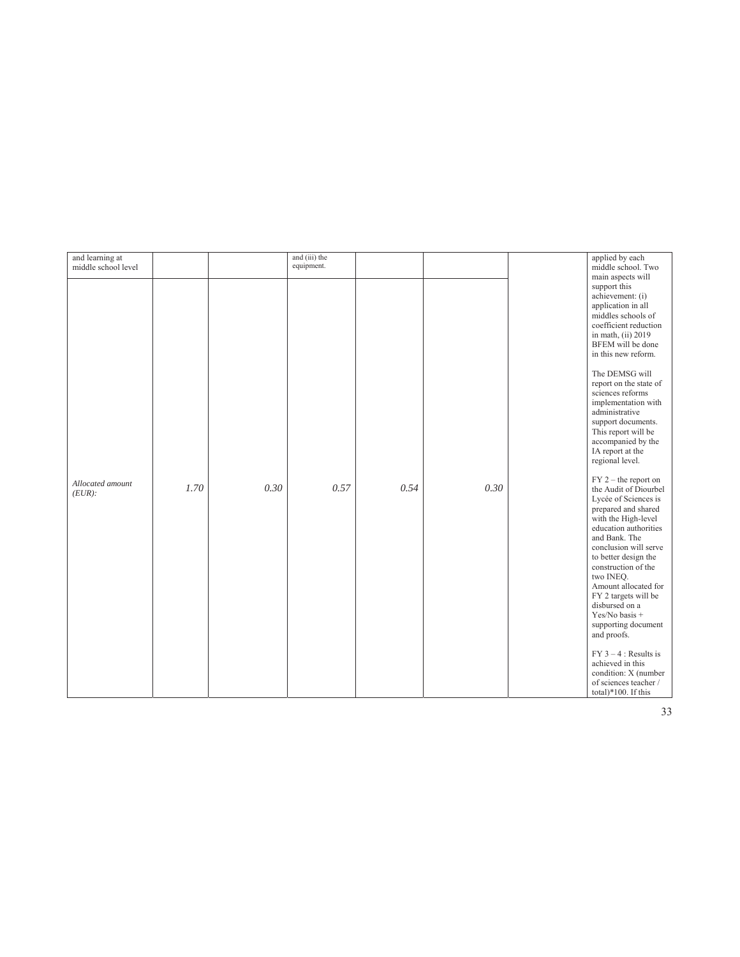| and learning at<br>middle school level |      |      | and (iii) the<br>equipment. |      |      | applied by each<br>middle school. Two      |
|----------------------------------------|------|------|-----------------------------|------|------|--------------------------------------------|
|                                        |      |      |                             |      |      | main aspects will                          |
|                                        |      |      |                             |      |      | support this                               |
|                                        |      |      |                             |      |      | achievement: (i)                           |
|                                        |      |      |                             |      |      | application in all                         |
|                                        |      |      |                             |      |      | middles schools of                         |
|                                        |      |      |                             |      |      | coefficient reduction                      |
|                                        |      |      |                             |      |      | in math, (ii) 2019                         |
|                                        |      |      |                             |      |      | BFEM will be done                          |
|                                        |      |      |                             |      |      | in this new reform.                        |
|                                        |      |      |                             |      |      | The DEMSG will                             |
|                                        |      |      |                             |      |      | report on the state of                     |
|                                        |      |      |                             |      |      | sciences reforms                           |
|                                        |      |      |                             |      |      | implementation with<br>administrative      |
|                                        |      |      |                             |      |      | support documents.                         |
|                                        |      |      |                             |      |      | This report will be                        |
|                                        |      |      |                             |      |      | accompanied by the                         |
|                                        |      |      |                             |      |      | IA report at the                           |
|                                        |      |      |                             |      |      | regional level.                            |
| Allocated amount                       |      |      |                             |      |      | $FY$ 2 – the report on                     |
| $(EUR)$ :                              | 1.70 | 0.30 | 0.57                        | 0.54 | 0.30 | the Audit of Diourbel                      |
|                                        |      |      |                             |      |      | Lycée of Sciences is                       |
|                                        |      |      |                             |      |      | prepared and shared<br>with the High-level |
|                                        |      |      |                             |      |      | education authorities                      |
|                                        |      |      |                             |      |      | and Bank. The                              |
|                                        |      |      |                             |      |      | conclusion will serve                      |
|                                        |      |      |                             |      |      | to better design the                       |
|                                        |      |      |                             |      |      | construction of the                        |
|                                        |      |      |                             |      |      | two INEO.                                  |
|                                        |      |      |                             |      |      | Amount allocated for                       |
|                                        |      |      |                             |      |      | FY 2 targets will be                       |
|                                        |      |      |                             |      |      | disbursed on a<br>Yes/No basis +           |
|                                        |      |      |                             |      |      | supporting document                        |
|                                        |      |      |                             |      |      | and proofs.                                |
|                                        |      |      |                             |      |      | $FY$ 3 – 4 : Results is                    |
|                                        |      |      |                             |      |      | achieved in this                           |
|                                        |      |      |                             |      |      | condition: X (number                       |
|                                        |      |      |                             |      |      | of sciences teacher /                      |
|                                        |      |      |                             |      |      | total)*100. If this                        |

33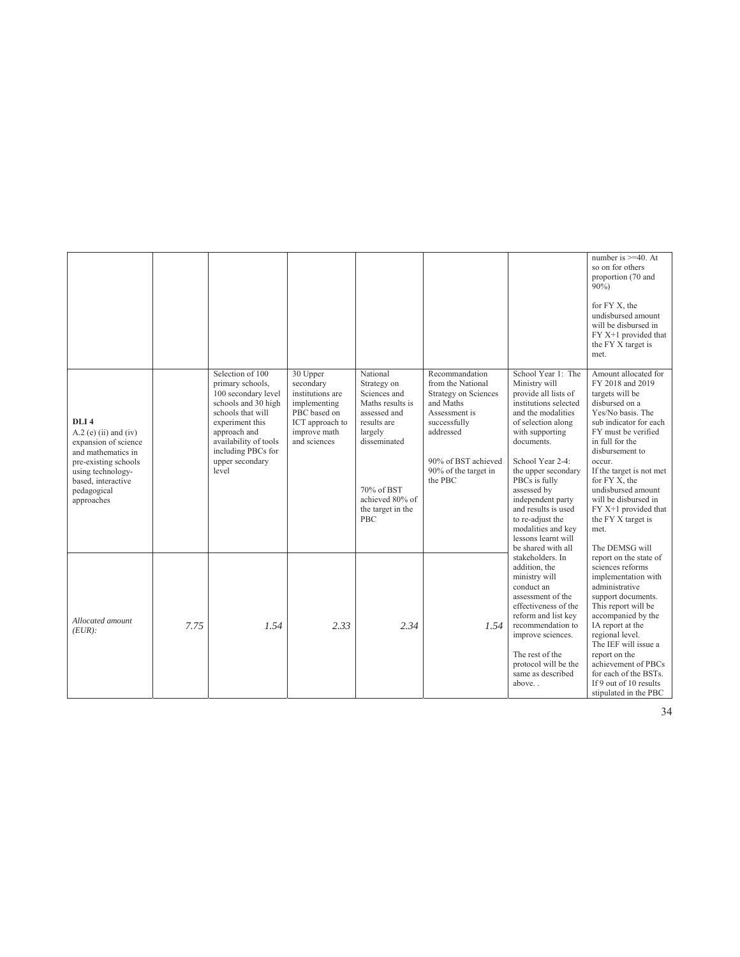|                                                                                                                                                                                           |      |                                                                                                                                                                                                                       |                                                                                                                              |                                                                                                                                                                                    |                                                                                                                                                                                         |                                                                                                                                                                                                                                                                                                                                                                                 | number is $>=$ 40. At<br>so on for others<br>proportion (70 and<br>$90\%$ )<br>for FY X, the<br>undisbursed amount<br>will be disbursed in<br>FY X+1 provided that<br>the FY X target is<br>met.                                                                                                                                                                       |
|-------------------------------------------------------------------------------------------------------------------------------------------------------------------------------------------|------|-----------------------------------------------------------------------------------------------------------------------------------------------------------------------------------------------------------------------|------------------------------------------------------------------------------------------------------------------------------|------------------------------------------------------------------------------------------------------------------------------------------------------------------------------------|-----------------------------------------------------------------------------------------------------------------------------------------------------------------------------------------|---------------------------------------------------------------------------------------------------------------------------------------------------------------------------------------------------------------------------------------------------------------------------------------------------------------------------------------------------------------------------------|------------------------------------------------------------------------------------------------------------------------------------------------------------------------------------------------------------------------------------------------------------------------------------------------------------------------------------------------------------------------|
| DLI <sub>4</sub><br>$A.2$ (e) (ii) and (iv)<br>expansion of science<br>and mathematics in<br>pre-existing schools<br>using technology-<br>based, interactive<br>pedagogical<br>approaches |      | Selection of 100<br>primary schools,<br>100 secondary level<br>schools and 30 high<br>schools that will<br>experiment this<br>approach and<br>availability of tools<br>including PBCs for<br>upper secondary<br>level | 30 Upper<br>secondary<br>institutions are<br>implementing<br>PBC based on<br>ICT approach to<br>improve math<br>and sciences | National<br>Strategy on<br>Sciences and<br>Maths results is<br>assessed and<br>results are<br>largely<br>disseminated<br>70% of BST<br>achieved 80% of<br>the target in the<br>PBC | Recommandation<br>from the National<br><b>Strategy on Sciences</b><br>and Maths<br>Assessment is<br>successfully<br>addressed<br>90% of BST achieved<br>90% of the target in<br>the PBC | School Year 1: The<br>Ministry will<br>provide all lists of<br>institutions selected<br>and the modalities<br>of selection along<br>with supporting<br>documents.<br>School Year 2-4:<br>the upper secondary<br>PBCs is fully<br>assessed by<br>independent party<br>and results is used<br>to re-adjust the<br>modalities and key<br>lessons learnt will<br>be shared with all | Amount allocated for<br>FY 2018 and 2019<br>targets will be<br>disbursed on a<br>Yes/No basis. The<br>sub indicator for each<br>FY must be verified<br>in full for the<br>disbursement to<br>occur.<br>If the target is not met<br>for FY X, the<br>undisbursed amount<br>will be disbursed in<br>FY X+1 provided that<br>the FY X target is<br>met.<br>The DEMSG will |
| Allocated amount<br>$(EUR)$ :                                                                                                                                                             | 7.75 | 1.54                                                                                                                                                                                                                  | 2.33                                                                                                                         | 2.34                                                                                                                                                                               | 1.54                                                                                                                                                                                    | stakeholders. In<br>addition, the<br>ministry will<br>conduct an<br>assessment of the<br>effectiveness of the<br>reform and list key<br>recommendation to<br>improve sciences.<br>The rest of the<br>protocol will be the<br>same as described<br>above                                                                                                                         | report on the state of<br>sciences reforms<br>implementation with<br>administrative<br>support documents.<br>This report will be<br>accompanied by the<br>IA report at the<br>regional level.<br>The IEF will issue a<br>report on the<br>achievement of PBCs<br>for each of the BSTs.<br>If 9 out of 10 results<br>stipulated in the PBC                              |

34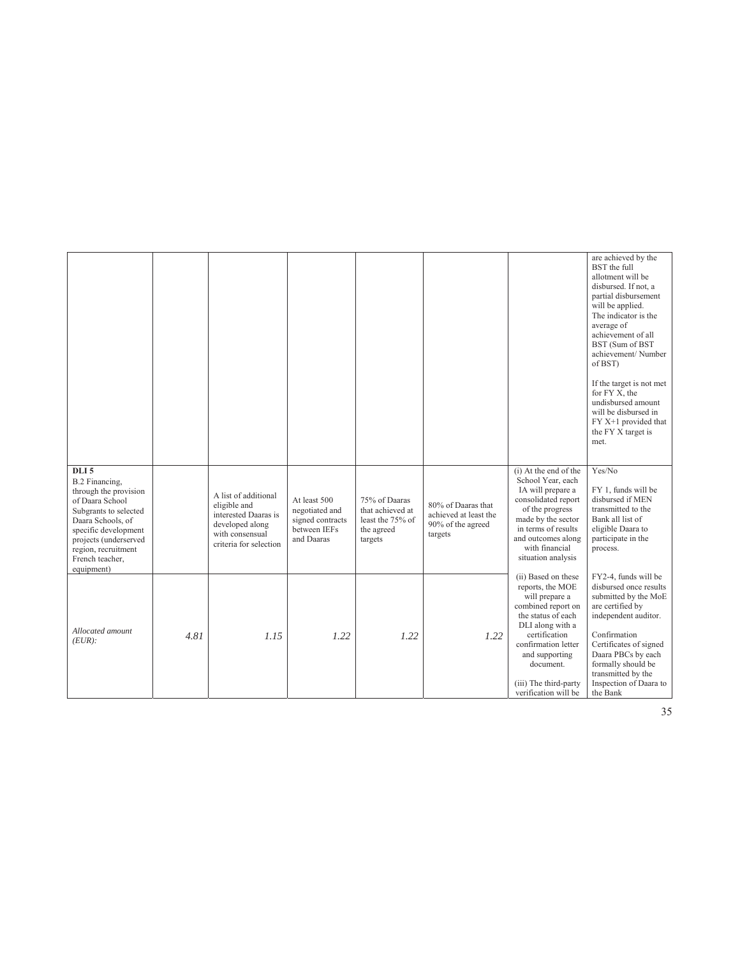|                                                                                                                                                                                                                                       |      |                                                                                                                              |                                                                                  |                                                                                |                                                                             |                                                                                                                                                                                                                                                   | are achieved by the<br>BST the full<br>allotment will be<br>disbursed. If not, a<br>partial disbursement<br>will be applied.<br>The indicator is the<br>average of<br>achievement of all<br>BST (Sum of BST<br>achievement/Number<br>of BST)<br>If the target is not met<br>for FY X, the<br>undisbursed amount<br>will be disbursed in<br>FY X+1 provided that<br>the FY X target is<br>met. |
|---------------------------------------------------------------------------------------------------------------------------------------------------------------------------------------------------------------------------------------|------|------------------------------------------------------------------------------------------------------------------------------|----------------------------------------------------------------------------------|--------------------------------------------------------------------------------|-----------------------------------------------------------------------------|---------------------------------------------------------------------------------------------------------------------------------------------------------------------------------------------------------------------------------------------------|-----------------------------------------------------------------------------------------------------------------------------------------------------------------------------------------------------------------------------------------------------------------------------------------------------------------------------------------------------------------------------------------------|
| DLI <sub>5</sub><br>B.2 Financing,<br>through the provision<br>of Daara School<br>Subgrants to selected<br>Daara Schools, of<br>specific development<br>projects (underserved<br>region, recruitment<br>French teacher,<br>equipment) |      | A list of additional<br>eligible and<br>interested Daaras is<br>developed along<br>with consensual<br>criteria for selection | At least 500<br>negotiated and<br>signed contracts<br>between IEFs<br>and Daaras | 75% of Daaras<br>that achieved at<br>least the 75% of<br>the agreed<br>targets | 80% of Daaras that<br>achieved at least the<br>90% of the agreed<br>targets | (i) At the end of the<br>School Year, each<br>IA will prepare a<br>consolidated report<br>of the progress<br>made by the sector<br>in terms of results<br>and outcomes along<br>with financial<br>situation analysis                              | Yes/No<br>FY 1, funds will be<br>disbursed if MEN<br>transmitted to the<br>Bank all list of<br>eligible Daara to<br>participate in the<br>process.                                                                                                                                                                                                                                            |
| Allocated amount<br>$(EUR)$ :                                                                                                                                                                                                         | 4.81 | 1.15                                                                                                                         | 1.22                                                                             | 1.22                                                                           | 1.22                                                                        | (ii) Based on these<br>reports, the MOE<br>will prepare a<br>combined report on<br>the status of each<br>DLI along with a<br>certification<br>confirmation letter<br>and supporting<br>document.<br>(iii) The third-party<br>verification will be | FY2-4, funds will be<br>disbursed once results<br>submitted by the MoE<br>are certified by<br>independent auditor.<br>Confirmation<br>Certificates of signed<br>Daara PBCs by each<br>formally should be<br>transmitted by the<br>Inspection of Daara to<br>the Bank                                                                                                                          |

35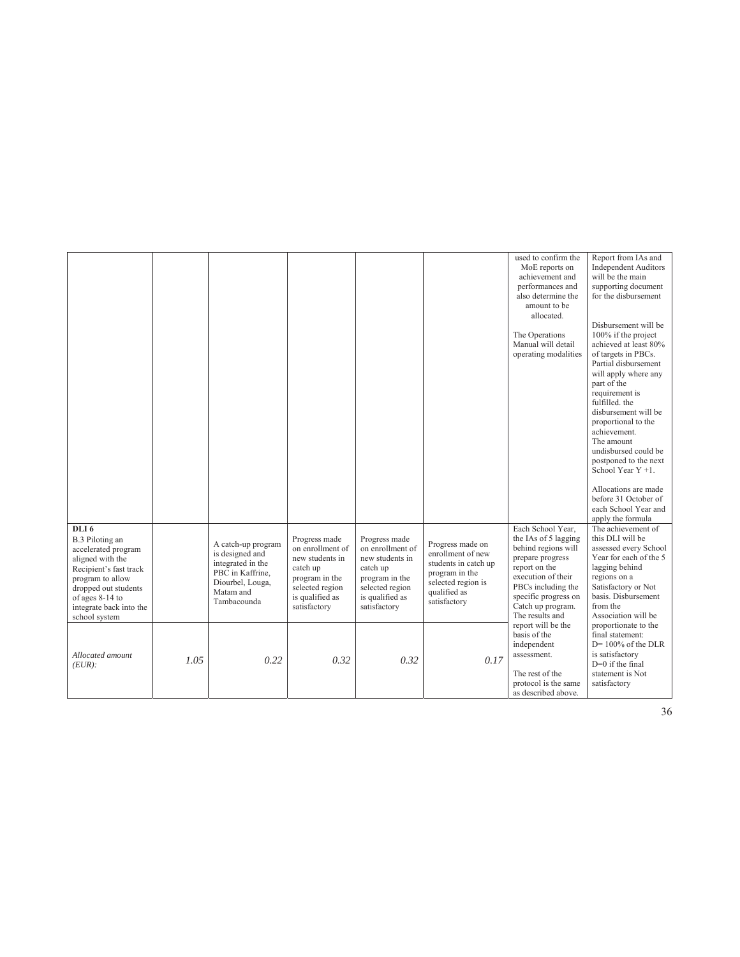|                                                                                                                                                                                                                     |      |                                                                                                                                |                                                                                                                                          |                                                                                                                                          |                                                                                                                                       | used to confirm the<br>MoE reports on<br>achievement and<br>performances and<br>also determine the<br>amount to be<br>allocated.<br>The Operations<br>Manual will detail<br>operating modalities                  | Report from IAs and<br><b>Independent Auditors</b><br>will be the main<br>supporting document<br>for the disbursement<br>Disbursement will be<br>100% if the project<br>achieved at least 80%<br>of targets in PBCs.<br>Partial disbursement<br>will apply where any<br>part of the<br>requirement is<br>fulfilled, the<br>disbursement will be<br>proportional to the<br>achievement.<br>The amount<br>undisbursed could be<br>postponed to the next |
|---------------------------------------------------------------------------------------------------------------------------------------------------------------------------------------------------------------------|------|--------------------------------------------------------------------------------------------------------------------------------|------------------------------------------------------------------------------------------------------------------------------------------|------------------------------------------------------------------------------------------------------------------------------------------|---------------------------------------------------------------------------------------------------------------------------------------|-------------------------------------------------------------------------------------------------------------------------------------------------------------------------------------------------------------------|-------------------------------------------------------------------------------------------------------------------------------------------------------------------------------------------------------------------------------------------------------------------------------------------------------------------------------------------------------------------------------------------------------------------------------------------------------|
|                                                                                                                                                                                                                     |      |                                                                                                                                |                                                                                                                                          |                                                                                                                                          |                                                                                                                                       |                                                                                                                                                                                                                   | School Year $Y + 1$ .<br>Allocations are made<br>before 31 October of<br>each School Year and<br>apply the formula                                                                                                                                                                                                                                                                                                                                    |
| DLI <sub>6</sub><br>B.3 Piloting an<br>accelerated program<br>aligned with the<br>Recipient's fast track<br>program to allow<br>dropped out students<br>of ages 8-14 to<br>integrate back into the<br>school system |      | A catch-up program<br>is designed and<br>integrated in the<br>PBC in Kaffrine,<br>Diourbel, Louga,<br>Matam and<br>Tambacounda | Progress made<br>on enrollment of<br>new students in<br>catch up<br>program in the<br>selected region<br>is qualified as<br>satisfactory | Progress made<br>on enrollment of<br>new students in<br>catch up<br>program in the<br>selected region<br>is qualified as<br>satisfactory | Progress made on<br>enrollment of new<br>students in catch up<br>program in the<br>selected region is<br>qualified as<br>satisfactory | Each School Year,<br>the IAs of 5 lagging<br>behind regions will<br>prepare progress<br>report on the<br>execution of their<br>PBCs including the<br>specific progress on<br>Catch up program.<br>The results and | The achievement of<br>this DLI will be<br>assessed every School<br>Year for each of the 5<br>lagging behind<br>regions on a<br>Satisfactory or Not<br>basis. Disbursement<br>from the<br>Association will be                                                                                                                                                                                                                                          |
| Allocated amount<br>$(EUR)$ :                                                                                                                                                                                       | 1.05 | 0.22                                                                                                                           | 0.32                                                                                                                                     | 0.32                                                                                                                                     | 0.17                                                                                                                                  | report will be the<br>basis of the<br>independent<br>assessment.<br>The rest of the<br>protocol is the same<br>as described above.                                                                                | proportionate to the<br>final statement:<br>$D=100\%$ of the DLR<br>is satisfactory<br>$D=0$ if the final<br>statement is Not<br>satisfactory                                                                                                                                                                                                                                                                                                         |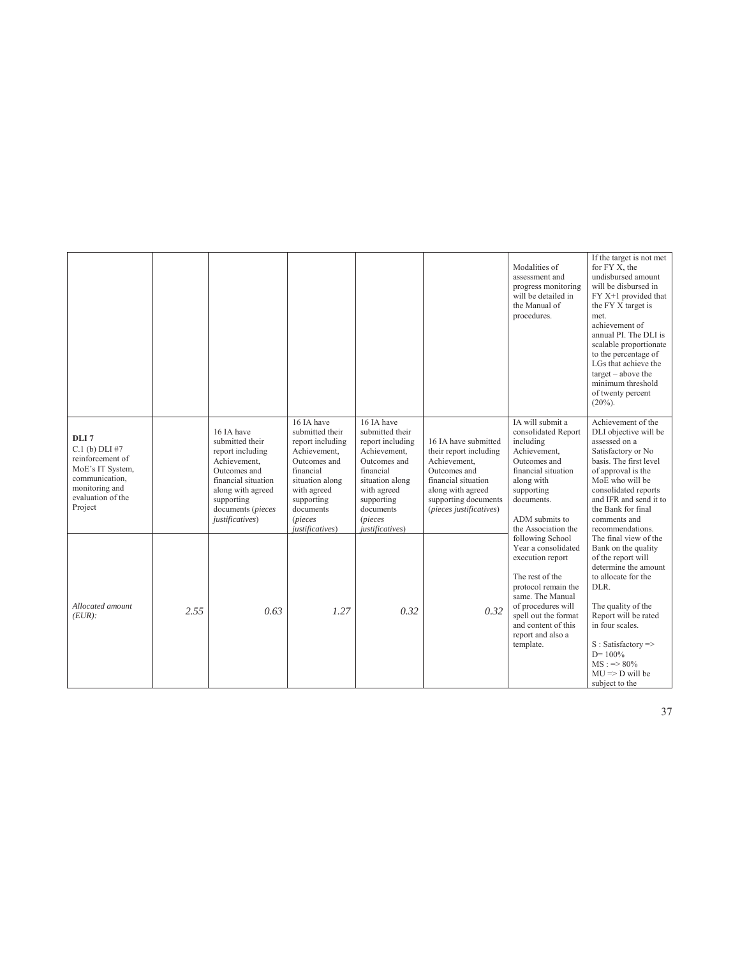|                                                                                                                                                    |      |                                                                                                                                                                                     |                                                                                                                                                                                                  |                                                                                                                                                                                                  |                                                                                                                                                                               | Modalities of<br>assessment and<br>progress monitoring<br>will be detailed in<br>the Manual of<br>procedures.                                                                                                                    | If the target is not met<br>for FY X, the<br>undisbursed amount<br>will be disbursed in<br>FY X+1 provided that<br>the FY X target is<br>met.<br>achievement of<br>annual PI. The DLI is<br>scalable proportionate<br>to the percentage of<br>LGs that achieve the<br>$target - above the$<br>minimum threshold<br>of twenty percent<br>$(20\%).$ |
|----------------------------------------------------------------------------------------------------------------------------------------------------|------|-------------------------------------------------------------------------------------------------------------------------------------------------------------------------------------|--------------------------------------------------------------------------------------------------------------------------------------------------------------------------------------------------|--------------------------------------------------------------------------------------------------------------------------------------------------------------------------------------------------|-------------------------------------------------------------------------------------------------------------------------------------------------------------------------------|----------------------------------------------------------------------------------------------------------------------------------------------------------------------------------------------------------------------------------|---------------------------------------------------------------------------------------------------------------------------------------------------------------------------------------------------------------------------------------------------------------------------------------------------------------------------------------------------|
| DLI <sub>7</sub><br>$C.1$ (b) $DLI$ #7<br>reinforcement of<br>MoE's IT System,<br>communication,<br>monitoring and<br>evaluation of the<br>Project |      | 16 IA have<br>submitted their<br>report including<br>Achievement,<br>Outcomes and<br>financial situation<br>along with agreed<br>supporting<br>documents (pieces<br>justificatives) | 16 IA have<br>submitted their<br>report including<br>Achievement,<br>Outcomes and<br>financial<br>situation along<br>with agreed<br>supporting<br>documents<br><i>(pieces</i><br>justificatives) | 16 IA have<br>submitted their<br>report including<br>Achievement,<br>Outcomes and<br>financial<br>situation along<br>with agreed<br>supporting<br>documents<br><i>(pieces</i><br>justificatives) | 16 IA have submitted<br>their report including<br>Achievement,<br>Outcomes and<br>financial situation<br>along with agreed<br>supporting documents<br>(pieces justificatives) | IA will submit a<br>consolidated Report<br>including<br>Achievement,<br>Outcomes and<br>financial situation<br>along with<br>supporting<br>documents.<br>ADM submits to<br>the Association the                                   | Achievement of the<br>DLI objective will be<br>assessed on a<br>Satisfactory or No<br>basis. The first level<br>of approval is the<br>MoE who will be<br>consolidated reports<br>and IFR and send it to<br>the Bank for final<br>comments and<br>recommendations.                                                                                 |
| Allocated amount<br>$(EUR)$ :                                                                                                                      | 2.55 | 0.63                                                                                                                                                                                | 1.27                                                                                                                                                                                             | 0.32                                                                                                                                                                                             | 0.32                                                                                                                                                                          | following School<br>Year a consolidated<br>execution report<br>The rest of the<br>protocol remain the<br>same. The Manual<br>of procedures will<br>spell out the format<br>and content of this<br>report and also a<br>template. | The final view of the<br>Bank on the quality<br>of the report will<br>determine the amount<br>to allocate for the<br>DLR.<br>The quality of the<br>Report will be rated<br>in four scales.<br>$S: Satisfactory \Rightarrow$<br>$D = 100\%$<br>$MS := > 80\%$<br>$MU \Rightarrow D$ will be<br>subject to the                                      |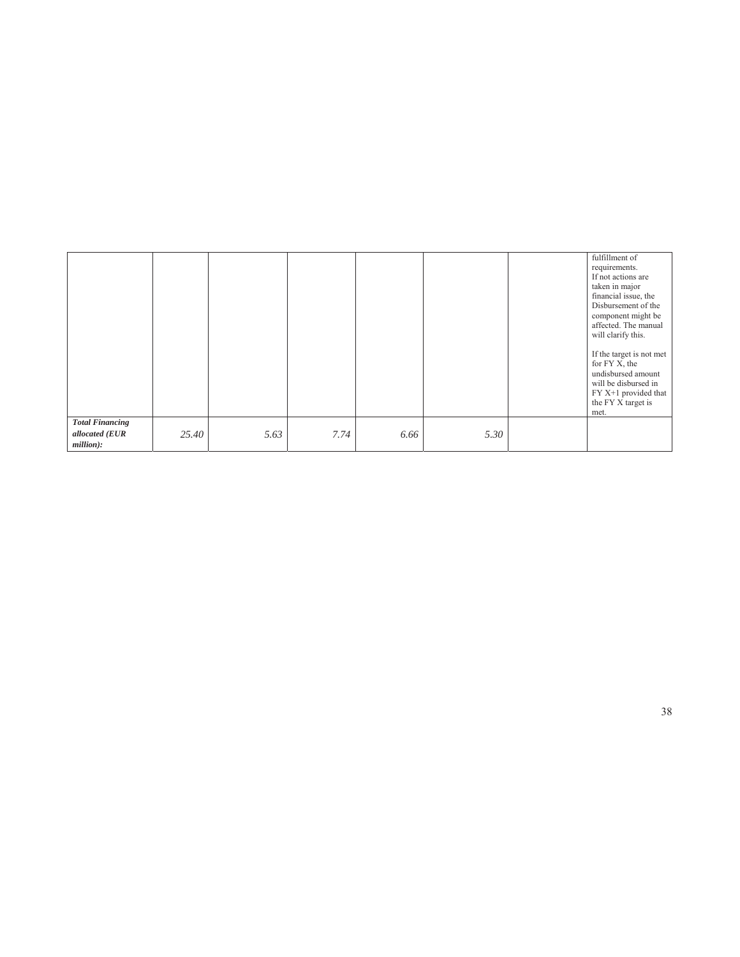|                        |       |      |      |      |      | fulfillment of<br>requirements.<br>If not actions are<br>taken in major<br>financial issue, the<br>Disbursement of the<br>component might be<br>affected. The manual<br>will clarify this.<br>If the target is not met<br>for FY X, the |
|------------------------|-------|------|------|------|------|-----------------------------------------------------------------------------------------------------------------------------------------------------------------------------------------------------------------------------------------|
|                        |       |      |      |      |      | undisbursed amount<br>will be disbursed in<br>FY X+1 provided that<br>the FY X target is<br>met.                                                                                                                                        |
| <b>Total Financing</b> |       |      |      |      |      |                                                                                                                                                                                                                                         |
| allocated (EUR         | 25.40 | 5.63 | 7.74 | 6.66 | 5.30 |                                                                                                                                                                                                                                         |
| million):              |       |      |      |      |      |                                                                                                                                                                                                                                         |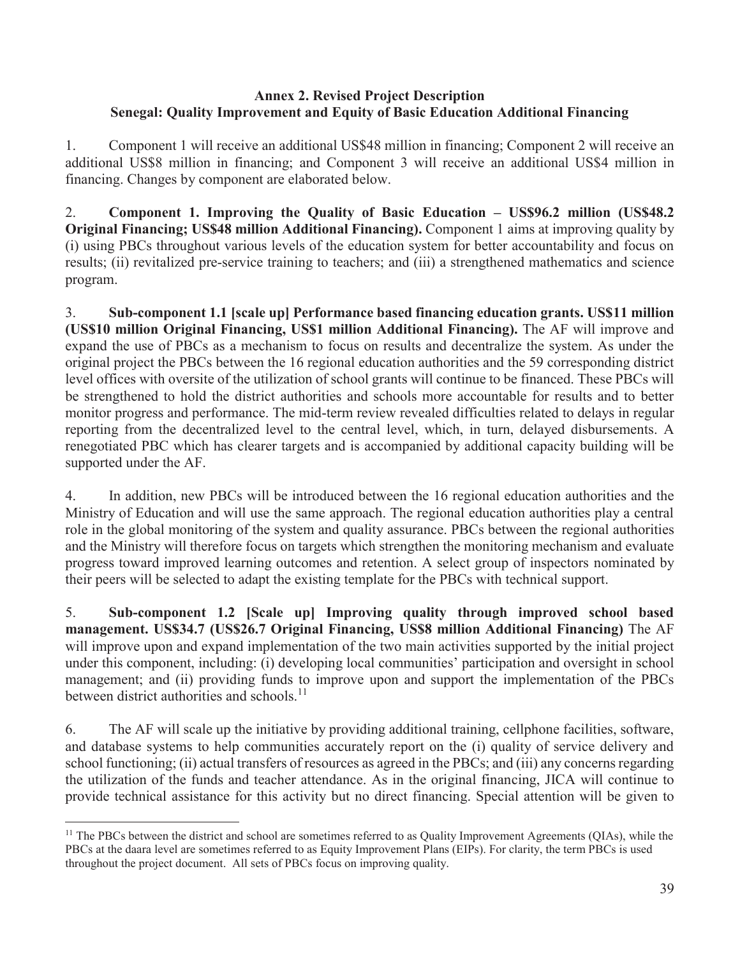### **Annex 2. Revised Project Description Senegal: Quality Improvement and Equity of Basic Education Additional Financing**

1. Component 1 will receive an additional US\$48 million in financing; Component 2 will receive an additional US\$8 million in financing; and Component 3 will receive an additional US\$4 million in financing. Changes by component are elaborated below.

2. **Component 1. Improving the Quality of Basic Education – US\$96.2 million (US\$48.2) Original Financing; US\$48 million Additional Financing).** Component 1 aims at improving quality by (i) using PBCs throughout various levels of the education system for better accountability and focus on results; (ii) revitalized pre-service training to teachers; and (iii) a strengthened mathematics and science program.

3. **Sub-component 1.1 [scale up] Performance based financing education grants. US\$11 million (US\$10 million Original Financing, US\$1 million Additional Financing).** The AF will improve and expand the use of PBCs as a mechanism to focus on results and decentralize the system. As under the original project the PBCs between the 16 regional education authorities and the 59 corresponding district level offices with oversite of the utilization of school grants will continue to be financed. These PBCs will be strengthened to hold the district authorities and schools more accountable for results and to better monitor progress and performance. The mid-term review revealed difficulties related to delays in regular reporting from the decentralized level to the central level, which, in turn, delayed disbursements. A renegotiated PBC which has clearer targets and is accompanied by additional capacity building will be supported under the AF.

4. In addition, new PBCs will be introduced between the 16 regional education authorities and the Ministry of Education and will use the same approach. The regional education authorities play a central role in the global monitoring of the system and quality assurance. PBCs between the regional authorities and the Ministry will therefore focus on targets which strengthen the monitoring mechanism and evaluate progress toward improved learning outcomes and retention. A select group of inspectors nominated by their peers will be selected to adapt the existing template for the PBCs with technical support.

5. **Sub-component 1.2 [Scale up] Improving quality through improved school based management. US\$34.7 (US\$26.7 Original Financing, US\$8 million Additional Financing)** The AF will improve upon and expand implementation of the two main activities supported by the initial project under this component, including: (i) developing local communities' participation and oversight in school management; and (ii) providing funds to improve upon and support the implementation of the PBCs between district authorities and schools.<sup>11</sup>

6. The AF will scale up the initiative by providing additional training, cellphone facilities, software, and database systems to help communities accurately report on the (i) quality of service delivery and school functioning; (ii) actual transfers of resources as agreed in the PBCs; and (iii) any concerns regarding the utilization of the funds and teacher attendance. As in the original financing, JICA will continue to provide technical assistance for this activity but no direct financing. Special attention will be given to

 $\overline{a}$ 

 $<sup>11</sup>$  The PBCs between the district and school are sometimes referred to as Quality Improvement Agreements (QIAs), while the</sup> PBCs at the daara level are sometimes referred to as Equity Improvement Plans (EIPs). For clarity, the term PBCs is used throughout the project document. All sets of PBCs focus on improving quality.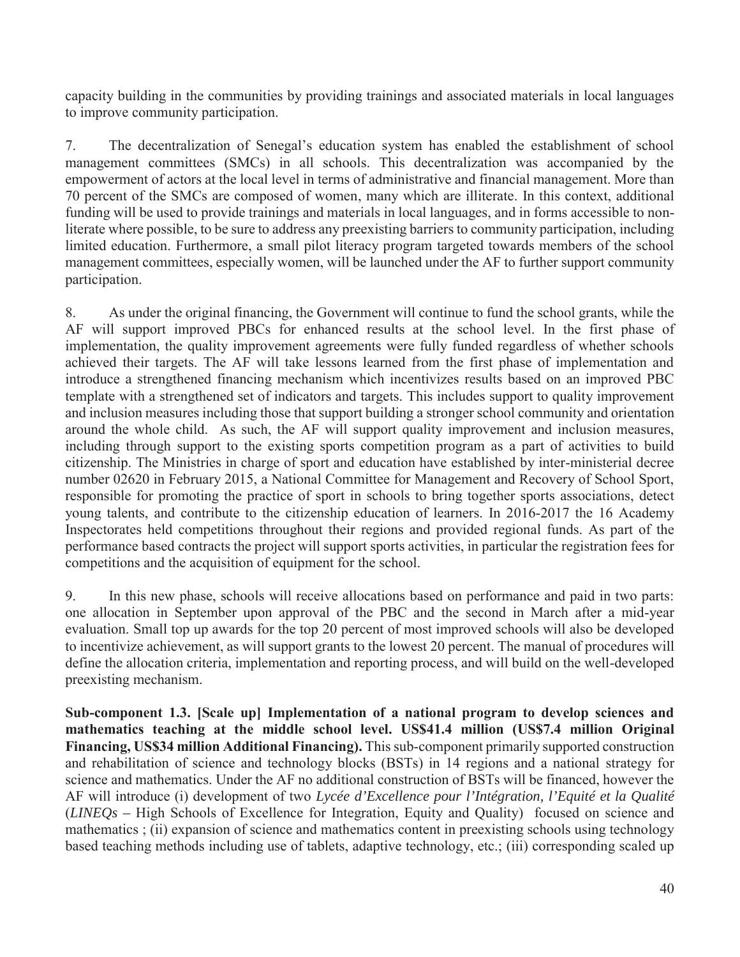capacity building in the communities by providing trainings and associated materials in local languages to improve community participation.

7. The decentralization of Senegal's education system has enabled the establishment of school management committees (SMCs) in all schools. This decentralization was accompanied by the empowerment of actors at the local level in terms of administrative and financial management. More than 70 percent of the SMCs are composed of women, many which are illiterate. In this context, additional funding will be used to provide trainings and materials in local languages, and in forms accessible to nonliterate where possible, to be sure to address any preexisting barriers to community participation, including limited education. Furthermore, a small pilot literacy program targeted towards members of the school management committees, especially women, will be launched under the AF to further support community participation.

8. As under the original financing, the Government will continue to fund the school grants, while the AF will support improved PBCs for enhanced results at the school level. In the first phase of implementation, the quality improvement agreements were fully funded regardless of whether schools achieved their targets. The AF will take lessons learned from the first phase of implementation and introduce a strengthened financing mechanism which incentivizes results based on an improved PBC template with a strengthened set of indicators and targets. This includes support to quality improvement and inclusion measures including those that support building a stronger school community and orientation around the whole child. As such, the AF will support quality improvement and inclusion measures, including through support to the existing sports competition program as a part of activities to build citizenship. The Ministries in charge of sport and education have established by inter-ministerial decree number 02620 in February 2015, a National Committee for Management and Recovery of School Sport, responsible for promoting the practice of sport in schools to bring together sports associations, detect young talents, and contribute to the citizenship education of learners. In 2016-2017 the 16 Academy Inspectorates held competitions throughout their regions and provided regional funds. As part of the performance based contracts the project will support sports activities, in particular the registration fees for competitions and the acquisition of equipment for the school.

9. In this new phase, schools will receive allocations based on performance and paid in two parts: one allocation in September upon approval of the PBC and the second in March after a mid-year evaluation. Small top up awards for the top 20 percent of most improved schools will also be developed to incentivize achievement, as will support grants to the lowest 20 percent. The manual of procedures will define the allocation criteria, implementation and reporting process, and will build on the well-developed preexisting mechanism.

**Sub-component 1.3. [Scale up] Implementation of a national program to develop sciences and mathematics teaching at the middle school level. US\$41.4 million (US\$7.4 million Original Financing, US\$34 million Additional Financing).** This sub-component primarily supported construction and rehabilitation of science and technology blocks (BSTs) in 14 regions and a national strategy for science and mathematics. Under the AF no additional construction of BSTs will be financed, however the AF will introduce (i) development of two *Lycée d'Excellence pour l'Intégration, l'Equité et la Qualité* (*LINEQs –* High Schools of Excellence for Integration, Equity and Quality) focused on science and mathematics ; (ii) expansion of science and mathematics content in preexisting schools using technology based teaching methods including use of tablets, adaptive technology, etc.; (iii) corresponding scaled up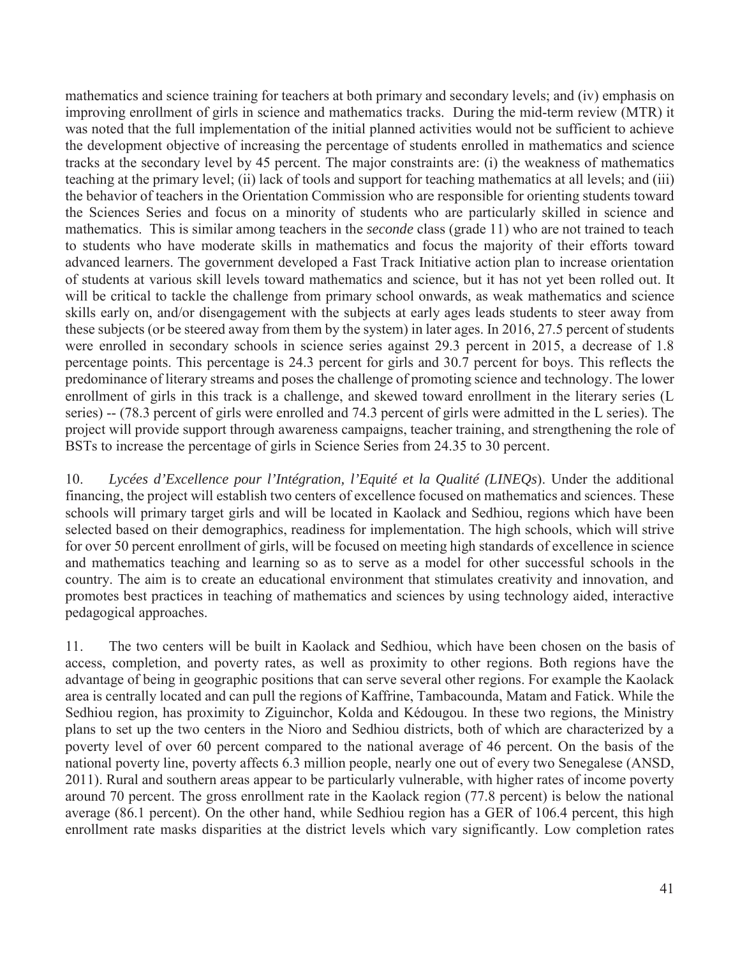mathematics and science training for teachers at both primary and secondary levels; and (iv) emphasis on improving enrollment of girls in science and mathematics tracks. During the mid-term review (MTR) it was noted that the full implementation of the initial planned activities would not be sufficient to achieve the development objective of increasing the percentage of students enrolled in mathematics and science tracks at the secondary level by 45 percent. The major constraints are: (i) the weakness of mathematics teaching at the primary level; (ii) lack of tools and support for teaching mathematics at all levels; and (iii) the behavior of teachers in the Orientation Commission who are responsible for orienting students toward the Sciences Series and focus on a minority of students who are particularly skilled in science and mathematics. This is similar among teachers in the *seconde* class (grade 11) who are not trained to teach to students who have moderate skills in mathematics and focus the majority of their efforts toward advanced learners. The government developed a Fast Track Initiative action plan to increase orientation of students at various skill levels toward mathematics and science, but it has not yet been rolled out. It will be critical to tackle the challenge from primary school onwards, as weak mathematics and science skills early on, and/or disengagement with the subjects at early ages leads students to steer away from these subjects (or be steered away from them by the system) in later ages. In 2016, 27.5 percent of students were enrolled in secondary schools in science series against 29.3 percent in 2015, a decrease of 1.8 percentage points. This percentage is 24.3 percent for girls and 30.7 percent for boys. This reflects the predominance of literary streams and poses the challenge of promoting science and technology. The lower enrollment of girls in this track is a challenge, and skewed toward enrollment in the literary series (L series) -- (78.3 percent of girls were enrolled and 74.3 percent of girls were admitted in the L series). The project will provide support through awareness campaigns, teacher training, and strengthening the role of BSTs to increase the percentage of girls in Science Series from 24.35 to 30 percent.

10. *Lycées d'Excellence pour l'Intégration, l'Equité et la Qualité (LINEQs*). Under the additional financing, the project will establish two centers of excellence focused on mathematics and sciences. These schools will primary target girls and will be located in Kaolack and Sedhiou, regions which have been selected based on their demographics, readiness for implementation. The high schools, which will strive for over 50 percent enrollment of girls, will be focused on meeting high standards of excellence in science and mathematics teaching and learning so as to serve as a model for other successful schools in the country. The aim is to create an educational environment that stimulates creativity and innovation, and promotes best practices in teaching of mathematics and sciences by using technology aided, interactive pedagogical approaches.

11. The two centers will be built in Kaolack and Sedhiou, which have been chosen on the basis of access, completion, and poverty rates, as well as proximity to other regions. Both regions have the advantage of being in geographic positions that can serve several other regions. For example the Kaolack area is centrally located and can pull the regions of Kaffrine, Tambacounda, Matam and Fatick. While the Sedhiou region, has proximity to Ziguinchor, Kolda and Kédougou. In these two regions, the Ministry plans to set up the two centers in the Nioro and Sedhiou districts, both of which are characterized by a poverty level of over 60 percent compared to the national average of 46 percent. On the basis of the national poverty line, poverty affects 6.3 million people, nearly one out of every two Senegalese (ANSD, 2011). Rural and southern areas appear to be particularly vulnerable, with higher rates of income poverty around 70 percent. The gross enrollment rate in the Kaolack region (77.8 percent) is below the national average (86.1 percent). On the other hand, while Sedhiou region has a GER of 106.4 percent, this high enrollment rate masks disparities at the district levels which vary significantly. Low completion rates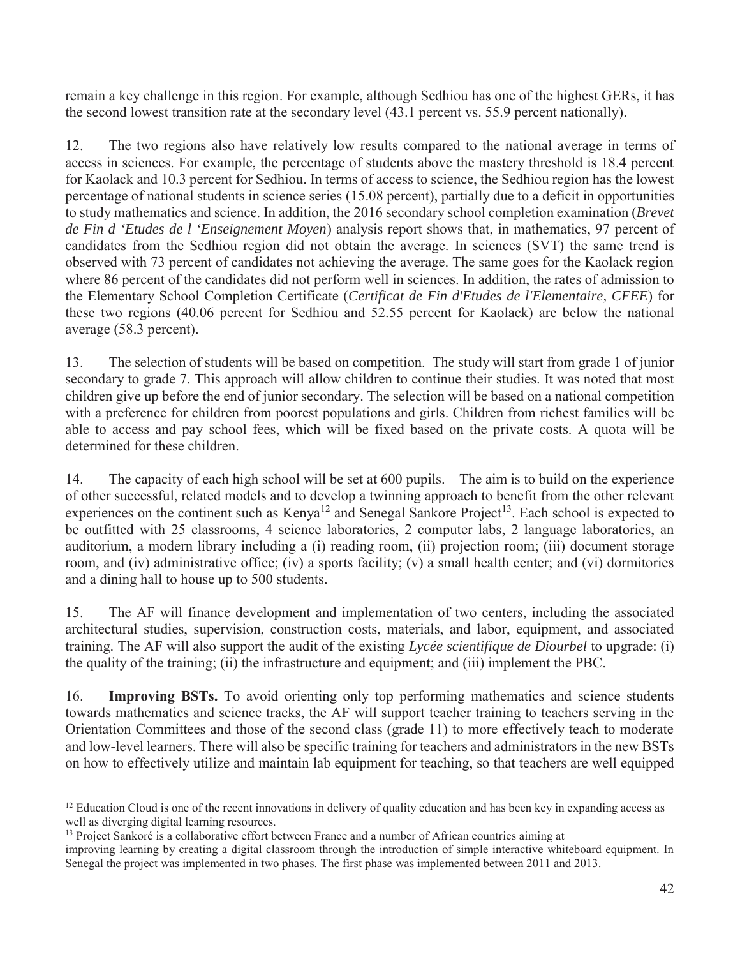remain a key challenge in this region. For example, although Sedhiou has one of the highest GERs, it has the second lowest transition rate at the secondary level (43.1 percent vs. 55.9 percent nationally).

12. The two regions also have relatively low results compared to the national average in terms of access in sciences. For example, the percentage of students above the mastery threshold is 18.4 percent for Kaolack and 10.3 percent for Sedhiou. In terms of access to science, the Sedhiou region has the lowest percentage of national students in science series (15.08 percent), partially due to a deficit in opportunities to study mathematics and science. In addition, the 2016 secondary school completion examination (*Brevet de Fin d 'Etudes de l 'Enseignement Moyen*) analysis report shows that, in mathematics, 97 percent of candidates from the Sedhiou region did not obtain the average. In sciences (SVT) the same trend is observed with 73 percent of candidates not achieving the average. The same goes for the Kaolack region where 86 percent of the candidates did not perform well in sciences. In addition, the rates of admission to the Elementary School Completion Certificate (*Certificat de Fin d'Etudes de l'Elementaire, CFEE*) for these two regions (40.06 percent for Sedhiou and 52.55 percent for Kaolack) are below the national average (58.3 percent).

13. The selection of students will be based on competition. The study will start from grade 1 of junior secondary to grade 7. This approach will allow children to continue their studies. It was noted that most children give up before the end of junior secondary. The selection will be based on a national competition with a preference for children from poorest populations and girls. Children from richest families will be able to access and pay school fees, which will be fixed based on the private costs. A quota will be determined for these children.

14. The capacity of each high school will be set at 600 pupils. The aim is to build on the experience of other successful, related models and to develop a twinning approach to benefit from the other relevant experiences on the continent such as  $Kenya<sup>12</sup>$  and Senegal Sankore Project<sup>13</sup>. Each school is expected to be outfitted with 25 classrooms, 4 science laboratories, 2 computer labs, 2 language laboratories, an auditorium, a modern library including a (i) reading room, (ii) projection room; (iii) document storage room, and (iv) administrative office; (iv) a sports facility; (v) a small health center; and (vi) dormitories and a dining hall to house up to 500 students.

15. The AF will finance development and implementation of two centers, including the associated architectural studies, supervision, construction costs, materials, and labor, equipment, and associated training. The AF will also support the audit of the existing *Lycée scientifique de Diourbel* to upgrade: (i) the quality of the training; (ii) the infrastructure and equipment; and (iii) implement the PBC.

16. **Improving BSTs.** To avoid orienting only top performing mathematics and science students towards mathematics and science tracks, the AF will support teacher training to teachers serving in the Orientation Committees and those of the second class (grade 11) to more effectively teach to moderate and low-level learners. There will also be specific training for teachers and administrators in the new BSTs on how to effectively utilize and maintain lab equipment for teaching, so that teachers are well equipped

 $\overline{a}$ 

<sup>&</sup>lt;sup>12</sup> Education Cloud is one of the recent innovations in delivery of quality education and has been key in expanding access as well as diverging digital learning resources.

<sup>&</sup>lt;sup>13</sup> Project Sankoré is a collaborative effort between France and a number of African countries aiming at

improving learning by creating a digital classroom through the introduction of simple interactive whiteboard equipment. In Senegal the project was implemented in two phases. The first phase was implemented between 2011 and 2013.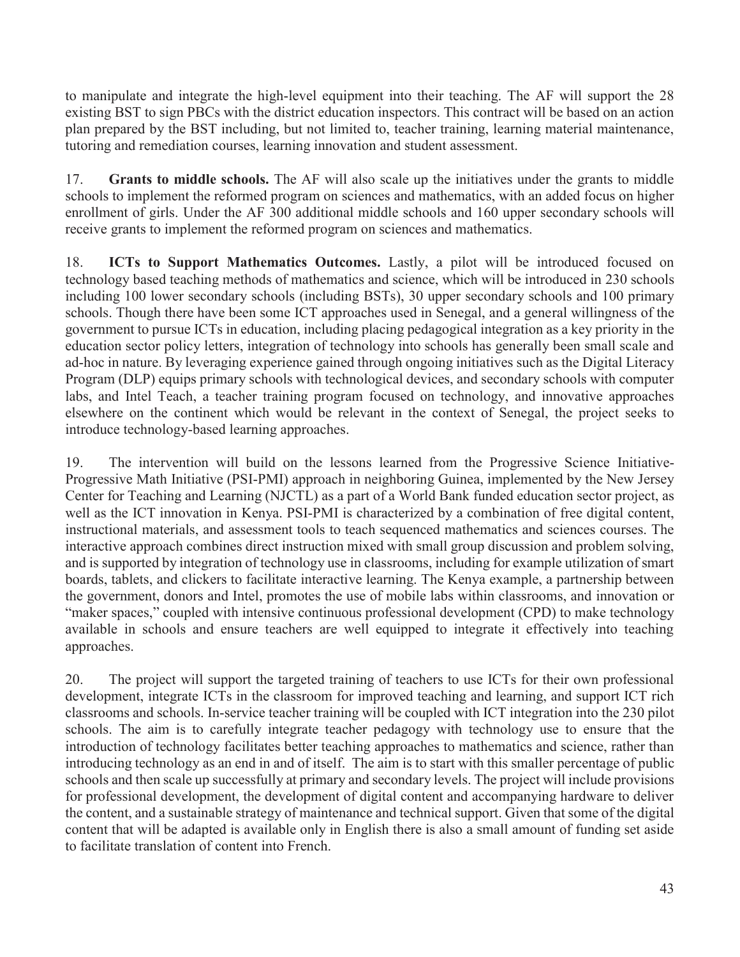to manipulate and integrate the high-level equipment into their teaching. The AF will support the 28 existing BST to sign PBCs with the district education inspectors. This contract will be based on an action plan prepared by the BST including, but not limited to, teacher training, learning material maintenance, tutoring and remediation courses, learning innovation and student assessment.

17. **Grants to middle schools.** The AF will also scale up the initiatives under the grants to middle schools to implement the reformed program on sciences and mathematics, with an added focus on higher enrollment of girls. Under the AF 300 additional middle schools and 160 upper secondary schools will receive grants to implement the reformed program on sciences and mathematics.

18. **ICTs to Support Mathematics Outcomes.** Lastly, a pilot will be introduced focused on technology based teaching methods of mathematics and science, which will be introduced in 230 schools including 100 lower secondary schools (including BSTs), 30 upper secondary schools and 100 primary schools. Though there have been some ICT approaches used in Senegal, and a general willingness of the government to pursue ICTs in education, including placing pedagogical integration as a key priority in the education sector policy letters, integration of technology into schools has generally been small scale and ad-hoc in nature. By leveraging experience gained through ongoing initiatives such as the Digital Literacy Program (DLP) equips primary schools with technological devices, and secondary schools with computer labs, and Intel Teach, a teacher training program focused on technology, and innovative approaches elsewhere on the continent which would be relevant in the context of Senegal, the project seeks to introduce technology-based learning approaches.

19. The intervention will build on the lessons learned from the Progressive Science Initiative-Progressive Math Initiative (PSI-PMI) approach in neighboring Guinea, implemented by the New Jersey Center for Teaching and Learning (NJCTL) as a part of a World Bank funded education sector project, as well as the ICT innovation in Kenya. PSI-PMI is characterized by a combination of free digital content, instructional materials, and assessment tools to teach sequenced mathematics and sciences courses. The interactive approach combines direct instruction mixed with small group discussion and problem solving, and is supported by integration of technology use in classrooms, including for example utilization of smart boards, tablets, and clickers to facilitate interactive learning. The Kenya example, a partnership between the government, donors and Intel, promotes the use of mobile labs within classrooms, and innovation or "maker spaces," coupled with intensive continuous professional development (CPD) to make technology available in schools and ensure teachers are well equipped to integrate it effectively into teaching approaches.

20. The project will support the targeted training of teachers to use ICTs for their own professional development, integrate ICTs in the classroom for improved teaching and learning, and support ICT rich classrooms and schools. In-service teacher training will be coupled with ICT integration into the 230 pilot schools. The aim is to carefully integrate teacher pedagogy with technology use to ensure that the introduction of technology facilitates better teaching approaches to mathematics and science, rather than introducing technology as an end in and of itself. The aim is to start with this smaller percentage of public schools and then scale up successfully at primary and secondary levels. The project will include provisions for professional development, the development of digital content and accompanying hardware to deliver the content, and a sustainable strategy of maintenance and technical support. Given that some of the digital content that will be adapted is available only in English there is also a small amount of funding set aside to facilitate translation of content into French.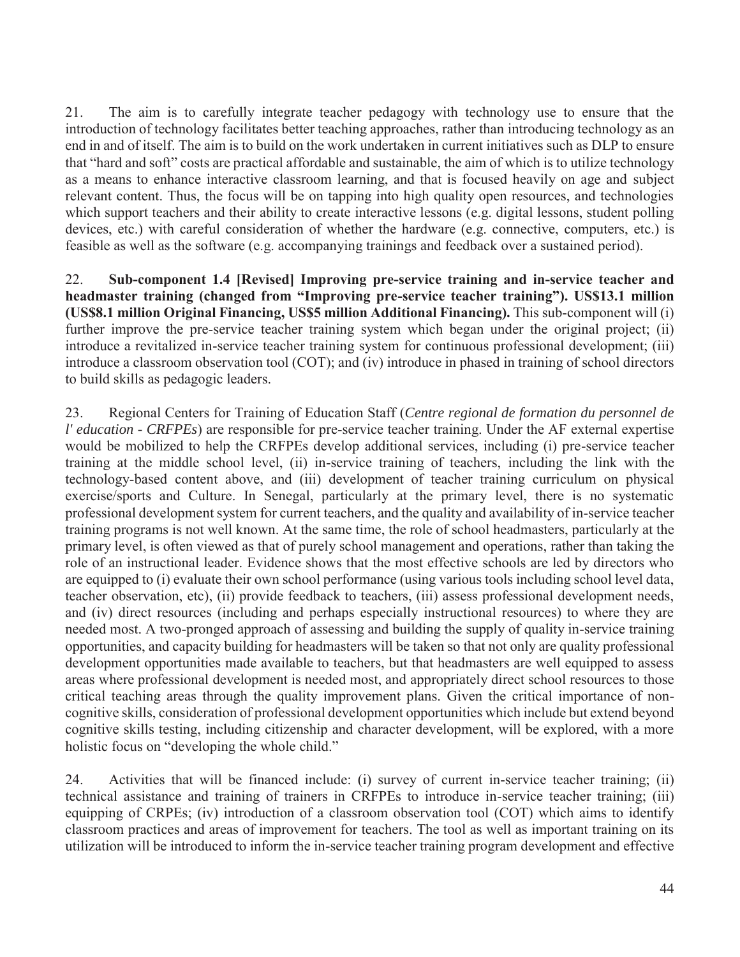21. The aim is to carefully integrate teacher pedagogy with technology use to ensure that the introduction of technology facilitates better teaching approaches, rather than introducing technology as an end in and of itself. The aim is to build on the work undertaken in current initiatives such as DLP to ensure that "hard and soft" costs are practical affordable and sustainable, the aim of which is to utilize technology as a means to enhance interactive classroom learning, and that is focused heavily on age and subject relevant content. Thus, the focus will be on tapping into high quality open resources, and technologies which support teachers and their ability to create interactive lessons (e.g. digital lessons, student polling devices, etc.) with careful consideration of whether the hardware (e.g. connective, computers, etc.) is feasible as well as the software (e.g. accompanying trainings and feedback over a sustained period).

22. **Sub-component 1.4 [Revised] Improving pre-service training and in-service teacher and headmaster training (changed from "Improving pre-service teacher training"). US\$13.1 million (US\$8.1 million Original Financing, US\$5 million Additional Financing).** This sub-component will (i) further improve the pre-service teacher training system which began under the original project; (ii) introduce a revitalized in-service teacher training system for continuous professional development; (iii) introduce a classroom observation tool (COT); and (iv) introduce in phased in training of school directors to build skills as pedagogic leaders.

23. Regional Centers for Training of Education Staff (*Centre regional de formation du personnel de l' education - CRFPEs*) are responsible for pre-service teacher training. Under the AF external expertise would be mobilized to help the CRFPEs develop additional services, including (i) pre-service teacher training at the middle school level, (ii) in-service training of teachers, including the link with the technology-based content above, and (iii) development of teacher training curriculum on physical exercise/sports and Culture. In Senegal, particularly at the primary level, there is no systematic professional development system for current teachers, and the quality and availability of in-service teacher training programs is not well known. At the same time, the role of school headmasters, particularly at the primary level, is often viewed as that of purely school management and operations, rather than taking the role of an instructional leader. Evidence shows that the most effective schools are led by directors who are equipped to (i) evaluate their own school performance (using various tools including school level data, teacher observation, etc), (ii) provide feedback to teachers, (iii) assess professional development needs, and (iv) direct resources (including and perhaps especially instructional resources) to where they are needed most. A two-pronged approach of assessing and building the supply of quality in-service training opportunities, and capacity building for headmasters will be taken so that not only are quality professional development opportunities made available to teachers, but that headmasters are well equipped to assess areas where professional development is needed most, and appropriately direct school resources to those critical teaching areas through the quality improvement plans. Given the critical importance of noncognitive skills, consideration of professional development opportunities which include but extend beyond cognitive skills testing, including citizenship and character development, will be explored, with a more holistic focus on "developing the whole child."

24. Activities that will be financed include: (i) survey of current in-service teacher training; (ii) technical assistance and training of trainers in CRFPEs to introduce in-service teacher training; (iii) equipping of CRPEs; (iv) introduction of a classroom observation tool (COT) which aims to identify classroom practices and areas of improvement for teachers. The tool as well as important training on its utilization will be introduced to inform the in-service teacher training program development and effective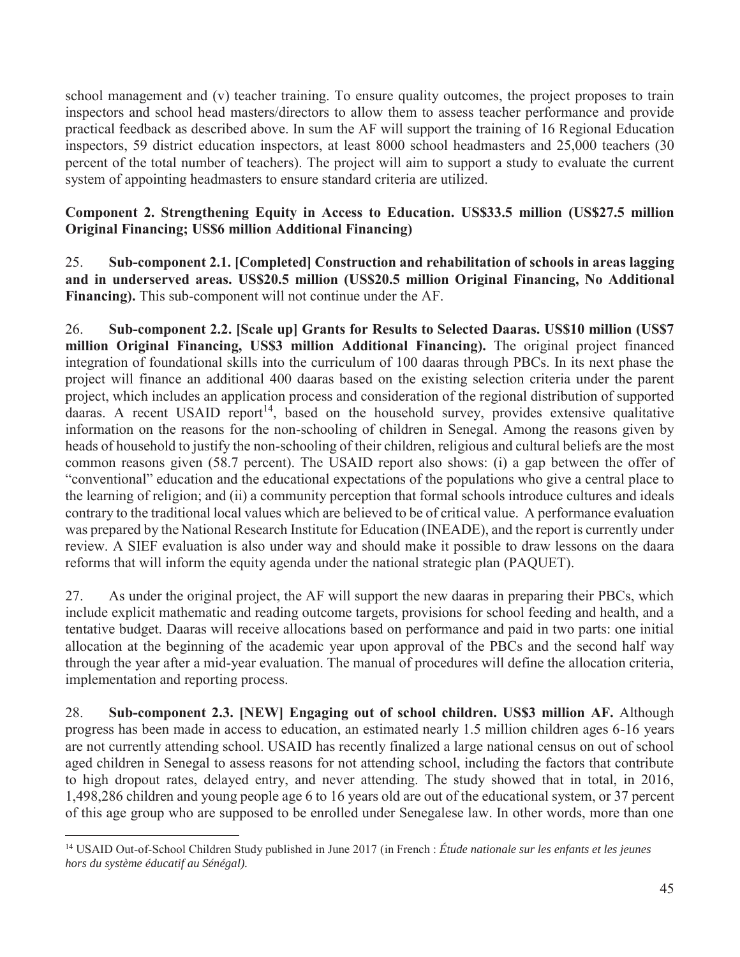school management and (v) teacher training. To ensure quality outcomes, the project proposes to train inspectors and school head masters/directors to allow them to assess teacher performance and provide practical feedback as described above. In sum the AF will support the training of 16 Regional Education inspectors, 59 district education inspectors, at least 8000 school headmasters and 25,000 teachers (30 percent of the total number of teachers). The project will aim to support a study to evaluate the current system of appointing headmasters to ensure standard criteria are utilized.

# **Component 2. Strengthening Equity in Access to Education. US\$33.5 million (US\$27.5 million Original Financing; US\$6 million Additional Financing)**

25. **Sub-component 2.1. [Completed] Construction and rehabilitation of schools in areas lagging and in underserved areas. US\$20.5 million (US\$20.5 million Original Financing, No Additional Financing).** This sub-component will not continue under the AF.

26. **Sub-component 2.2. [Scale up] Grants for Results to Selected Daaras. US\$10 million (US\$7 million Original Financing, US\$3 million Additional Financing).** The original project financed integration of foundational skills into the curriculum of 100 daaras through PBCs. In its next phase the project will finance an additional 400 daaras based on the existing selection criteria under the parent project, which includes an application process and consideration of the regional distribution of supported daaras. A recent USAID report<sup>14</sup>, based on the household survey, provides extensive qualitative information on the reasons for the non-schooling of children in Senegal. Among the reasons given by heads of household to justify the non-schooling of their children, religious and cultural beliefs are the most common reasons given (58.7 percent). The USAID report also shows: (i) a gap between the offer of "conventional" education and the educational expectations of the populations who give a central place to the learning of religion; and (ii) a community perception that formal schools introduce cultures and ideals contrary to the traditional local values which are believed to be of critical value. A performance evaluation was prepared by the National Research Institute for Education (INEADE), and the report is currently under review. A SIEF evaluation is also under way and should make it possible to draw lessons on the daara reforms that will inform the equity agenda under the national strategic plan (PAQUET).

27. As under the original project, the AF will support the new daaras in preparing their PBCs, which include explicit mathematic and reading outcome targets, provisions for school feeding and health, and a tentative budget. Daaras will receive allocations based on performance and paid in two parts: one initial allocation at the beginning of the academic year upon approval of the PBCs and the second half way through the year after a mid-year evaluation. The manual of procedures will define the allocation criteria, implementation and reporting process.

28. **Sub-component 2.3. [NEW] Engaging out of school children. US\$3 million AF.** Although progress has been made in access to education, an estimated nearly 1.5 million children ages 6-16 years are not currently attending school. USAID has recently finalized a large national census on out of school aged children in Senegal to assess reasons for not attending school, including the factors that contribute to high dropout rates, delayed entry, and never attending. The study showed that in total, in 2016, 1,498,286 children and young people age 6 to 16 years old are out of the educational system, or 37 percent of this age group who are supposed to be enrolled under Senegalese law. In other words, more than one

 $\overline{a}$ 

<sup>14</sup> USAID Out-of-School Children Study published in June 2017 (in French : *Étude nationale sur les enfants et les jeunes hors du système éducatif au Sénégal).*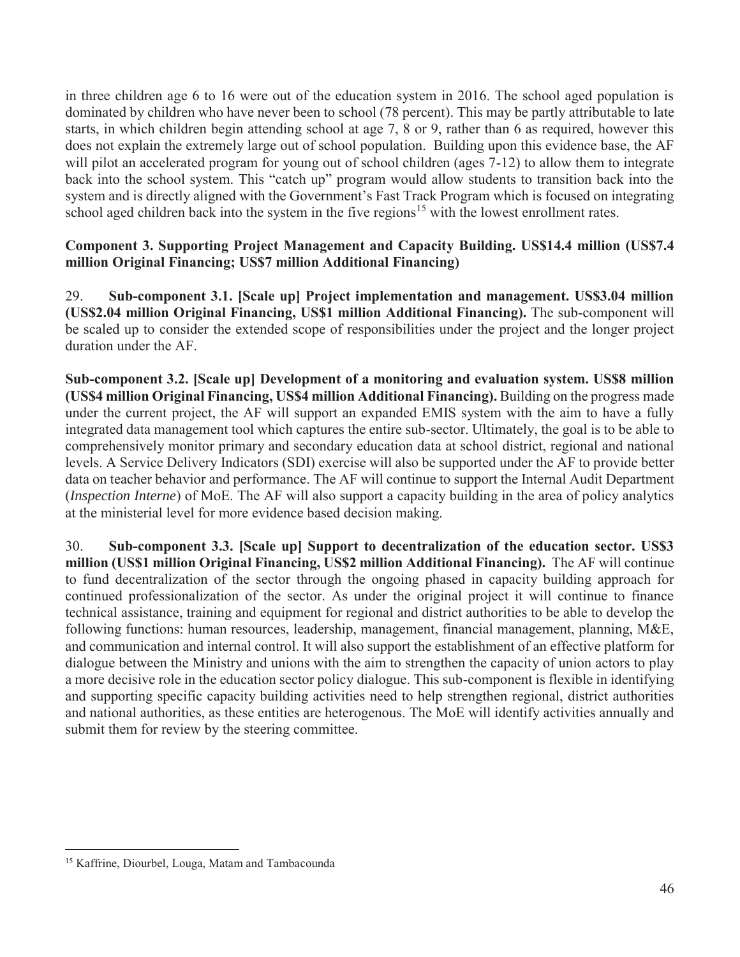in three children age 6 to 16 were out of the education system in 2016. The school aged population is dominated by children who have never been to school (78 percent). This may be partly attributable to late starts, in which children begin attending school at age 7, 8 or 9, rather than 6 as required, however this does not explain the extremely large out of school population. Building upon this evidence base, the AF will pilot an accelerated program for young out of school children (ages 7-12) to allow them to integrate back into the school system. This "catch up" program would allow students to transition back into the system and is directly aligned with the Government's Fast Track Program which is focused on integrating school aged children back into the system in the five regions<sup>15</sup> with the lowest enrollment rates.

## **Component 3. Supporting Project Management and Capacity Building. US\$14.4 million (US\$7.4 million Original Financing; US\$7 million Additional Financing)**

29. **Sub-component 3.1. [Scale up] Project implementation and management. US\$3.04 million (US\$2.04 million Original Financing, US\$1 million Additional Financing).** The sub-component will be scaled up to consider the extended scope of responsibilities under the project and the longer project duration under the AF.

**Sub-component 3.2. [Scale up] Development of a monitoring and evaluation system. US\$8 million (US\$4 million Original Financing, US\$4 million Additional Financing).** Building on the progress made under the current project, the AF will support an expanded EMIS system with the aim to have a fully integrated data management tool which captures the entire sub-sector. Ultimately, the goal is to be able to comprehensively monitor primary and secondary education data at school district, regional and national levels. A Service Delivery Indicators (SDI) exercise will also be supported under the AF to provide better data on teacher behavior and performance. The AF will continue to support the Internal Audit Department (*Inspection Interne*) of MoE. The AF will also support a capacity building in the area of policy analytics at the ministerial level for more evidence based decision making.

30. **Sub-component 3.3. [Scale up] Support to decentralization of the education sector. US\$3 million (US\$1 million Original Financing, US\$2 million Additional Financing).** The AF will continue to fund decentralization of the sector through the ongoing phased in capacity building approach for continued professionalization of the sector. As under the original project it will continue to finance technical assistance, training and equipment for regional and district authorities to be able to develop the following functions: human resources, leadership, management, financial management, planning, M&E, and communication and internal control. It will also support the establishment of an effective platform for dialogue between the Ministry and unions with the aim to strengthen the capacity of union actors to play a more decisive role in the education sector policy dialogue. This sub-component is flexible in identifying and supporting specific capacity building activities need to help strengthen regional, district authorities and national authorities, as these entities are heterogenous. The MoE will identify activities annually and submit them for review by the steering committee.

 $\overline{a}$ <sup>15</sup> Kaffrine, Diourbel, Louga, Matam and Tambacounda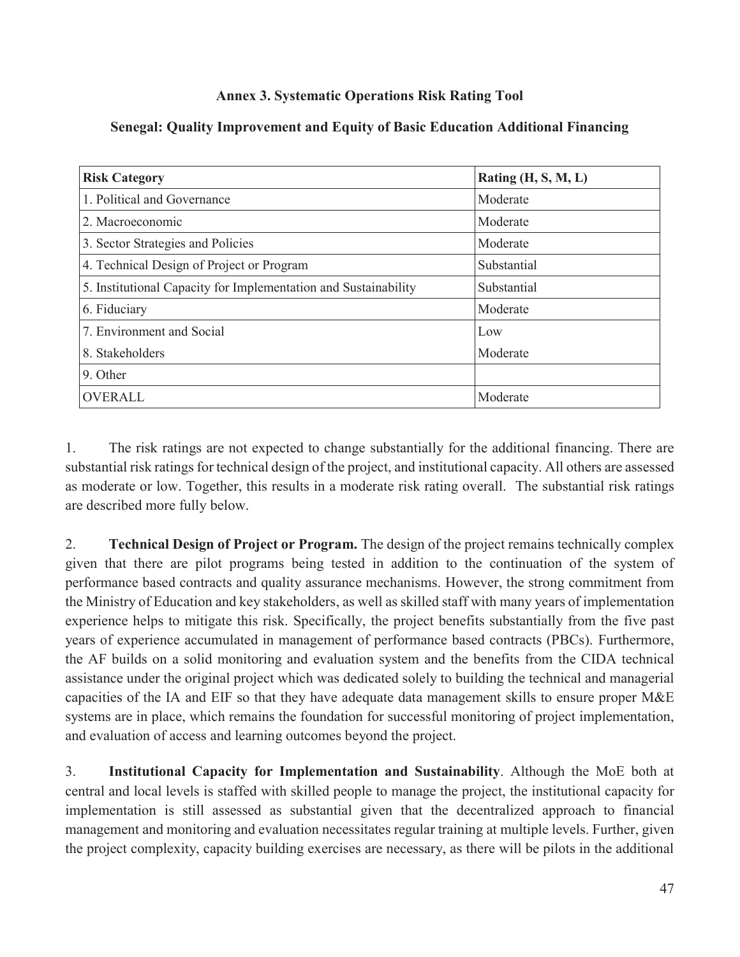# **Annex 3. Systematic Operations Risk Rating Tool**

| <b>Risk Category</b>                                            | Rating $(H, S, M, L)$ |
|-----------------------------------------------------------------|-----------------------|
| 1. Political and Governance                                     | Moderate              |
| 2. Macroeconomic                                                | Moderate              |
| 3. Sector Strategies and Policies                               | Moderate              |
| 4. Technical Design of Project or Program                       | Substantial           |
| 5. Institutional Capacity for Implementation and Sustainability | Substantial           |
| 6. Fiduciary                                                    | Moderate              |
| 7. Environment and Social                                       | Low                   |
| 8. Stakeholders                                                 | Moderate              |
| 9. Other                                                        |                       |
| <b>OVERALL</b>                                                  | Moderate              |

# **Senegal: Quality Improvement and Equity of Basic Education Additional Financing**

1. The risk ratings are not expected to change substantially for the additional financing. There are substantial risk ratings for technical design of the project, and institutional capacity. All others are assessed as moderate or low. Together, this results in a moderate risk rating overall. The substantial risk ratings are described more fully below.

2. **Technical Design of Project or Program.** The design of the project remains technically complex given that there are pilot programs being tested in addition to the continuation of the system of performance based contracts and quality assurance mechanisms. However, the strong commitment from the Ministry of Education and key stakeholders, as well as skilled staff with many years of implementation experience helps to mitigate this risk. Specifically, the project benefits substantially from the five past years of experience accumulated in management of performance based contracts (PBCs). Furthermore, the AF builds on a solid monitoring and evaluation system and the benefits from the CIDA technical assistance under the original project which was dedicated solely to building the technical and managerial capacities of the IA and EIF so that they have adequate data management skills to ensure proper M&E systems are in place, which remains the foundation for successful monitoring of project implementation, and evaluation of access and learning outcomes beyond the project.

3. **Institutional Capacity for Implementation and Sustainability**. Although the MoE both at central and local levels is staffed with skilled people to manage the project, the institutional capacity for implementation is still assessed as substantial given that the decentralized approach to financial management and monitoring and evaluation necessitates regular training at multiple levels. Further, given the project complexity, capacity building exercises are necessary, as there will be pilots in the additional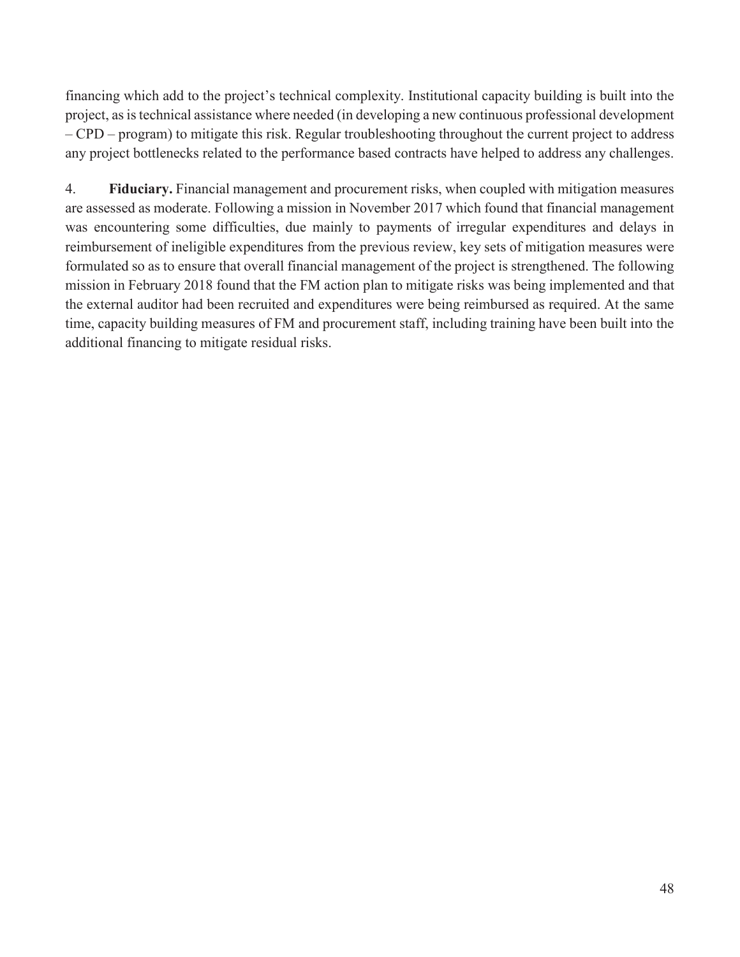financing which add to the project's technical complexity. Institutional capacity building is built into the project, as is technical assistance where needed (in developing a new continuous professional development – CPD – program) to mitigate this risk. Regular troubleshooting throughout the current project to address any project bottlenecks related to the performance based contracts have helped to address any challenges.

4. **Fiduciary.** Financial management and procurement risks, when coupled with mitigation measures are assessed as moderate. Following a mission in November 2017 which found that financial management was encountering some difficulties, due mainly to payments of irregular expenditures and delays in reimbursement of ineligible expenditures from the previous review, key sets of mitigation measures were formulated so as to ensure that overall financial management of the project is strengthened. The following mission in February 2018 found that the FM action plan to mitigate risks was being implemented and that the external auditor had been recruited and expenditures were being reimbursed as required. At the same time, capacity building measures of FM and procurement staff, including training have been built into the additional financing to mitigate residual risks.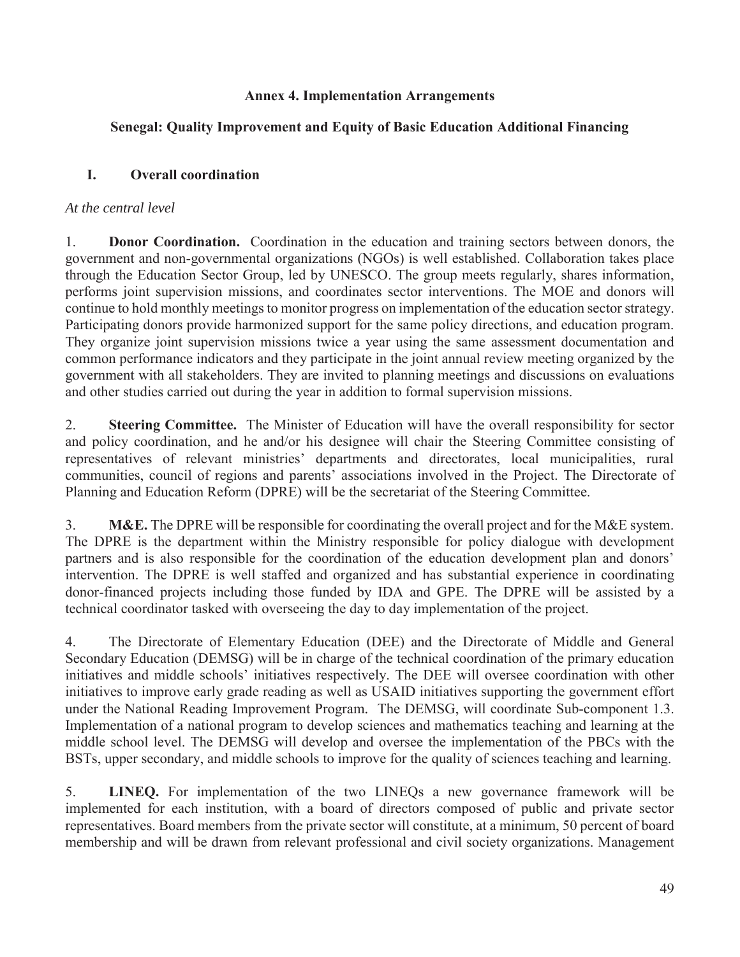## **Annex 4. Implementation Arrangements**

# **Senegal: Quality Improvement and Equity of Basic Education Additional Financing**

# **I. Overall coordination**

### *At the central level*

1. **Donor Coordination.**Coordination in the education and training sectors between donors, the government and non-governmental organizations (NGOs) is well established. Collaboration takes place through the Education Sector Group, led by UNESCO. The group meets regularly, shares information, performs joint supervision missions, and coordinates sector interventions. The MOE and donors will continue to hold monthly meetings to monitor progress on implementation of the education sector strategy. Participating donors provide harmonized support for the same policy directions, and education program. They organize joint supervision missions twice a year using the same assessment documentation and common performance indicators and they participate in the joint annual review meeting organized by the government with all stakeholders. They are invited to planning meetings and discussions on evaluations and other studies carried out during the year in addition to formal supervision missions.

2. **Steering Committee.** The Minister of Education will have the overall responsibility for sector and policy coordination, and he and/or his designee will chair the Steering Committee consisting of representatives of relevant ministries' departments and directorates, local municipalities, rural communities, council of regions and parents' associations involved in the Project. The Directorate of Planning and Education Reform (DPRE) will be the secretariat of the Steering Committee.

3. **M&E.** The DPRE will be responsible for coordinating the overall project and for the M&E system. The DPRE is the department within the Ministry responsible for policy dialogue with development partners and is also responsible for the coordination of the education development plan and donors' intervention. The DPRE is well staffed and organized and has substantial experience in coordinating donor-financed projects including those funded by IDA and GPE. The DPRE will be assisted by a technical coordinator tasked with overseeing the day to day implementation of the project.

4. The Directorate of Elementary Education (DEE) and the Directorate of Middle and General Secondary Education (DEMSG) will be in charge of the technical coordination of the primary education initiatives and middle schools' initiatives respectively. The DEE will oversee coordination with other initiatives to improve early grade reading as well as USAID initiatives supporting the government effort under the National Reading Improvement Program*.* The DEMSG, will coordinate Sub-component 1.3. Implementation of a national program to develop sciences and mathematics teaching and learning at the middle school level. The DEMSG will develop and oversee the implementation of the PBCs with the BSTs, upper secondary, and middle schools to improve for the quality of sciences teaching and learning.

5. **LINEQ.** For implementation of the two LINEQs a new governance framework will be implemented for each institution, with a board of directors composed of public and private sector representatives. Board members from the private sector will constitute, at a minimum, 50 percent of board membership and will be drawn from relevant professional and civil society organizations. Management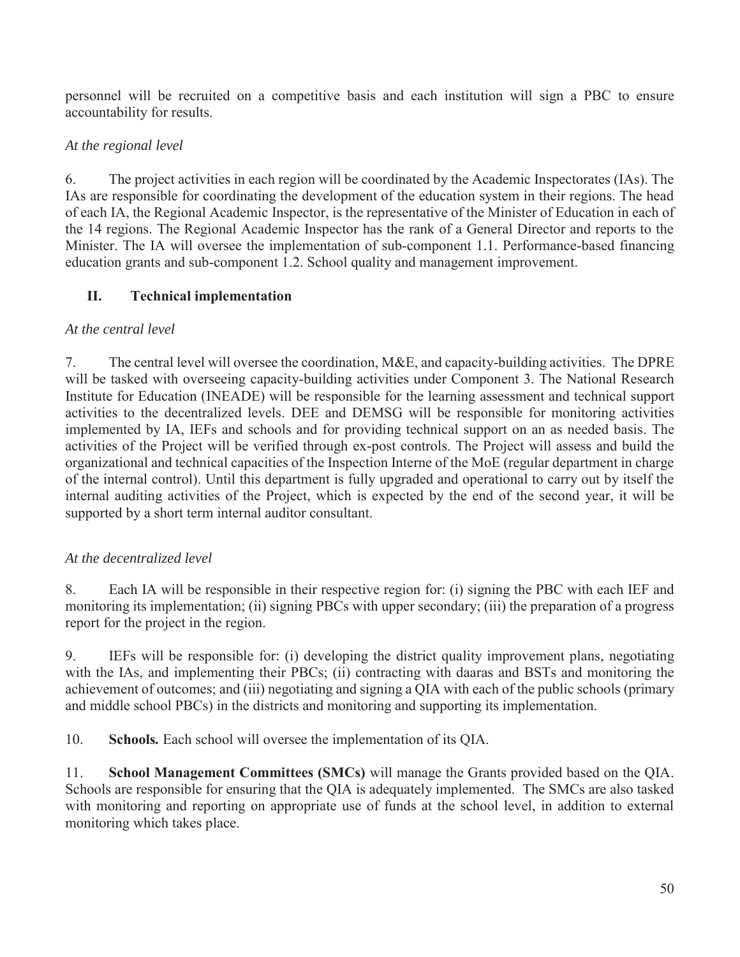personnel will be recruited on a competitive basis and each institution will sign a PBC to ensure accountability for results.

# *At the regional level*

6. The project activities in each region will be coordinated by the Academic Inspectorates (IAs). The IAs are responsible for coordinating the development of the education system in their regions. The head of each IA, the Regional Academic Inspector, is the representative of the Minister of Education in each of the 14 regions. The Regional Academic Inspector has the rank of a General Director and reports to the Minister. The IA will oversee the implementation of sub-component 1.1. Performance-based financing education grants and sub-component 1.2. School quality and management improvement.

# **II. Technical implementation**

# *At the central level*

7. The central level will oversee the coordination, M&E, and capacity-building activities. The DPRE will be tasked with overseeing capacity-building activities under Component 3. The National Research Institute for Education (INEADE) will be responsible for the learning assessment and technical support activities to the decentralized levels. DEE and DEMSG will be responsible for monitoring activities implemented by IA, IEFs and schools and for providing technical support on an as needed basis. The activities of the Project will be verified through ex-post controls. The Project will assess and build the organizational and technical capacities of the Inspection Interne of the MoE (regular department in charge of the internal control). Until this department is fully upgraded and operational to carry out by itself the internal auditing activities of the Project, which is expected by the end of the second year, it will be supported by a short term internal auditor consultant.

# *At the decentralized level*

8. Each IA will be responsible in their respective region for: (i) signing the PBC with each IEF and monitoring its implementation; (ii) signing PBCs with upper secondary; (iii) the preparation of a progress report for the project in the region.

9. IEFs will be responsible for: (i) developing the district quality improvement plans, negotiating with the IAs, and implementing their PBCs; (ii) contracting with daaras and BSTs and monitoring the achievement of outcomes; and (iii) negotiating and signing a QIA with each of the public schools (primary and middle school PBCs) in the districts and monitoring and supporting its implementation.

10. **Schools***.* Each school will oversee the implementation of its QIA.

11. **School Management Committees (SMCs)** will manage the Grants provided based on the QIA. Schools are responsible for ensuring that the QIA is adequately implemented. The SMCs are also tasked with monitoring and reporting on appropriate use of funds at the school level, in addition to external monitoring which takes place.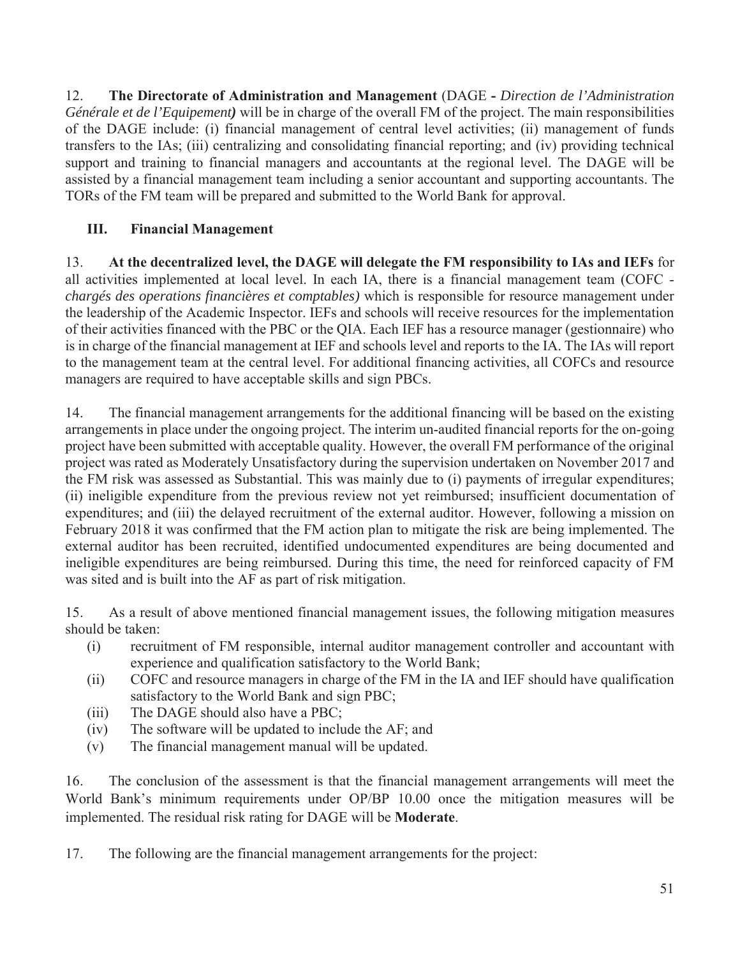12. **The Directorate of Administration and Management** (DAGE **-** *Direction de l'Administration Générale et de l'Equipement)* will be in charge of the overall FM of the project. The main responsibilities of the DAGE include: (i) financial management of central level activities; (ii) management of funds transfers to the IAs; (iii) centralizing and consolidating financial reporting; and (iv) providing technical support and training to financial managers and accountants at the regional level. The DAGE will be assisted by a financial management team including a senior accountant and supporting accountants. The TORs of the FM team will be prepared and submitted to the World Bank for approval.

# **III. Financial Management**

13. **At the decentralized level, the DAGE will delegate the FM responsibility to IAs and IEFs** for all activities implemented at local level. In each IA, there is a financial management team (COFC *chargés des operations financières et comptables)* which is responsible for resource management under the leadership of the Academic Inspector. IEFs and schools will receive resources for the implementation of their activities financed with the PBC or the QIA. Each IEF has a resource manager (gestionnaire) who is in charge of the financial management at IEF and schools level and reports to the IA. The IAs will report to the management team at the central level. For additional financing activities, all COFCs and resource managers are required to have acceptable skills and sign PBCs.

14. The financial management arrangements for the additional financing will be based on the existing arrangements in place under the ongoing project. The interim un-audited financial reports for the on-going project have been submitted with acceptable quality. However, the overall FM performance of the original project was rated as Moderately Unsatisfactory during the supervision undertaken on November 2017 and the FM risk was assessed as Substantial. This was mainly due to (i) payments of irregular expenditures; (ii) ineligible expenditure from the previous review not yet reimbursed; insufficient documentation of expenditures; and (iii) the delayed recruitment of the external auditor. However, following a mission on February 2018 it was confirmed that the FM action plan to mitigate the risk are being implemented. The external auditor has been recruited, identified undocumented expenditures are being documented and ineligible expenditures are being reimbursed. During this time, the need for reinforced capacity of FM was sited and is built into the AF as part of risk mitigation.

15. As a result of above mentioned financial management issues, the following mitigation measures should be taken:

- (i) recruitment of FM responsible, internal auditor management controller and accountant with experience and qualification satisfactory to the World Bank;
- (ii) COFC and resource managers in charge of the FM in the IA and IEF should have qualification satisfactory to the World Bank and sign PBC;
- (iii) The DAGE should also have a PBC;
- (iv) The software will be updated to include the AF; and
- (v) The financial management manual will be updated.

16. The conclusion of the assessment is that the financial management arrangements will meet the World Bank's minimum requirements under OP/BP 10.00 once the mitigation measures will be implemented. The residual risk rating for DAGE will be **Moderate**.

17. The following are the financial management arrangements for the project: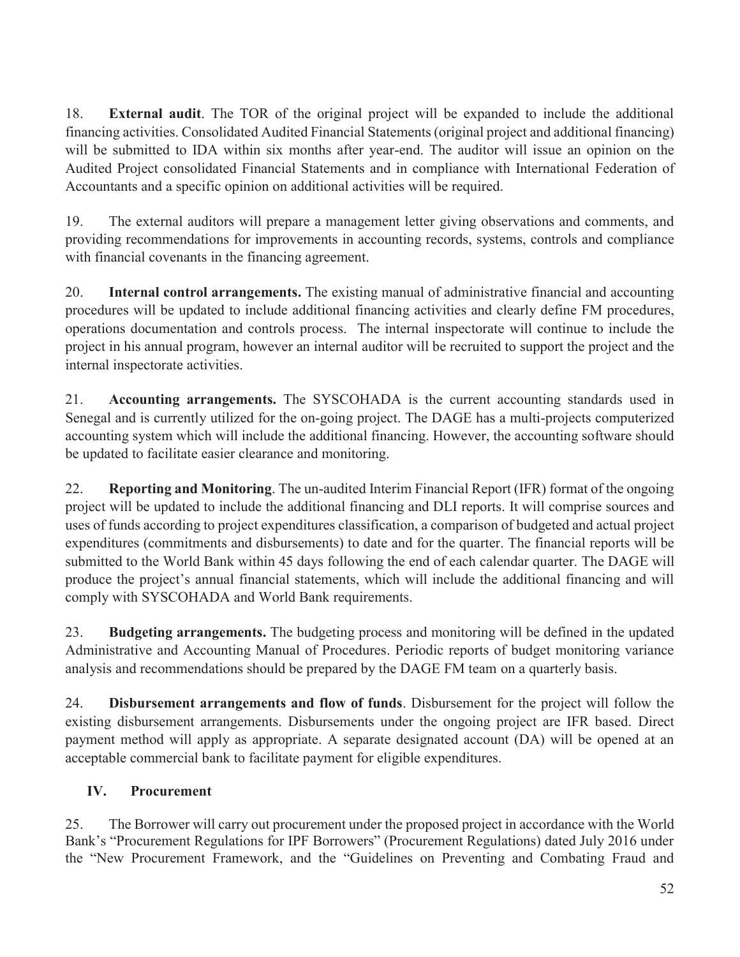18. **External audit**. The TOR of the original project will be expanded to include the additional financing activities. Consolidated Audited Financial Statements (original project and additional financing) will be submitted to IDA within six months after year-end. The auditor will issue an opinion on the Audited Project consolidated Financial Statements and in compliance with International Federation of Accountants and a specific opinion on additional activities will be required.

19. The external auditors will prepare a management letter giving observations and comments, and providing recommendations for improvements in accounting records, systems, controls and compliance with financial covenants in the financing agreement.

20. **Internal control arrangements.** The existing manual of administrative financial and accounting procedures will be updated to include additional financing activities and clearly define FM procedures, operations documentation and controls process. The internal inspectorate will continue to include the project in his annual program, however an internal auditor will be recruited to support the project and the internal inspectorate activities.

21. **Accounting arrangements.** The SYSCOHADA is the current accounting standards used in Senegal and is currently utilized for the on-going project. The DAGE has a multi-projects computerized accounting system which will include the additional financing. However, the accounting software should be updated to facilitate easier clearance and monitoring.

22. **Reporting and Monitoring**. The un-audited Interim Financial Report (IFR) format of the ongoing project will be updated to include the additional financing and DLI reports. It will comprise sources and uses of funds according to project expenditures classification, a comparison of budgeted and actual project expenditures (commitments and disbursements) to date and for the quarter. The financial reports will be submitted to the World Bank within 45 days following the end of each calendar quarter. The DAGE will produce the project's annual financial statements, which will include the additional financing and will comply with SYSCOHADA and World Bank requirements.

23. **Budgeting arrangements.** The budgeting process and monitoring will be defined in the updated Administrative and Accounting Manual of Procedures. Periodic reports of budget monitoring variance analysis and recommendations should be prepared by the DAGE FM team on a quarterly basis.

24. **Disbursement arrangements and flow of funds**. Disbursement for the project will follow the existing disbursement arrangements. Disbursements under the ongoing project are IFR based. Direct payment method will apply as appropriate. A separate designated account (DA) will be opened at an acceptable commercial bank to facilitate payment for eligible expenditures.

# **IV. Procurement**

25. The Borrower will carry out procurement under the proposed project in accordance with the World Bank's "Procurement Regulations for IPF Borrowers" (Procurement Regulations) dated July 2016 under the "New Procurement Framework, and the "Guidelines on Preventing and Combating Fraud and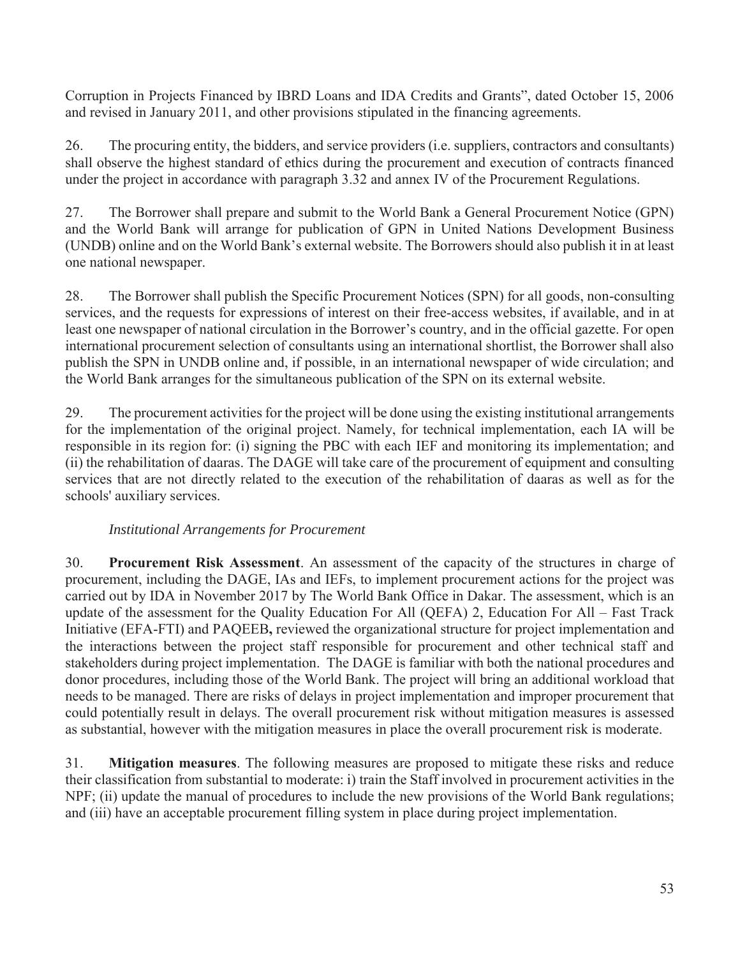Corruption in Projects Financed by IBRD Loans and IDA Credits and Grants", dated October 15, 2006 and revised in January 2011, and other provisions stipulated in the financing agreements.

26. The procuring entity, the bidders, and service providers (i.e. suppliers, contractors and consultants) shall observe the highest standard of ethics during the procurement and execution of contracts financed under the project in accordance with paragraph 3.32 and annex IV of the Procurement Regulations.

27. The Borrower shall prepare and submit to the World Bank a General Procurement Notice (GPN) and the World Bank will arrange for publication of GPN in United Nations Development Business (UNDB) online and on the World Bank's external website. The Borrowers should also publish it in at least one national newspaper.

28. The Borrower shall publish the Specific Procurement Notices (SPN) for all goods, non-consulting services, and the requests for expressions of interest on their free-access websites, if available, and in at least one newspaper of national circulation in the Borrower's country, and in the official gazette. For open international procurement selection of consultants using an international shortlist, the Borrower shall also publish the SPN in UNDB online and, if possible, in an international newspaper of wide circulation; and the World Bank arranges for the simultaneous publication of the SPN on its external website.

29. The procurement activities for the project will be done using the existing institutional arrangements for the implementation of the original project. Namely, for technical implementation, each IA will be responsible in its region for: (i) signing the PBC with each IEF and monitoring its implementation; and (ii) the rehabilitation of daaras. The DAGE will take care of the procurement of equipment and consulting services that are not directly related to the execution of the rehabilitation of daaras as well as for the schools' auxiliary services.

## *Institutional Arrangements for Procurement*

30. **Procurement Risk Assessment**. An assessment of the capacity of the structures in charge of procurement, including the DAGE, IAs and IEFs, to implement procurement actions for the project was carried out by IDA in November 2017 by The World Bank Office in Dakar. The assessment, which is an update of the assessment for the Quality Education For All (QEFA) 2, Education For All – Fast Track Initiative (EFA-FTI) and PAQEEB**,** reviewed the organizational structure for project implementation and the interactions between the project staff responsible for procurement and other technical staff and stakeholders during project implementation. The DAGE is familiar with both the national procedures and donor procedures, including those of the World Bank. The project will bring an additional workload that needs to be managed. There are risks of delays in project implementation and improper procurement that could potentially result in delays. The overall procurement risk without mitigation measures is assessed as substantial, however with the mitigation measures in place the overall procurement risk is moderate.

31. **Mitigation measures**. The following measures are proposed to mitigate these risks and reduce their classification from substantial to moderate: i) train the Staff involved in procurement activities in the NPF; (ii) update the manual of procedures to include the new provisions of the World Bank regulations; and (iii) have an acceptable procurement filling system in place during project implementation.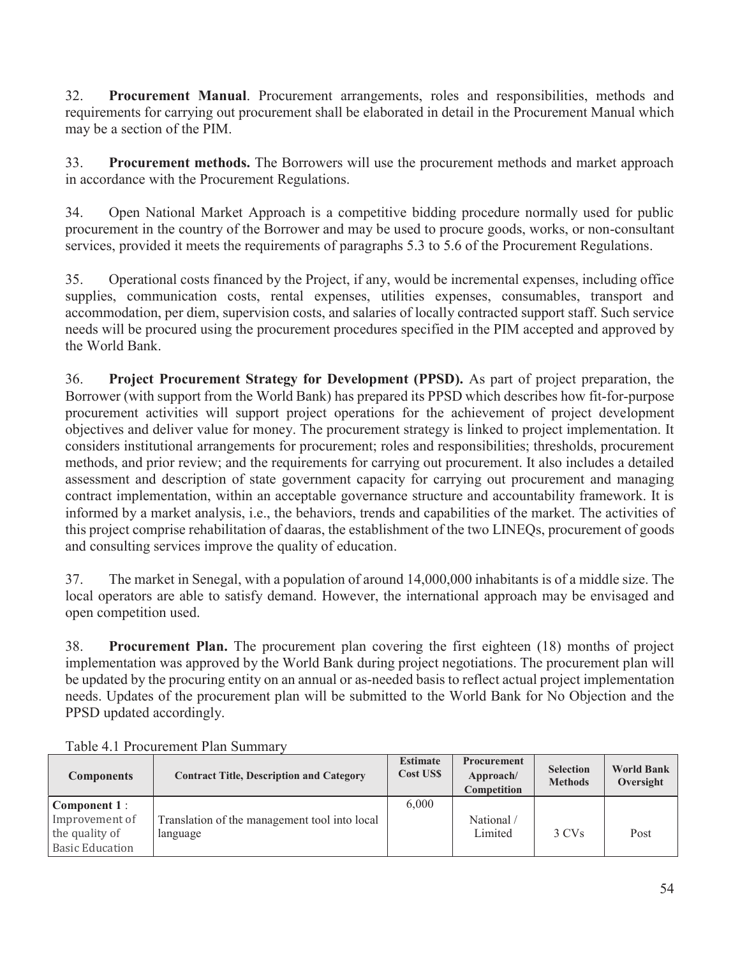32. **Procurement Manual**. Procurement arrangements, roles and responsibilities, methods and requirements for carrying out procurement shall be elaborated in detail in the Procurement Manual which may be a section of the PIM.

33. **Procurement methods.** The Borrowers will use the procurement methods and market approach in accordance with the Procurement Regulations.

34. Open National Market Approach is a competitive bidding procedure normally used for public procurement in the country of the Borrower and may be used to procure goods, works, or non-consultant services, provided it meets the requirements of paragraphs 5.3 to 5.6 of the Procurement Regulations.

35. Operational costs financed by the Project, if any, would be incremental expenses, including office supplies, communication costs, rental expenses, utilities expenses, consumables, transport and accommodation, per diem, supervision costs, and salaries of locally contracted support staff. Such service needs will be procured using the procurement procedures specified in the PIM accepted and approved by the World Bank.

36. **Project Procurement Strategy for Development (PPSD).** As part of project preparation, the Borrower (with support from the World Bank) has prepared its PPSD which describes how fit-for-purpose procurement activities will support project operations for the achievement of project development objectives and deliver value for money. The procurement strategy is linked to project implementation. It considers institutional arrangements for procurement; roles and responsibilities; thresholds, procurement methods, and prior review; and the requirements for carrying out procurement. It also includes a detailed assessment and description of state government capacity for carrying out procurement and managing contract implementation, within an acceptable governance structure and accountability framework. It is informed by a market analysis, i.e., the behaviors, trends and capabilities of the market. The activities of this project comprise rehabilitation of daaras, the establishment of the two LINEQs, procurement of goods and consulting services improve the quality of education.

37. The market in Senegal, with a population of around 14,000,000 inhabitants is of a middle size. The local operators are able to satisfy demand. However, the international approach may be envisaged and open competition used.

38. **Procurement Plan.** The procurement plan covering the first eighteen (18) months of project implementation was approved by the World Bank during project negotiations. The procurement plan will be updated by the procuring entity on an annual or as-needed basis to reflect actual project implementation needs. Updates of the procurement plan will be submitted to the World Bank for No Objection and the PPSD updated accordingly.

| <b>Components</b>      | <b>Contract Title, Description and Category</b> | <b>Estimate</b><br><b>Cost USS</b> | <b>Procurement</b><br>Approach/<br>Competition | <b>Selection</b><br><b>Methods</b> | <b>World Bank</b><br>Oversight |
|------------------------|-------------------------------------------------|------------------------------------|------------------------------------------------|------------------------------------|--------------------------------|
| Component 1:           |                                                 | 6,000                              |                                                |                                    |                                |
| Improvement of         | Translation of the management tool into local   |                                    | National/                                      |                                    |                                |
| the quality of         | language                                        |                                    | Limited                                        | 3 CVs                              | Post                           |
| <b>Basic Education</b> |                                                 |                                    |                                                |                                    |                                |

Table 4.1 Procurement Plan Summary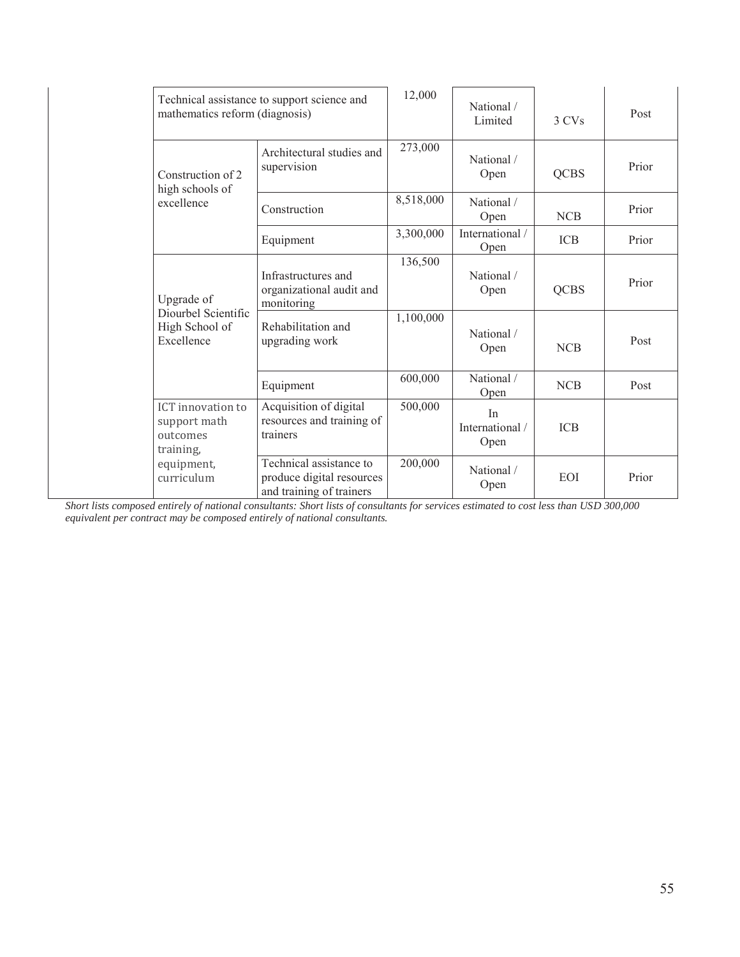| Technical assistance to support science and<br>mathematics reform (diagnosis) |                                                                                  | 12,000    | National /<br>Limited         | 3 CVs       | Post  |
|-------------------------------------------------------------------------------|----------------------------------------------------------------------------------|-----------|-------------------------------|-------------|-------|
| Construction of 2<br>high schools of                                          | Architectural studies and<br>supervision                                         | 273,000   | National /<br>Open            | <b>QCBS</b> | Prior |
| excellence                                                                    | Construction                                                                     | 8,518,000 | National /<br>Open            | <b>NCB</b>  | Prior |
|                                                                               | Equipment                                                                        | 3,300,000 | International /<br>Open       | <b>ICB</b>  | Prior |
| Upgrade of                                                                    | Infrastructures and<br>organizational audit and<br>monitoring                    | 136,500   | National /<br>Open            | <b>QCBS</b> | Prior |
| Diourbel Scientific<br>High School of<br>Excellence                           | Rehabilitation and<br>upgrading work                                             | 1,100,000 | National /<br>Open            | <b>NCB</b>  | Post  |
|                                                                               | Equipment                                                                        | 600,000   | National /<br>Open            | <b>NCB</b>  | Post  |
| <b>ICT</b> innovation to<br>support math<br>outcomes<br>training,             | Acquisition of digital<br>resources and training of<br>trainers                  | 500,000   | In<br>International /<br>Open | <b>ICB</b>  |       |
| equipment,<br>curriculum                                                      | Technical assistance to<br>produce digital resources<br>and training of trainers | 200,000   | National /<br>Open            | EOI         | Prior |

*Short lists composed entirely of national consultants: Short lists of consultants for services estimated to cost less than USD 300,000 equivalent per contract may be composed entirely of national consultants.*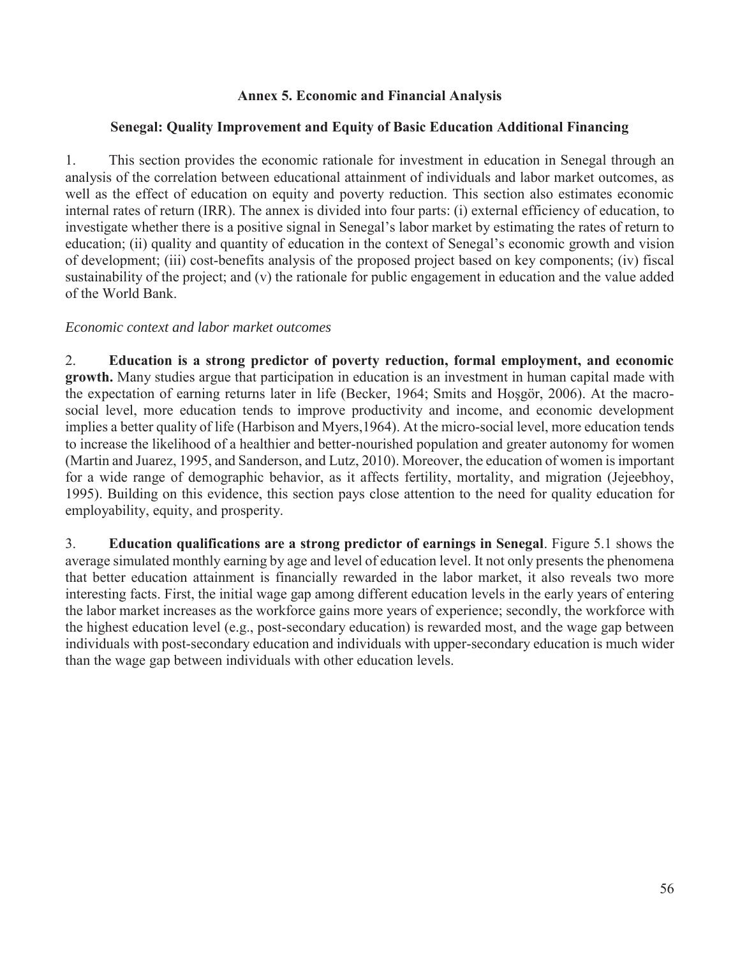### **Annex 5. Economic and Financial Analysis**

#### **Senegal: Quality Improvement and Equity of Basic Education Additional Financing**

1. This section provides the economic rationale for investment in education in Senegal through an analysis of the correlation between educational attainment of individuals and labor market outcomes, as well as the effect of education on equity and poverty reduction. This section also estimates economic internal rates of return (IRR). The annex is divided into four parts: (i) external efficiency of education, to investigate whether there is a positive signal in Senegal's labor market by estimating the rates of return to education; (ii) quality and quantity of education in the context of Senegal's economic growth and vision of development; (iii) cost-benefits analysis of the proposed project based on key components; (iv) fiscal sustainability of the project; and (v) the rationale for public engagement in education and the value added of the World Bank.

#### *Economic context and labor market outcomes*

2. **Education is a strong predictor of poverty reduction, formal employment, and economic growth.** Many studies argue that participation in education is an investment in human capital made with the expectation of earning returns later in life (Becker, 1964; Smits and Hoşgör, 2006). At the macrosocial level, more education tends to improve productivity and income, and economic development implies a better quality of life (Harbison and Myers,1964). At the micro-social level, more education tends to increase the likelihood of a healthier and better-nourished population and greater autonomy for women (Martin and Juarez, 1995, and Sanderson, and Lutz, 2010). Moreover, the education of women is important for a wide range of demographic behavior, as it affects fertility, mortality, and migration (Jejeebhoy, 1995). Building on this evidence, this section pays close attention to the need for quality education for employability, equity, and prosperity.

3. **Education qualifications are a strong predictor of earnings in Senegal**. Figure 5.1 shows the average simulated monthly earning by age and level of education level. It not only presents the phenomena that better education attainment is financially rewarded in the labor market, it also reveals two more interesting facts. First, the initial wage gap among different education levels in the early years of entering the labor market increases as the workforce gains more years of experience; secondly, the workforce with the highest education level (e.g., post-secondary education) is rewarded most, and the wage gap between individuals with post-secondary education and individuals with upper-secondary education is much wider than the wage gap between individuals with other education levels.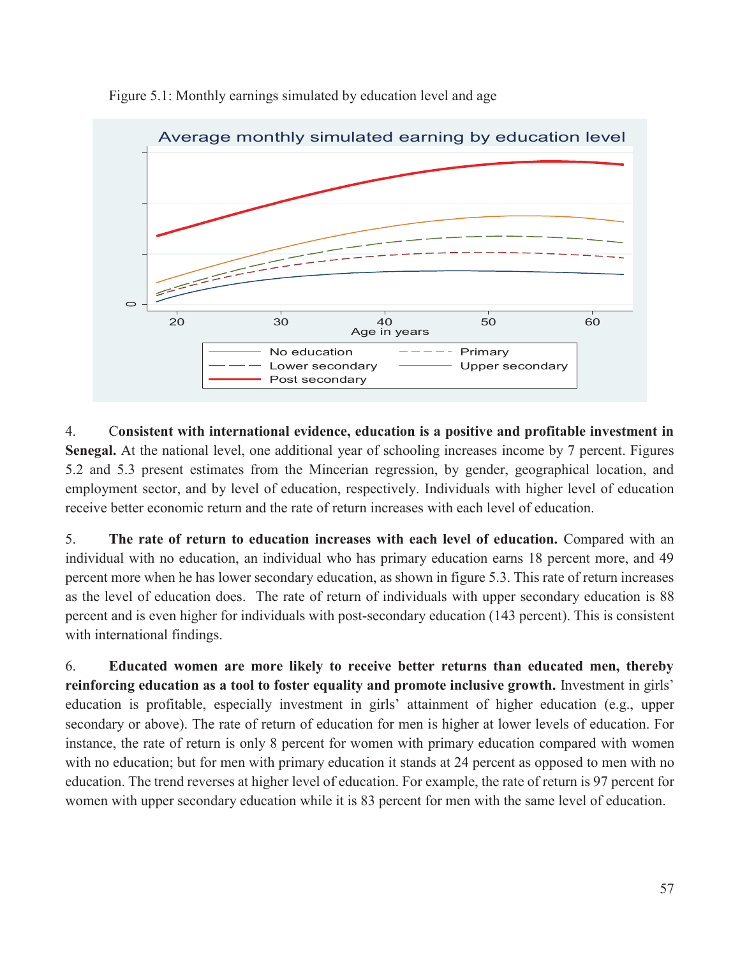

Figure 5.1: Monthly earnings simulated by education level and age

4. C**onsistent with international evidence, education is a positive and profitable investment in Senegal.** At the national level, one additional year of schooling increases income by 7 percent. Figures 5.2 and 5.3 present estimates from the Mincerian regression, by gender, geographical location, and employment sector, and by level of education, respectively. Individuals with higher level of education receive better economic return and the rate of return increases with each level of education.

5. **The rate of return to education increases with each level of education.** Compared with an individual with no education, an individual who has primary education earns 18 percent more, and 49 percent more when he has lower secondary education, as shown in figure 5.3. This rate of return increases as the level of education does. The rate of return of individuals with upper secondary education is 88 percent and is even higher for individuals with post-secondary education (143 percent). This is consistent with international findings.

6. **Educated women are more likely to receive better returns than educated men, thereby reinforcing education as a tool to foster equality and promote inclusive growth.** Investment in girls' education is profitable, especially investment in girls' attainment of higher education (e.g., upper secondary or above). The rate of return of education for men is higher at lower levels of education. For instance, the rate of return is only 8 percent for women with primary education compared with women with no education; but for men with primary education it stands at 24 percent as opposed to men with no education. The trend reverses at higher level of education. For example, the rate of return is 97 percent for women with upper secondary education while it is 83 percent for men with the same level of education.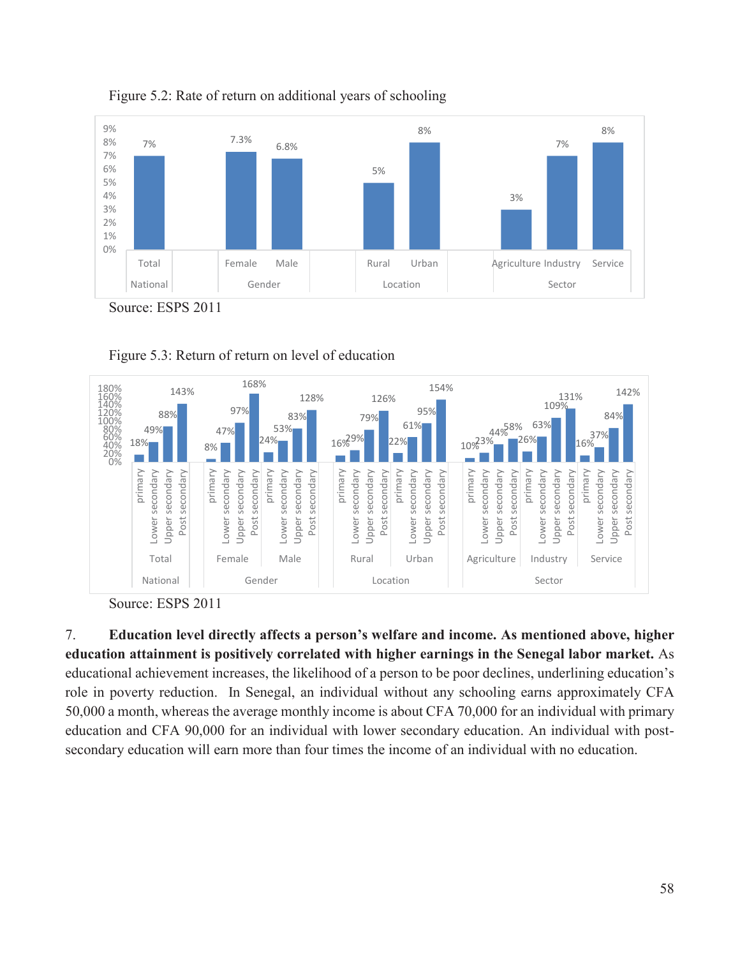







7. **Education level directly affects a person's welfare and income. As mentioned above, higher education attainment is positively correlated with higher earnings in the Senegal labor market.** As educational achievement increases, the likelihood of a person to be poor declines, underlining education's role in poverty reduction. In Senegal, an individual without any schooling earns approximately CFA 50,000 a month, whereas the average monthly income is about CFA 70,000 for an individual with primary education and CFA 90,000 for an individual with lower secondary education. An individual with postsecondary education will earn more than four times the income of an individual with no education.

Source: ESPS 2011

Source: ESPS 2011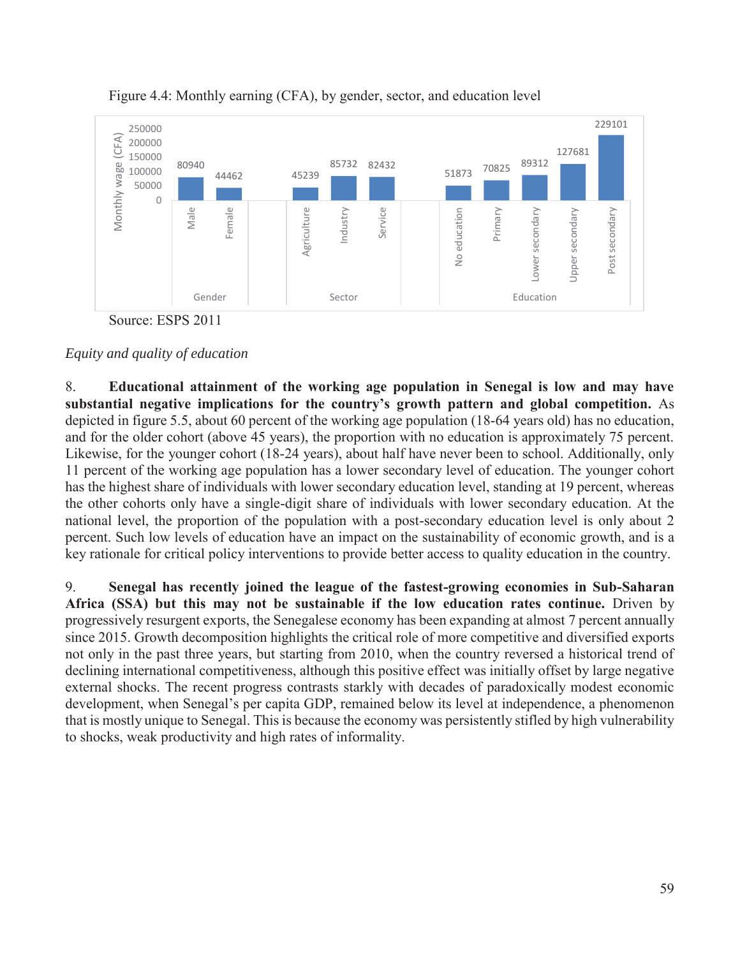

Figure 4.4: Monthly earning (CFA), by gender, sector, and education level



8. **Educational attainment of the working age population in Senegal is low and may have substantial negative implications for the country's growth pattern and global competition.** As depicted in figure 5.5, about 60 percent of the working age population (18-64 years old) has no education, and for the older cohort (above 45 years), the proportion with no education is approximately 75 percent. Likewise, for the younger cohort (18-24 years), about half have never been to school. Additionally, only 11 percent of the working age population has a lower secondary level of education. The younger cohort has the highest share of individuals with lower secondary education level, standing at 19 percent, whereas the other cohorts only have a single-digit share of individuals with lower secondary education. At the national level, the proportion of the population with a post-secondary education level is only about 2 percent. Such low levels of education have an impact on the sustainability of economic growth, and is a key rationale for critical policy interventions to provide better access to quality education in the country.

9. **Senegal has recently joined the league of the fastest-growing economies in Sub-Saharan Africa (SSA) but this may not be sustainable if the low education rates continue.** Driven by progressively resurgent exports, the Senegalese economy has been expanding at almost 7 percent annually since 2015. Growth decomposition highlights the critical role of more competitive and diversified exports not only in the past three years, but starting from 2010, when the country reversed a historical trend of declining international competitiveness, although this positive effect was initially offset by large negative external shocks. The recent progress contrasts starkly with decades of paradoxically modest economic development, when Senegal's per capita GDP, remained below its level at independence, a phenomenon that is mostly unique to Senegal. This is because the economy was persistently stifled by high vulnerability to shocks, weak productivity and high rates of informality.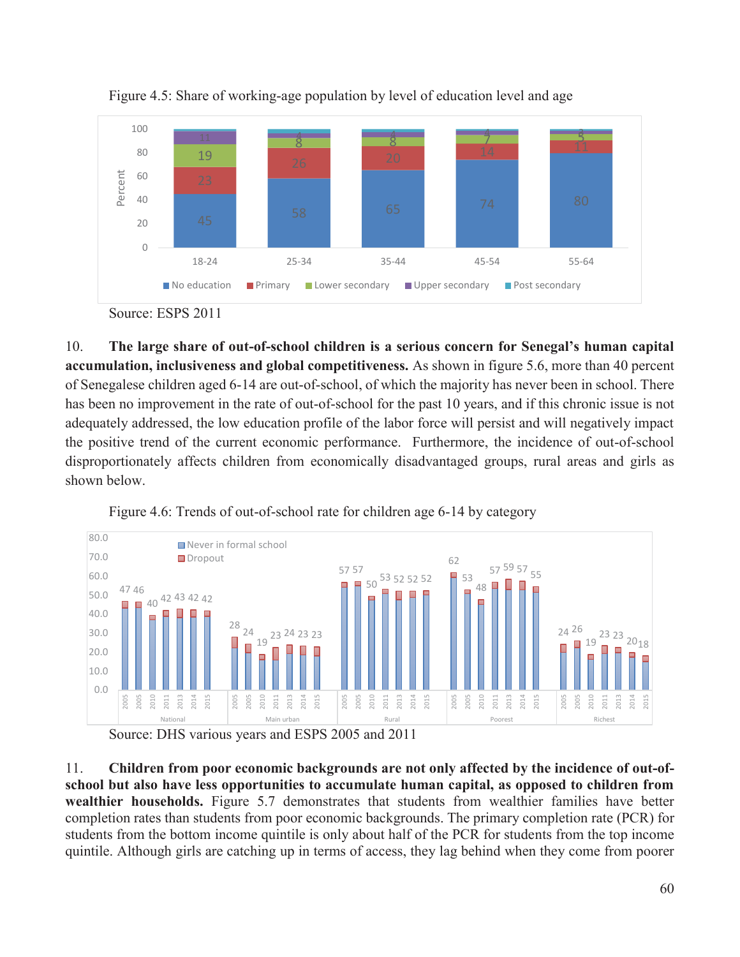

Figure 4.5: Share of working-age population by level of education level and age

10. **The large share of out-of-school children is a serious concern for Senegal's human capital accumulation, inclusiveness and global competitiveness.** As shown in figure 5.6, more than 40 percent of Senegalese children aged 6-14 are out-of-school, of which the majority has never been in school. There has been no improvement in the rate of out-of-school for the past 10 years, and if this chronic issue is not adequately addressed, the low education profile of the labor force will persist and will negatively impact the positive trend of the current economic performance. Furthermore, the incidence of out-of-school disproportionately affects children from economically disadvantaged groups, rural areas and girls as shown below.



Figure 4.6: Trends of out-of-school rate for children age 6-14 by category

Source: DHS various years and ESPS 2005 and 2011

11. **Children from poor economic backgrounds are not only affected by the incidence of out-ofschool but also have less opportunities to accumulate human capital, as opposed to children from wealthier households.** Figure 5.7 demonstrates that students from wealthier families have better completion rates than students from poor economic backgrounds. The primary completion rate (PCR) for students from the bottom income quintile is only about half of the PCR for students from the top income quintile. Although girls are catching up in terms of access, they lag behind when they come from poorer

Source: ESPS 2011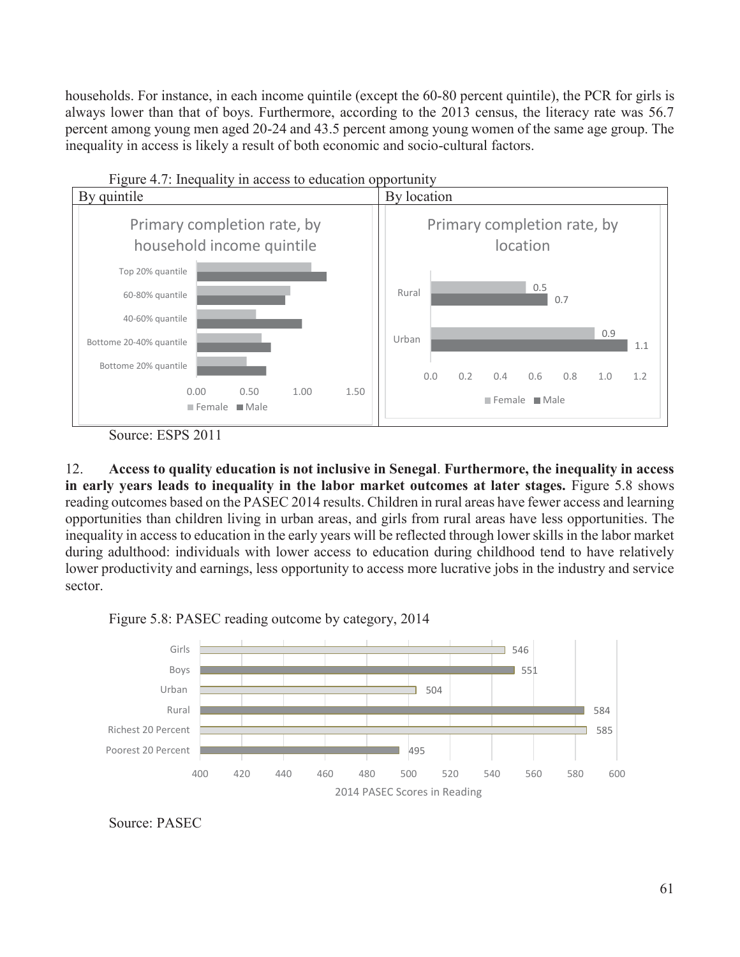households. For instance, in each income quintile (except the 60-80 percent quintile), the PCR for girls is always lower than that of boys. Furthermore, according to the 2013 census, the literacy rate was 56.7 percent among young men aged 20-24 and 43.5 percent among young women of the same age group. The inequality in access is likely a result of both economic and socio-cultural factors.



Source: ESPS 2011

12. **Access to quality education is not inclusive in Senegal**. **Furthermore, the inequality in access in early years leads to inequality in the labor market outcomes at later stages.** Figure 5.8 shows reading outcomes based on the PASEC 2014 results. Children in rural areas have fewer access and learning opportunities than children living in urban areas, and girls from rural areas have less opportunities. The inequality in access to education in the early years will be reflected through lower skills in the labor market during adulthood: individuals with lower access to education during childhood tend to have relatively lower productivity and earnings, less opportunity to access more lucrative jobs in the industry and service sector.





Source: PASEC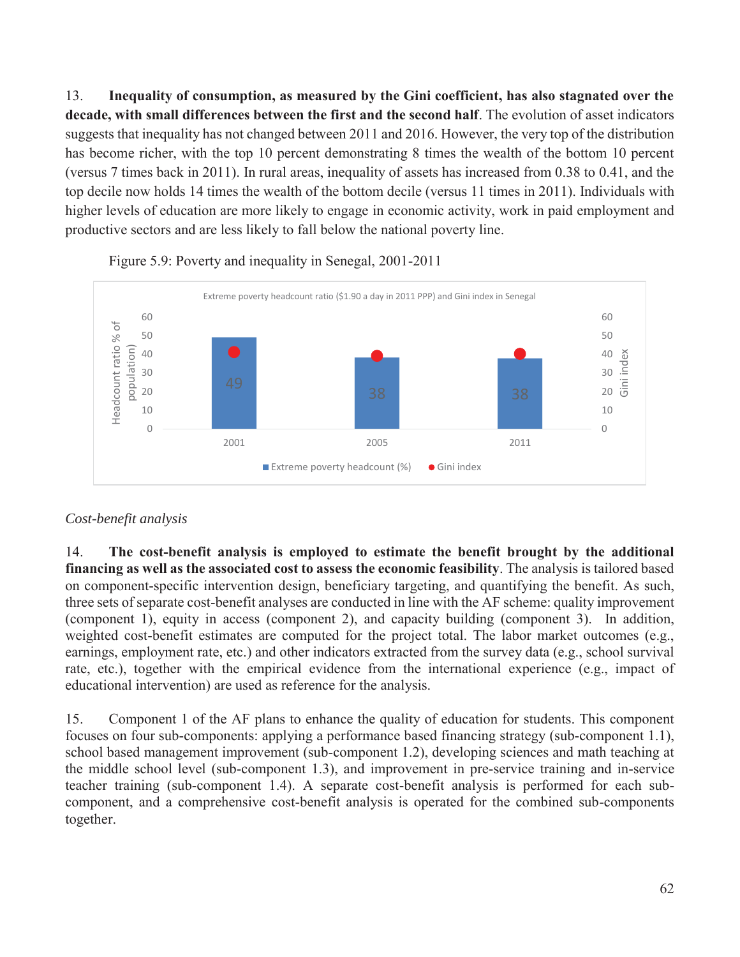13. **Inequality of consumption, as measured by the Gini coefficient, has also stagnated over the decade, with small differences between the first and the second half**. The evolution of asset indicators suggests that inequality has not changed between 2011 and 2016. However, the very top of the distribution has become richer, with the top 10 percent demonstrating 8 times the wealth of the bottom 10 percent (versus 7 times back in 2011). In rural areas, inequality of assets has increased from 0.38 to 0.41, and the top decile now holds 14 times the wealth of the bottom decile (versus 11 times in 2011). Individuals with higher levels of education are more likely to engage in economic activity, work in paid employment and productive sectors and are less likely to fall below the national poverty line.



Figure 5.9: Poverty and inequality in Senegal, 2001-2011

# *Cost-benefit analysis*

14. **The cost-benefit analysis is employed to estimate the benefit brought by the additional financing as well as the associated cost to assess the economic feasibility**. The analysis is tailored based on component-specific intervention design, beneficiary targeting, and quantifying the benefit. As such, three sets of separate cost-benefit analyses are conducted in line with the AF scheme: quality improvement (component 1), equity in access (component 2), and capacity building (component 3). In addition, weighted cost-benefit estimates are computed for the project total. The labor market outcomes (e.g., earnings, employment rate, etc.) and other indicators extracted from the survey data (e.g., school survival rate, etc.), together with the empirical evidence from the international experience (e.g., impact of educational intervention) are used as reference for the analysis.

15. Component 1 of the AF plans to enhance the quality of education for students. This component focuses on four sub-components: applying a performance based financing strategy (sub-component 1.1), school based management improvement (sub-component 1.2), developing sciences and math teaching at the middle school level (sub-component 1.3), and improvement in pre-service training and in-service teacher training (sub-component 1.4). A separate cost-benefit analysis is performed for each subcomponent, and a comprehensive cost-benefit analysis is operated for the combined sub-components together.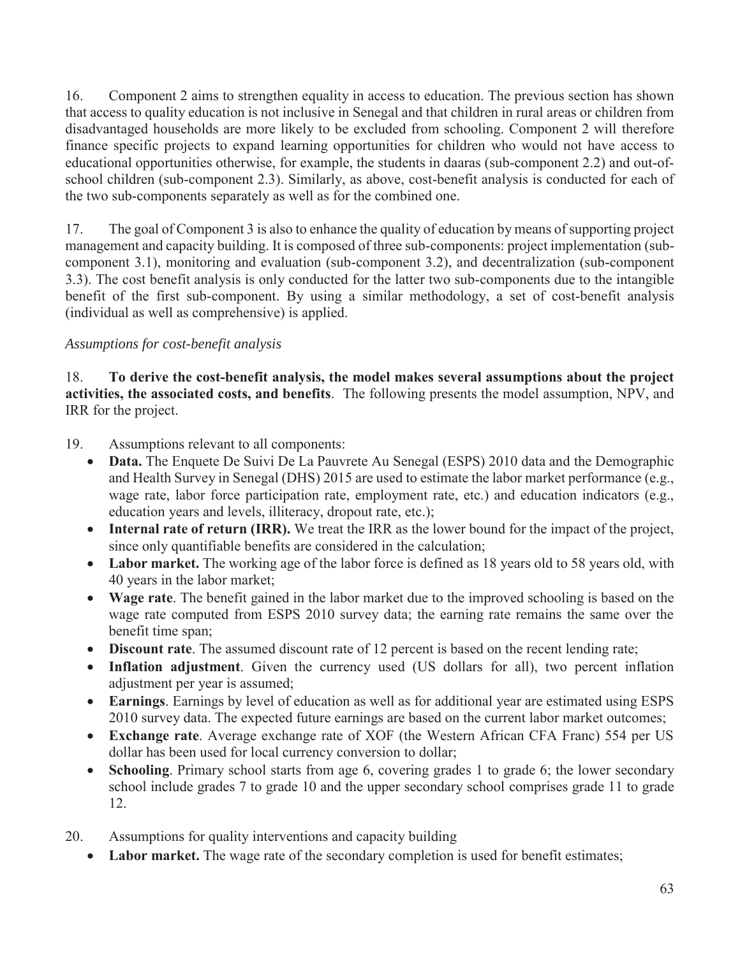16. Component 2 aims to strengthen equality in access to education. The previous section has shown that access to quality education is not inclusive in Senegal and that children in rural areas or children from disadvantaged households are more likely to be excluded from schooling. Component 2 will therefore finance specific projects to expand learning opportunities for children who would not have access to educational opportunities otherwise, for example, the students in daaras (sub-component 2.2) and out-ofschool children (sub-component 2.3). Similarly, as above, cost-benefit analysis is conducted for each of the two sub-components separately as well as for the combined one.

17. The goal of Component 3 is also to enhance the quality of education by means of supporting project management and capacity building. It is composed of three sub-components: project implementation (subcomponent 3.1), monitoring and evaluation (sub-component 3.2), and decentralization (sub-component 3.3). The cost benefit analysis is only conducted for the latter two sub-components due to the intangible benefit of the first sub-component. By using a similar methodology, a set of cost-benefit analysis (individual as well as comprehensive) is applied.

# *Assumptions for cost-benefit analysis*

18. **To derive the cost-benefit analysis, the model makes several assumptions about the project activities, the associated costs, and benefits**. The following presents the model assumption, NPV, and IRR for the project.

19. Assumptions relevant to all components:

- **Data.** The Enquete De Suivi De La Pauvrete Au Senegal (ESPS) 2010 data and the Demographic and Health Survey in Senegal (DHS) 2015 are used to estimate the labor market performance (e.g., wage rate, labor force participation rate, employment rate, etc.) and education indicators (e.g., education years and levels, illiteracy, dropout rate, etc.);
- Internal rate of return (IRR). We treat the IRR as the lower bound for the impact of the project, since only quantifiable benefits are considered in the calculation;
- Labor market. The working age of the labor force is defined as 18 years old to 58 years old, with 40 years in the labor market;
- Wage rate. The benefit gained in the labor market due to the improved schooling is based on the wage rate computed from ESPS 2010 survey data; the earning rate remains the same over the benefit time span;
- Discount rate. The assumed discount rate of 12 percent is based on the recent lending rate;
- Inflation adjustment. Given the currency used (US dollars for all), two percent inflation adjustment per year is assumed;
- **Earnings**. Earnings by level of education as well as for additional year are estimated using ESPS 2010 survey data. The expected future earnings are based on the current labor market outcomes;
- x **Exchange rate**. Average exchange rate of XOF (the Western African CFA Franc) 554 per US dollar has been used for local currency conversion to dollar;
- Schooling. Primary school starts from age 6, covering grades 1 to grade 6; the lower secondary school include grades 7 to grade 10 and the upper secondary school comprises grade 11 to grade 12.
- 20. Assumptions for quality interventions and capacity building
	- Labor market. The wage rate of the secondary completion is used for benefit estimates;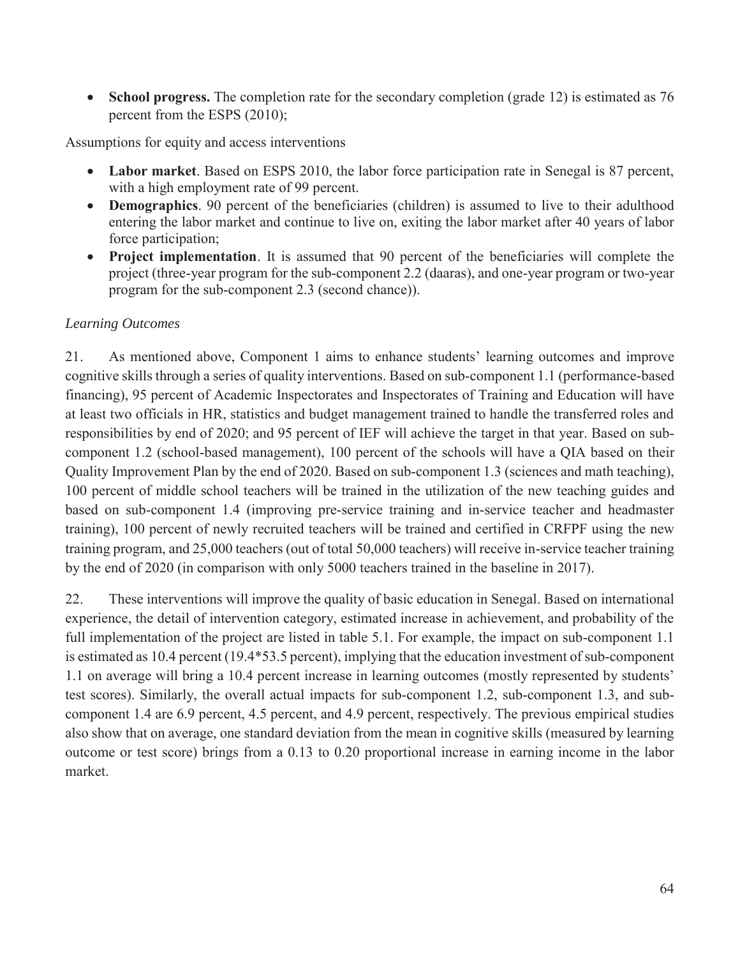• School progress. The completion rate for the secondary completion (grade 12) is estimated as 76 percent from the ESPS (2010);

Assumptions for equity and access interventions

- Labor market. Based on ESPS 2010, the labor force participation rate in Senegal is 87 percent, with a high employment rate of 99 percent.
- **Demographics**. 90 percent of the beneficiaries (children) is assumed to live to their adulthood entering the labor market and continue to live on, exiting the labor market after 40 years of labor force participation;
- **• Project implementation**. It is assumed that 90 percent of the beneficiaries will complete the project (three-year program for the sub-component 2.2 (daaras), and one-year program or two-year program for the sub-component 2.3 (second chance)).

## *Learning Outcomes*

21. As mentioned above, Component 1 aims to enhance students' learning outcomes and improve cognitive skills through a series of quality interventions. Based on sub-component 1.1 (performance-based financing), 95 percent of Academic Inspectorates and Inspectorates of Training and Education will have at least two officials in HR, statistics and budget management trained to handle the transferred roles and responsibilities by end of 2020; and 95 percent of IEF will achieve the target in that year. Based on subcomponent 1.2 (school-based management), 100 percent of the schools will have a QIA based on their Quality Improvement Plan by the end of 2020. Based on sub-component 1.3 (sciences and math teaching), 100 percent of middle school teachers will be trained in the utilization of the new teaching guides and based on sub-component 1.4 (improving pre-service training and in-service teacher and headmaster training), 100 percent of newly recruited teachers will be trained and certified in CRFPF using the new training program, and 25,000 teachers (out of total 50,000 teachers) will receive in-service teacher training by the end of 2020 (in comparison with only 5000 teachers trained in the baseline in 2017).

22. These interventions will improve the quality of basic education in Senegal. Based on international experience, the detail of intervention category, estimated increase in achievement, and probability of the full implementation of the project are listed in table 5.1. For example, the impact on sub-component 1.1 is estimated as 10.4 percent (19.4\*53.5 percent), implying that the education investment of sub-component 1.1 on average will bring a 10.4 percent increase in learning outcomes (mostly represented by students' test scores). Similarly, the overall actual impacts for sub-component 1.2, sub-component 1.3, and subcomponent 1.4 are 6.9 percent, 4.5 percent, and 4.9 percent, respectively. The previous empirical studies also show that on average, one standard deviation from the mean in cognitive skills (measured by learning outcome or test score) brings from a 0.13 to 0.20 proportional increase in earning income in the labor market.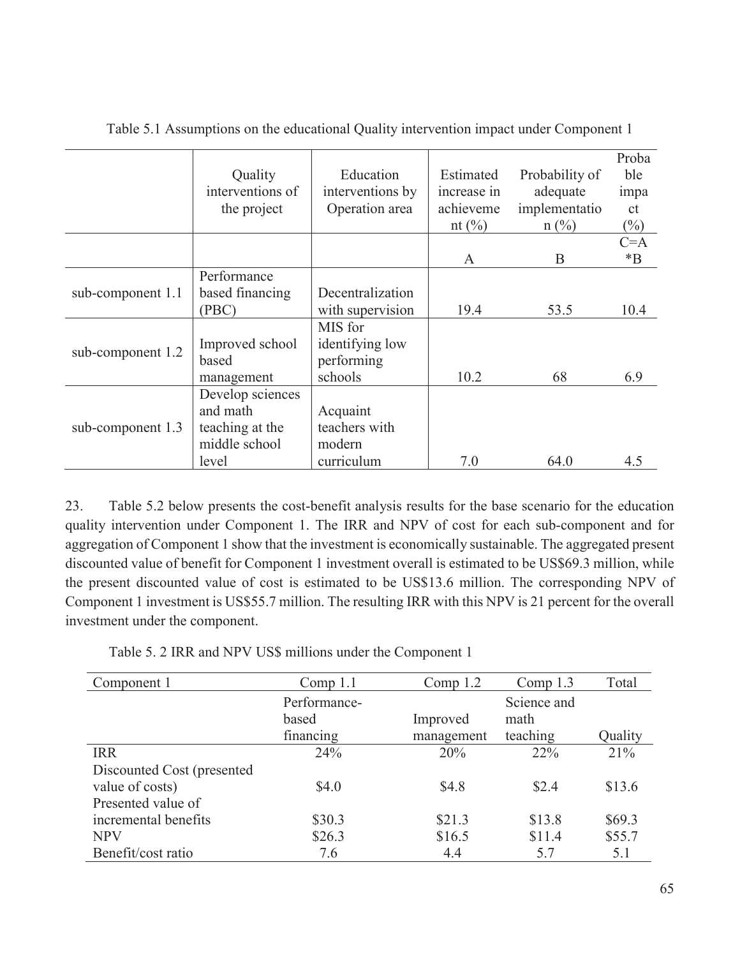|                   | Quality<br>interventions of<br>the project                                | Education<br>interventions by<br>Operation area     | Estimated<br>increase in<br>achieveme<br>nt $\left(\frac{0}{0}\right)$ | Probability of<br>adequate<br>implementatio<br>$n(^{0}/_{0})$ | Proba<br>ble<br>impa<br><sub>ct</sub><br>$(\%)$ |
|-------------------|---------------------------------------------------------------------------|-----------------------------------------------------|------------------------------------------------------------------------|---------------------------------------------------------------|-------------------------------------------------|
|                   |                                                                           |                                                     | A                                                                      | B                                                             | $C = A$<br>$*B$                                 |
| sub-component 1.1 | Performance<br>based financing<br>(PBC)                                   | Decentralization<br>with supervision                | 19.4                                                                   | 53.5                                                          | 10.4                                            |
| sub-component 1.2 | Improved school<br>based<br>management                                    | MIS for<br>identifying low<br>performing<br>schools | 10.2                                                                   | 68                                                            | 6.9                                             |
| sub-component 1.3 | Develop sciences<br>and math<br>teaching at the<br>middle school<br>level | Acquaint<br>teachers with<br>modern<br>curriculum   | 7.0                                                                    | 64.0                                                          | 4.5                                             |

Table 5.1 Assumptions on the educational Quality intervention impact under Component 1

23. Table 5.2 below presents the cost-benefit analysis results for the base scenario for the education quality intervention under Component 1. The IRR and NPV of cost for each sub-component and for aggregation of Component 1 show that the investment is economically sustainable. The aggregated present discounted value of benefit for Component 1 investment overall is estimated to be US\$69.3 million, while the present discounted value of cost is estimated to be US\$13.6 million. The corresponding NPV of Component 1 investment is US\$55.7 million. The resulting IRR with this NPV is 21 percent for the overall investment under the component.

| Table 5. 2 IRR and NPV US\$ millions under the Component 1 |  |  |
|------------------------------------------------------------|--|--|
|------------------------------------------------------------|--|--|

| Component 1                | Comp $1.1$   | Comp $1.2$ | Comp $1.3$  | Total   |
|----------------------------|--------------|------------|-------------|---------|
|                            | Performance- |            | Science and |         |
|                            | based        | Improved   | math        |         |
|                            | financing    | management | teaching    | Quality |
| <b>IRR</b>                 | 24%          | 20%        | 22%         | 21%     |
| Discounted Cost (presented |              |            |             |         |
| value of costs)            | \$4.0        | \$4.8      | \$2.4       | \$13.6  |
| Presented value of         |              |            |             |         |
| incremental benefits       | \$30.3       | \$21.3     | \$13.8      | \$69.3  |
| <b>NPV</b>                 | \$26.3       | \$16.5     | \$11.4      | \$55.7  |
| Benefit/cost ratio         | 7.6          | 4.4        | 5.7         | 5.1     |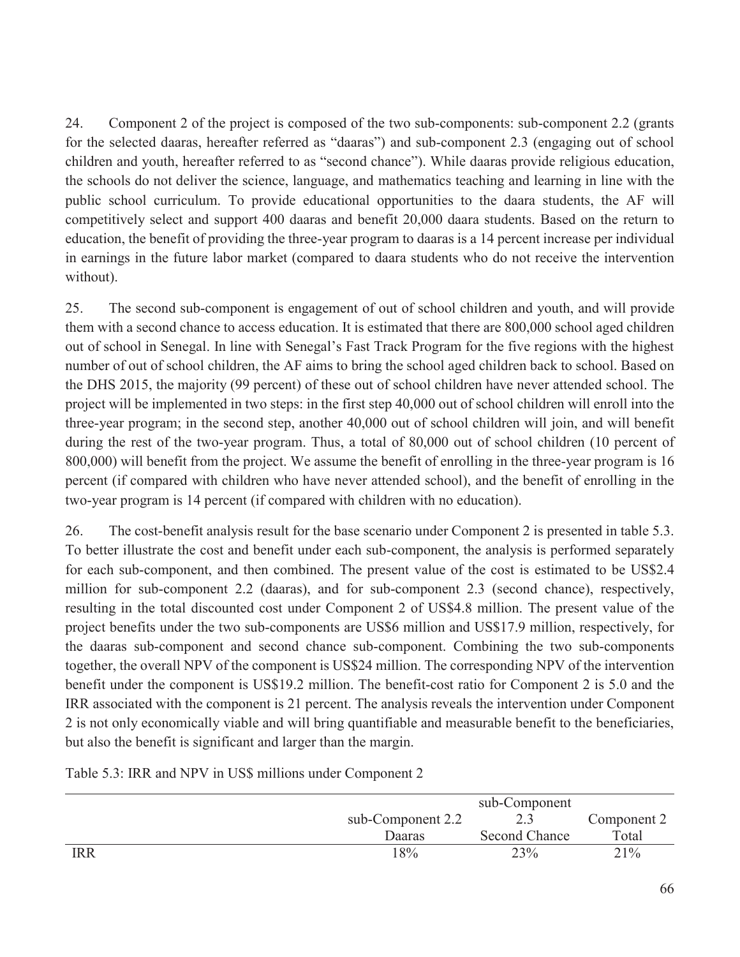24. Component 2 of the project is composed of the two sub-components: sub-component 2.2 (grants for the selected daaras, hereafter referred as "daaras") and sub-component 2.3 (engaging out of school children and youth, hereafter referred to as "second chance"). While daaras provide religious education, the schools do not deliver the science, language, and mathematics teaching and learning in line with the public school curriculum. To provide educational opportunities to the daara students, the AF will competitively select and support 400 daaras and benefit 20,000 daara students. Based on the return to education, the benefit of providing the three-year program to daaras is a 14 percent increase per individual in earnings in the future labor market (compared to daara students who do not receive the intervention without).

25. The second sub-component is engagement of out of school children and youth, and will provide them with a second chance to access education. It is estimated that there are 800,000 school aged children out of school in Senegal. In line with Senegal's Fast Track Program for the five regions with the highest number of out of school children, the AF aims to bring the school aged children back to school. Based on the DHS 2015, the majority (99 percent) of these out of school children have never attended school. The project will be implemented in two steps: in the first step 40,000 out of school children will enroll into the three-year program; in the second step, another 40,000 out of school children will join, and will benefit during the rest of the two-year program. Thus, a total of 80,000 out of school children (10 percent of 800,000) will benefit from the project. We assume the benefit of enrolling in the three-year program is 16 percent (if compared with children who have never attended school), and the benefit of enrolling in the two-year program is 14 percent (if compared with children with no education).

26. The cost-benefit analysis result for the base scenario under Component 2 is presented in table 5.3. To better illustrate the cost and benefit under each sub-component, the analysis is performed separately for each sub-component, and then combined. The present value of the cost is estimated to be US\$2.4 million for sub-component 2.2 (daaras), and for sub-component 2.3 (second chance), respectively, resulting in the total discounted cost under Component 2 of US\$4.8 million. The present value of the project benefits under the two sub-components are US\$6 million and US\$17.9 million, respectively, for the daaras sub-component and second chance sub-component. Combining the two sub-components together, the overall NPV of the component is US\$24 million. The corresponding NPV of the intervention benefit under the component is US\$19.2 million. The benefit-cost ratio for Component 2 is 5.0 and the IRR associated with the component is 21 percent. The analysis reveals the intervention under Component 2 is not only economically viable and will bring quantifiable and measurable benefit to the beneficiaries, but also the benefit is significant and larger than the margin.

|            |                   | sub-Component        |             |
|------------|-------------------|----------------------|-------------|
|            | sub-Component 2.2 |                      | Component 2 |
|            | <b>Daaras</b>     | <b>Second Chance</b> | Total       |
| <b>IRR</b> | 18%               | 23%                  | 21%         |

Table 5.3: IRR and NPV in US\$ millions under Component 2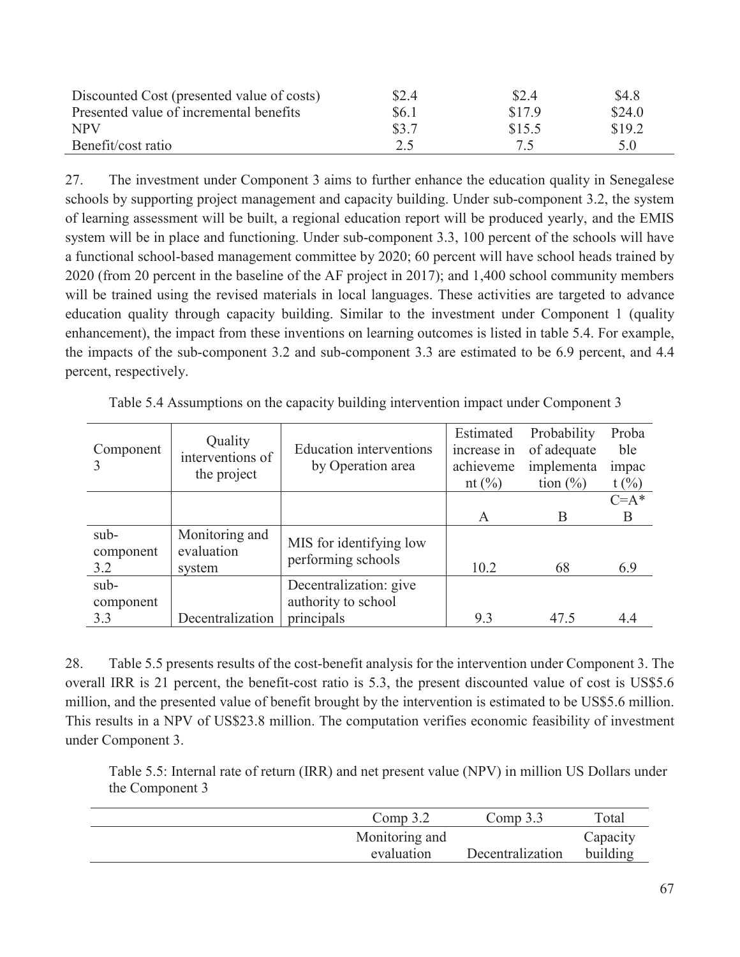| Discounted Cost (presented value of costs) | \$2.4 | \$2.4  | \$4.8  |
|--------------------------------------------|-------|--------|--------|
| Presented value of incremental benefits    | \$6.1 | \$17.9 | \$24.0 |
| NPV                                        | \$3.7 | \$15.5 | \$19.2 |
| Benefit/cost ratio                         | 2.5   | 75     | 5.0    |

27. The investment under Component 3 aims to further enhance the education quality in Senegalese schools by supporting project management and capacity building. Under sub-component 3.2, the system of learning assessment will be built, a regional education report will be produced yearly, and the EMIS system will be in place and functioning. Under sub-component 3.3, 100 percent of the schools will have a functional school-based management committee by 2020; 60 percent will have school heads trained by 2020 (from 20 percent in the baseline of the AF project in 2017); and 1,400 school community members will be trained using the revised materials in local languages. These activities are targeted to advance education quality through capacity building. Similar to the investment under Component 1 (quality enhancement), the impact from these inventions on learning outcomes is listed in table 5.4. For example, the impacts of the sub-component 3.2 and sub-component 3.3 are estimated to be 6.9 percent, and 4.4 percent, respectively.

| Quality<br>interventions of<br>the project | <b>Education</b> interventions<br>by Operation area | Estimated<br>increase in<br>achieveme | Probability<br>of adequate<br>implementa | Proba<br>ble<br>impac<br>t(%)    |
|--------------------------------------------|-----------------------------------------------------|---------------------------------------|------------------------------------------|----------------------------------|
|                                            |                                                     |                                       |                                          | $C = A^*$                        |
|                                            |                                                     |                                       |                                          | B                                |
| Monitoring and<br>evaluation               | MIS for identifying low                             |                                       |                                          |                                  |
| system                                     |                                                     | 10.2                                  | 68                                       | 6.9                              |
|                                            | Decentralization: give<br>authority to school       |                                       |                                          | 4.4                              |
|                                            | Decentralization                                    | performing schools<br>principals      | nt $(\%)$<br>A                           | tion $(\% )$<br>B<br>9.3<br>47.5 |

Table 5.4 Assumptions on the capacity building intervention impact under Component 3

28. Table 5.5 presents results of the cost-benefit analysis for the intervention under Component 3. The overall IRR is 21 percent, the benefit-cost ratio is 5.3, the present discounted value of cost is US\$5.6 million, and the presented value of benefit brought by the intervention is estimated to be US\$5.6 million. This results in a NPV of US\$23.8 million. The computation verifies economic feasibility of investment under Component 3.

Table 5.5: Internal rate of return (IRR) and net present value (NPV) in million US Dollars under the Component 3

| Comp $3.2$     | Comp $3.3$       | Total    |
|----------------|------------------|----------|
| Monitoring and |                  | Capacity |
| evaluation     | Decentralization | building |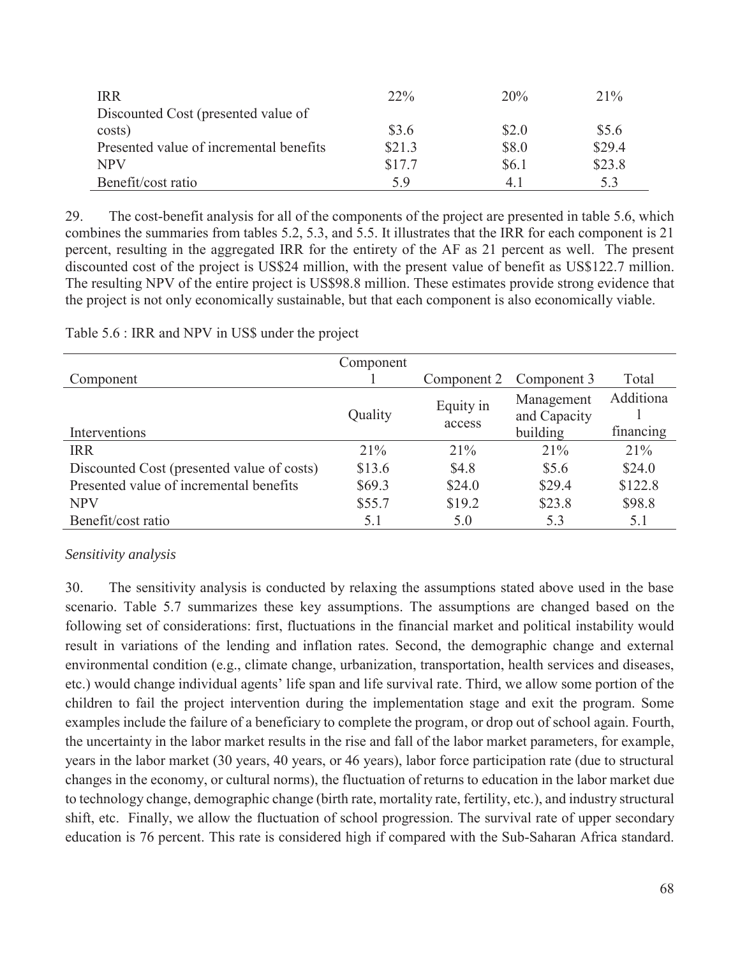| <b>IRR</b>                              | $22\%$ | 20%   | 21%    |
|-----------------------------------------|--------|-------|--------|
| Discounted Cost (presented value of     |        |       |        |
| costs)                                  | \$3.6  | \$2.0 | \$5.6  |
| Presented value of incremental benefits | \$21.3 | \$8.0 | \$29.4 |
| NPV                                     | \$17.7 | \$6.1 | \$23.8 |
| Benefit/cost ratio                      | 5.9    | 4. l  | 5.3    |

29. The cost-benefit analysis for all of the components of the project are presented in table 5.6, which combines the summaries from tables 5.2, 5.3, and 5.5. It illustrates that the IRR for each component is 21 percent, resulting in the aggregated IRR for the entirety of the AF as 21 percent as well. The present discounted cost of the project is US\$24 million, with the present value of benefit as US\$122.7 million. The resulting NPV of the entire project is US\$98.8 million. These estimates provide strong evidence that the project is not only economically sustainable, but that each component is also economically viable.

|                                            | Component |             |              |           |
|--------------------------------------------|-----------|-------------|--------------|-----------|
| Component                                  |           | Component 2 | Component 3  | Total     |
|                                            |           | Equity in   | Management   | Additiona |
|                                            | Quality   | access      | and Capacity |           |
| Interventions                              |           |             | building     | financing |
| <b>IRR</b>                                 | 21%       | 21%         | 21%          | 21%       |
| Discounted Cost (presented value of costs) | \$13.6    | \$4.8       | \$5.6        | \$24.0    |
| Presented value of incremental benefits    | \$69.3    | \$24.0      | \$29.4       | \$122.8   |
| <b>NPV</b>                                 | \$55.7    | \$19.2      | \$23.8       | \$98.8    |
| Benefit/cost ratio                         | 5.1       | 5.0         | 5.3          | 5.1       |

Table 5.6 : IRR and NPV in US\$ under the project

## *Sensitivity analysis*

30. The sensitivity analysis is conducted by relaxing the assumptions stated above used in the base scenario. Table 5.7 summarizes these key assumptions. The assumptions are changed based on the following set of considerations: first, fluctuations in the financial market and political instability would result in variations of the lending and inflation rates. Second, the demographic change and external environmental condition (e.g., climate change, urbanization, transportation, health services and diseases, etc.) would change individual agents' life span and life survival rate. Third, we allow some portion of the children to fail the project intervention during the implementation stage and exit the program. Some examples include the failure of a beneficiary to complete the program, or drop out of school again. Fourth, the uncertainty in the labor market results in the rise and fall of the labor market parameters, for example, years in the labor market (30 years, 40 years, or 46 years), labor force participation rate (due to structural changes in the economy, or cultural norms), the fluctuation of returns to education in the labor market due to technology change, demographic change (birth rate, mortality rate, fertility, etc.), and industry structural shift, etc. Finally, we allow the fluctuation of school progression. The survival rate of upper secondary education is 76 percent. This rate is considered high if compared with the Sub-Saharan Africa standard.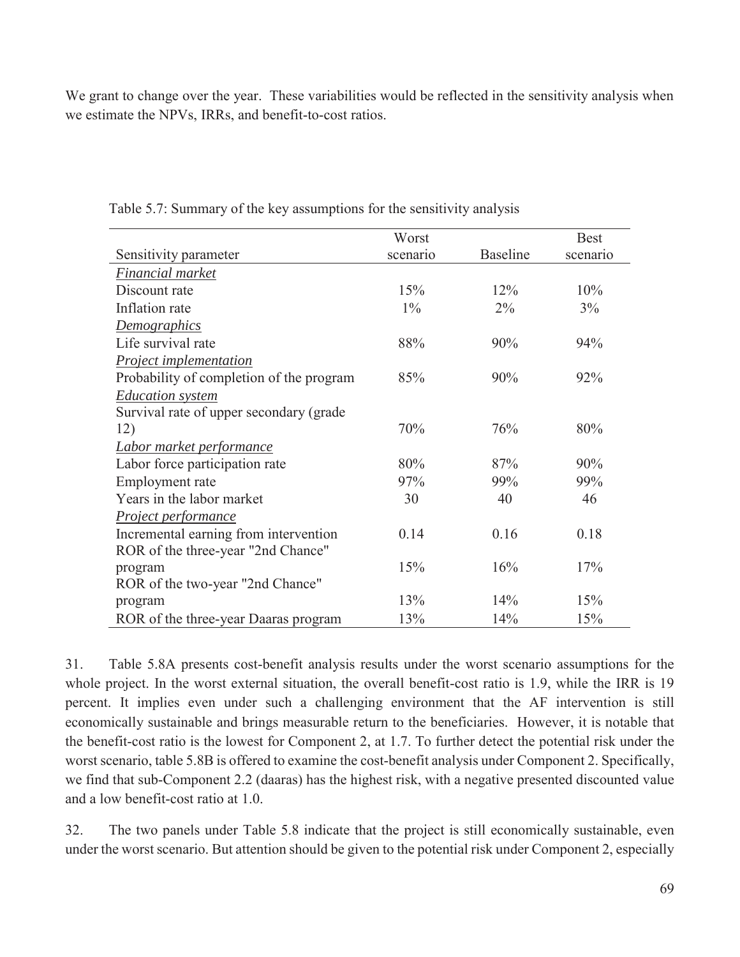We grant to change over the year. These variabilities would be reflected in the sensitivity analysis when we estimate the NPVs, IRRs, and benefit-to-cost ratios.

|                                          | Worst    |                 | <b>Best</b> |
|------------------------------------------|----------|-----------------|-------------|
| Sensitivity parameter                    | scenario | <b>Baseline</b> | scenario    |
| Financial market                         |          |                 |             |
| Discount rate                            | 15%      | 12%             | 10%         |
| Inflation rate                           | $1\%$    | $2\%$           | 3%          |
| <b>Demographics</b>                      |          |                 |             |
| Life survival rate                       | 88%      | 90%             | 94%         |
| Project implementation                   |          |                 |             |
| Probability of completion of the program | 85%      | 90%             | 92%         |
| <b>Education</b> system                  |          |                 |             |
| Survival rate of upper secondary (grade  |          |                 |             |
| 12)                                      | 70%      | 76%             | 80%         |
| Labor market performance                 |          |                 |             |
| Labor force participation rate           | 80%      | 87%             | 90%         |
| Employment rate                          | 97%      | 99%             | 99%         |
| Years in the labor market                | 30       | 40              | 46          |
| Project performance                      |          |                 |             |
| Incremental earning from intervention    | 0.14     | 0.16            | 0.18        |
| ROR of the three-year "2nd Chance"       |          |                 |             |
| program                                  | 15%      | 16%             | 17%         |
| ROR of the two-year "2nd Chance"         |          |                 |             |
| program                                  | 13%      | 14%             | 15%         |
| ROR of the three-year Daaras program     | 13%      | 14%             | 15%         |

Table 5.7: Summary of the key assumptions for the sensitivity analysis

31. Table 5.8A presents cost-benefit analysis results under the worst scenario assumptions for the whole project. In the worst external situation, the overall benefit-cost ratio is 1.9, while the IRR is 19 percent. It implies even under such a challenging environment that the AF intervention is still economically sustainable and brings measurable return to the beneficiaries. However, it is notable that the benefit-cost ratio is the lowest for Component 2, at 1.7. To further detect the potential risk under the worst scenario, table 5.8B is offered to examine the cost-benefit analysis under Component 2. Specifically, we find that sub-Component 2.2 (daaras) has the highest risk, with a negative presented discounted value and a low benefit-cost ratio at 1.0.

32. The two panels under Table 5.8 indicate that the project is still economically sustainable, even under the worst scenario. But attention should be given to the potential risk under Component 2, especially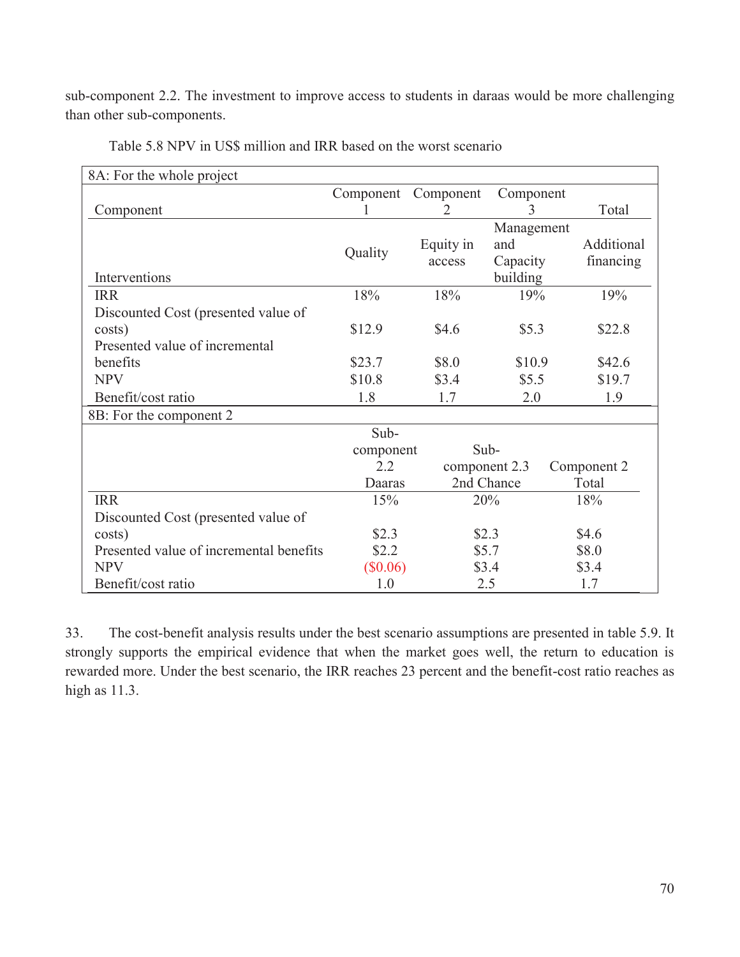sub-component 2.2. The investment to improve access to students in daraas would be more challenging than other sub-components.

| 8A: For the whole project               |            |               |            |             |
|-----------------------------------------|------------|---------------|------------|-------------|
|                                         | Component  | Component     | Component  |             |
| Component                               |            | 2             | 3          | Total       |
|                                         |            |               | Management |             |
|                                         | Quality    | Equity in     | and        | Additional  |
|                                         |            | access        | Capacity   | financing   |
| Interventions                           |            |               | building   |             |
| <b>IRR</b>                              | 18%        | 18%           | 19%        | 19%         |
| Discounted Cost (presented value of     |            |               |            |             |
| costs)                                  | \$12.9     | \$4.6         | \$5.3      | \$22.8      |
| Presented value of incremental          |            |               |            |             |
| benefits                                | \$23.7     | \$8.0         | \$10.9     | \$42.6      |
| <b>NPV</b>                              | \$10.8     | \$3.4         | \$5.5      | \$19.7      |
| Benefit/cost ratio                      | 1.8        | 1.7           | 2.0        | 1.9         |
| 8B: For the component 2                 |            |               |            |             |
|                                         | Sub-       |               |            |             |
|                                         | component  | Sub-          |            |             |
|                                         | 2.2        | component 2.3 |            | Component 2 |
|                                         | Daaras     | 2nd Chance    |            | Total       |
| <b>IRR</b>                              | 15%        | 20%           |            | 18%         |
| Discounted Cost (presented value of     |            |               |            |             |
| costs)                                  | \$2.3      | \$2.3         |            | \$4.6       |
| Presented value of incremental benefits | \$2.2      | \$5.7         |            | \$8.0       |
| <b>NPV</b>                              | $(\$0.06)$ | \$3.4         |            | \$3.4       |
| Benefit/cost ratio                      | 1.0        | 2.5           |            | 1.7         |

Table 5.8 NPV in US\$ million and IRR based on the worst scenario

33. The cost-benefit analysis results under the best scenario assumptions are presented in table 5.9. It strongly supports the empirical evidence that when the market goes well, the return to education is rewarded more. Under the best scenario, the IRR reaches 23 percent and the benefit-cost ratio reaches as high as 11.3.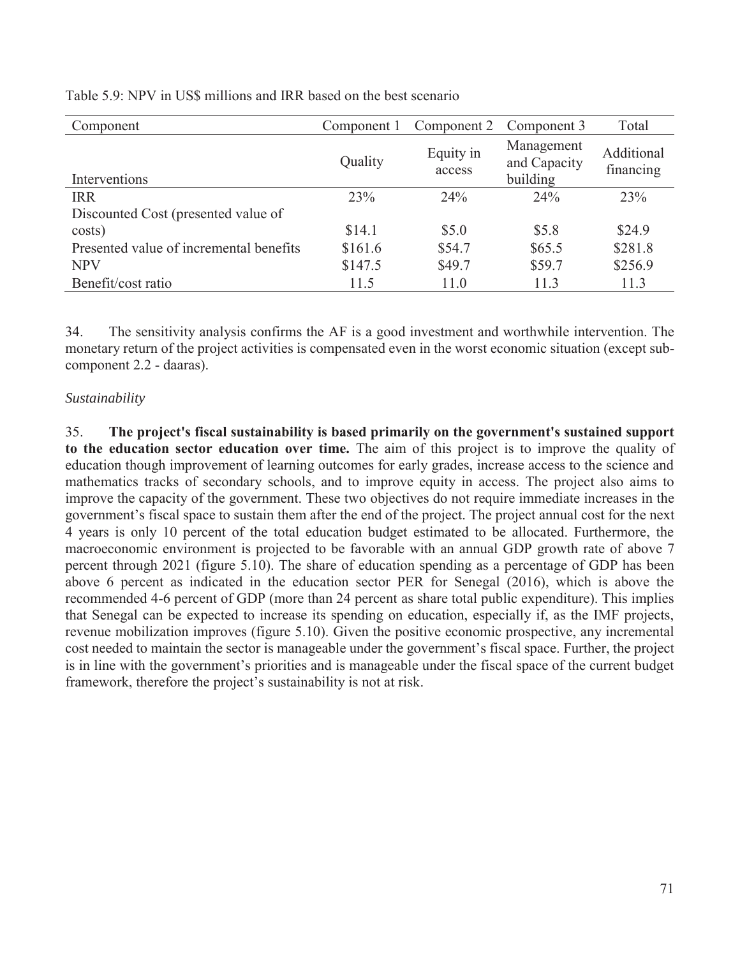| Component                               | Component 1 | Component 2         | Component 3                            | Total                   |
|-----------------------------------------|-------------|---------------------|----------------------------------------|-------------------------|
| Interventions                           | Quality     | Equity in<br>access | Management<br>and Capacity<br>building | Additional<br>financing |
| <b>IRR</b>                              | 23%         | 24%                 | 24%                                    | 23%                     |
| Discounted Cost (presented value of     |             |                     |                                        |                         |
| costs)                                  | \$14.1      | \$5.0               | \$5.8                                  | \$24.9                  |
| Presented value of incremental benefits | \$161.6     | \$54.7              | \$65.5                                 | \$281.8                 |
| <b>NPV</b>                              | \$147.5     | \$49.7              | \$59.7                                 | \$256.9                 |
| Benefit/cost ratio                      | 11.5        | 11.0                | 11.3                                   | 11.3                    |

Table 5.9: NPV in US\$ millions and IRR based on the best scenario

34. The sensitivity analysis confirms the AF is a good investment and worthwhile intervention. The monetary return of the project activities is compensated even in the worst economic situation (except subcomponent 2.2 - daaras).

## *Sustainability*

35. **The project's fiscal sustainability is based primarily on the government's sustained support to the education sector education over time.** The aim of this project is to improve the quality of education though improvement of learning outcomes for early grades, increase access to the science and mathematics tracks of secondary schools, and to improve equity in access. The project also aims to improve the capacity of the government. These two objectives do not require immediate increases in the government's fiscal space to sustain them after the end of the project. The project annual cost for the next 4 years is only 10 percent of the total education budget estimated to be allocated. Furthermore, the macroeconomic environment is projected to be favorable with an annual GDP growth rate of above 7 percent through 2021 (figure 5.10). The share of education spending as a percentage of GDP has been above 6 percent as indicated in the education sector PER for Senegal (2016), which is above the recommended 4-6 percent of GDP (more than 24 percent as share total public expenditure). This implies that Senegal can be expected to increase its spending on education, especially if, as the IMF projects, revenue mobilization improves (figure 5.10). Given the positive economic prospective, any incremental cost needed to maintain the sector is manageable under the government's fiscal space. Further, the project is in line with the government's priorities and is manageable under the fiscal space of the current budget framework, therefore the project's sustainability is not at risk.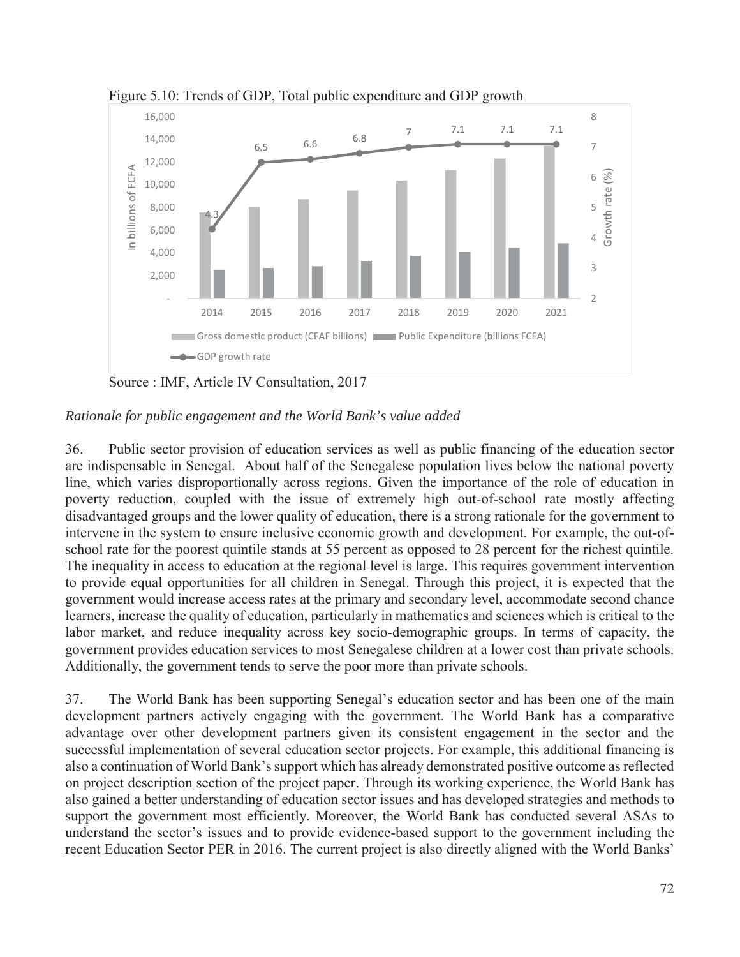

Figure 5.10: Trends of GDP, Total public expenditure and GDP growth

Source : IMF, Article IV Consultation, 2017

## *Rationale for public engagement and the World Bank's value added*

36. Public sector provision of education services as well as public financing of the education sector are indispensable in Senegal. About half of the Senegalese population lives below the national poverty line, which varies disproportionally across regions. Given the importance of the role of education in poverty reduction, coupled with the issue of extremely high out-of-school rate mostly affecting disadvantaged groups and the lower quality of education, there is a strong rationale for the government to intervene in the system to ensure inclusive economic growth and development. For example, the out-ofschool rate for the poorest quintile stands at 55 percent as opposed to 28 percent for the richest quintile. The inequality in access to education at the regional level is large. This requires government intervention to provide equal opportunities for all children in Senegal. Through this project, it is expected that the government would increase access rates at the primary and secondary level, accommodate second chance learners, increase the quality of education, particularly in mathematics and sciences which is critical to the labor market, and reduce inequality across key socio-demographic groups. In terms of capacity, the government provides education services to most Senegalese children at a lower cost than private schools. Additionally, the government tends to serve the poor more than private schools.

37. The World Bank has been supporting Senegal's education sector and has been one of the main development partners actively engaging with the government. The World Bank has a comparative advantage over other development partners given its consistent engagement in the sector and the successful implementation of several education sector projects. For example, this additional financing is also a continuation of World Bank's support which has already demonstrated positive outcome as reflected on project description section of the project paper. Through its working experience, the World Bank has also gained a better understanding of education sector issues and has developed strategies and methods to support the government most efficiently. Moreover, the World Bank has conducted several ASAs to understand the sector's issues and to provide evidence-based support to the government including the recent Education Sector PER in 2016. The current project is also directly aligned with the World Banks'